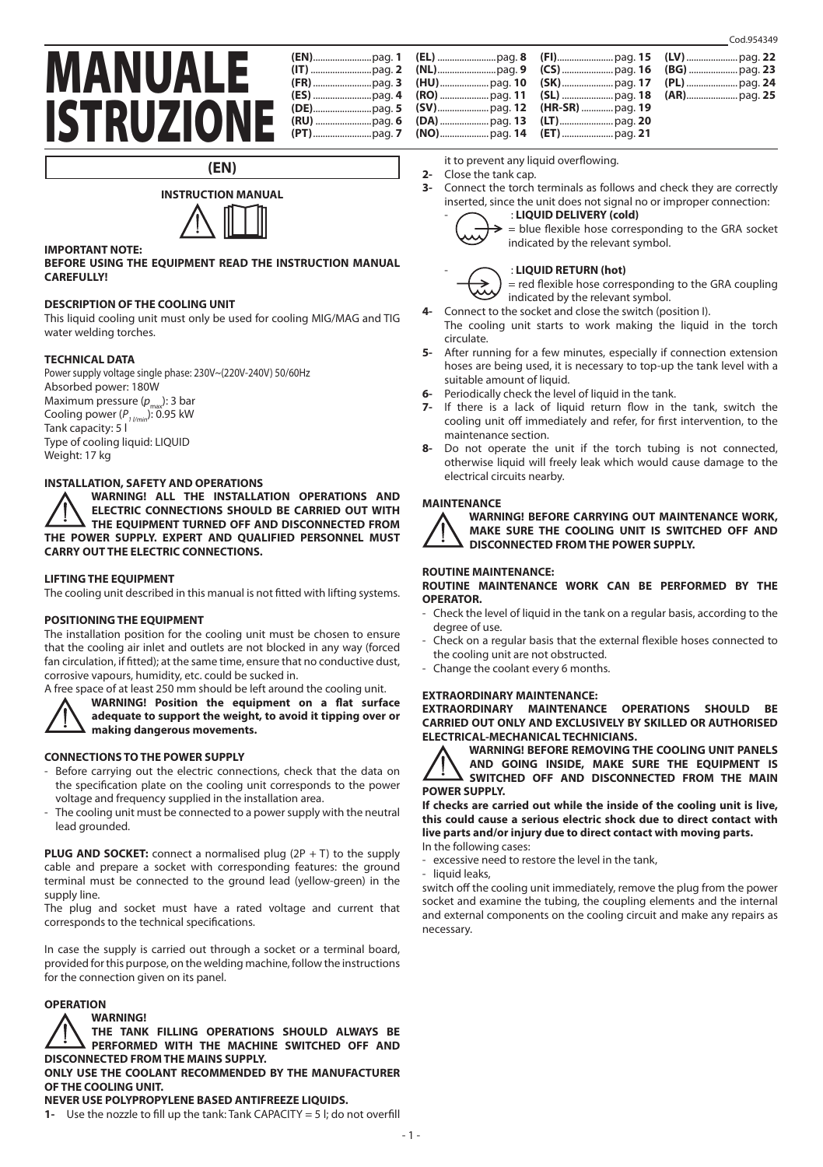# MANUALE **ISTRUZIONE**

|  | 1 |
|--|---|
|  | 1 |
|  | 0 |
|  | 1 |
|  | C |
|  | 1 |
|  | 1 |
|  |   |

it to prevent any liquid overflowing.

- **2-** Close the tank cap.
- **3-** Connect the torch terminals as follows and check they are correctly inserted, since the unit does not signal no or improper connection:



**(EN)**

# **IMPORTANT NOTE:**

**BEFORE USING THE EQUIPMENT READ THE INSTRUCTION MANUAL CAREFULLY!**

#### **DESCRIPTION OF THE COOLING UNIT**

This liquid cooling unit must only be used for cooling MIG/MAG and TIG water welding torches.

#### **TECHNICAL DATA**

Power supply voltage single phase: 230V~(220V-240V) 50/60Hz Absorbed power: 180W Maximum pressure (p<sub>max</sub>): 3 bar Cooling power ( $P_{1 / min}$ ): 0.95 kW Tank capacity: 5 l Type of cooling liquid: LIQUID Weight: 17 kg

# **INSTALLATION, SAFETY AND OPERATIONS**

**WARNING! ALL THE INSTALLATION OPERATIONS AND ELECTRIC CONNECTIONS SHOULD BE CARRIED OUT WITH THE EQUIPMENT TURNED OFF AND DISCONNECTED FROM THE POWER SUPPLY. EXPERT AND QUALIFIED PERSONNEL MUST CARRY OUT THE ELECTRIC CONNECTIONS.**

#### **LIFTING THE EQUIPMENT**

The cooling unit described in this manual is not fitted with lifting systems.

#### **POSITIONING THE EQUIPMENT**

The installation position for the cooling unit must be chosen to ensure that the cooling air inlet and outlets are not blocked in any way (forced fan circulation, if fitted); at the same time, ensure that no conductive dust, corrosive vapours, humidity, etc. could be sucked in.



A free space of at least 250 mm should be left around the cooling unit.



**WARNING! Position the equipment on a flat surface adequate to support the weight, to avoid it tipping over or making dangerous movements.**

#### **CONNECTIONS TO THE POWER SUPPLY**

- Before carrying out the electric connections, check that the data on the specification plate on the cooling unit corresponds to the power voltage and frequency supplied in the installation area.
- The cooling unit must be connected to a power supply with the neutral lead grounded.

**PLUG AND SOCKET:** connect a normalised plug (2P + T) to the supply cable and prepare a socket with corresponding features: the ground terminal must be connected to the ground lead (yellow-green) in the supply line.

The plug and socket must have a rated voltage and current that corresponds to the technical specifications.

In case the supply is carried out through a socket or a terminal board, provided for this purpose, on the welding machine, follow the instructions for the connection given on its panel.

# **OPERATION**

#### **WARNING!**

**THE TANK FILLING OPERATIONS SHOULD ALWAYS BE PERFORMED WITH THE MACHINE SWITCHED OFF AND DISCONNECTED FROM THE MAINS SUPPLY.**

**ONLY USE THE COOLANT RECOMMENDED BY THE MANUFACTURER OF THE COOLING UNIT.**

## **NEVER USE POLYPROPYLENE BASED ANTIFREEZE LIQUIDS.**

**1-** Use the nozzle to fill up the tank: Tank CAPACITY = 5 l; do not overfill

- : **LIQUID DELIVERY (cold)**



= blue flexible hose corresponding to the GRA socket indicated by the relevant symbol.

#### - : **LIQUID RETURN (hot)**

= red flexible hose corresponding to the GRA coupling indicated by the relevant symbol.

- **4-** Connect to the socket and close the switch (position I).
- The cooling unit starts to work making the liquid in the torch circulate.
- **5-** After running for a few minutes, especially if connection extension hoses are being used, it is necessary to top-up the tank level with a suitable amount of liquid.
- **6-** Periodically check the level of liquid in the tank.
- **7-** If there is a lack of liquid return flow in the tank, switch the cooling unit off immediately and refer, for first intervention, to the maintenance section.
- **8-** Do not operate the unit if the torch tubing is not connected, otherwise liquid will freely leak which would cause damage to the electrical circuits nearby.

#### **MAINTENANCE**



**WARNING! BEFORE CARRYING OUT MAINTENANCE WORK, MAKE SURE THE COOLING UNIT IS SWITCHED OFF AND DISCONNECTED FROM THE POWER SUPPLY.**

#### **ROUTINE MAINTENANCE:**

**ROUTINE MAINTENANCE WORK CAN BE PERFORMED BY THE OPERATOR.**

- Check the level of liquid in the tank on a regular basis, according to the degree of use.
- Check on a regular basis that the external flexible hoses connected to the cooling unit are not obstructed.
- Change the coolant every 6 months.

#### **EXTRAORDINARY MAINTENANCE:**

**EXTRAORDINARY MAINTENANCE OPERATIONS SHOULD BE CARRIED OUT ONLY AND EXCLUSIVELY BY SKILLED OR AUTHORISED ELECTRICAL-MECHANICAL TECHNICIANS.**

**WARNING! BEFORE REMOVING THE COOLING UNIT PANELS AND GOING INSIDE, MAKE SURE THE EQUIPMENT IS SWITCHED OFF AND DISCONNECTED FROM THE MAIN POWER SUPPLY.**

**If checks are carried out while the inside of the cooling unit is live, this could cause a serious electric shock due to direct contact with live parts and/or injury due to direct contact with moving parts.**

- In the following cases:
- excessive need to restore the level in the tank.
- liquid leaks,

switch off the cooling unit immediately, remove the plug from the power socket and examine the tubing, the coupling elements and the internal and external components on the cooling circuit and make any repairs as necessary.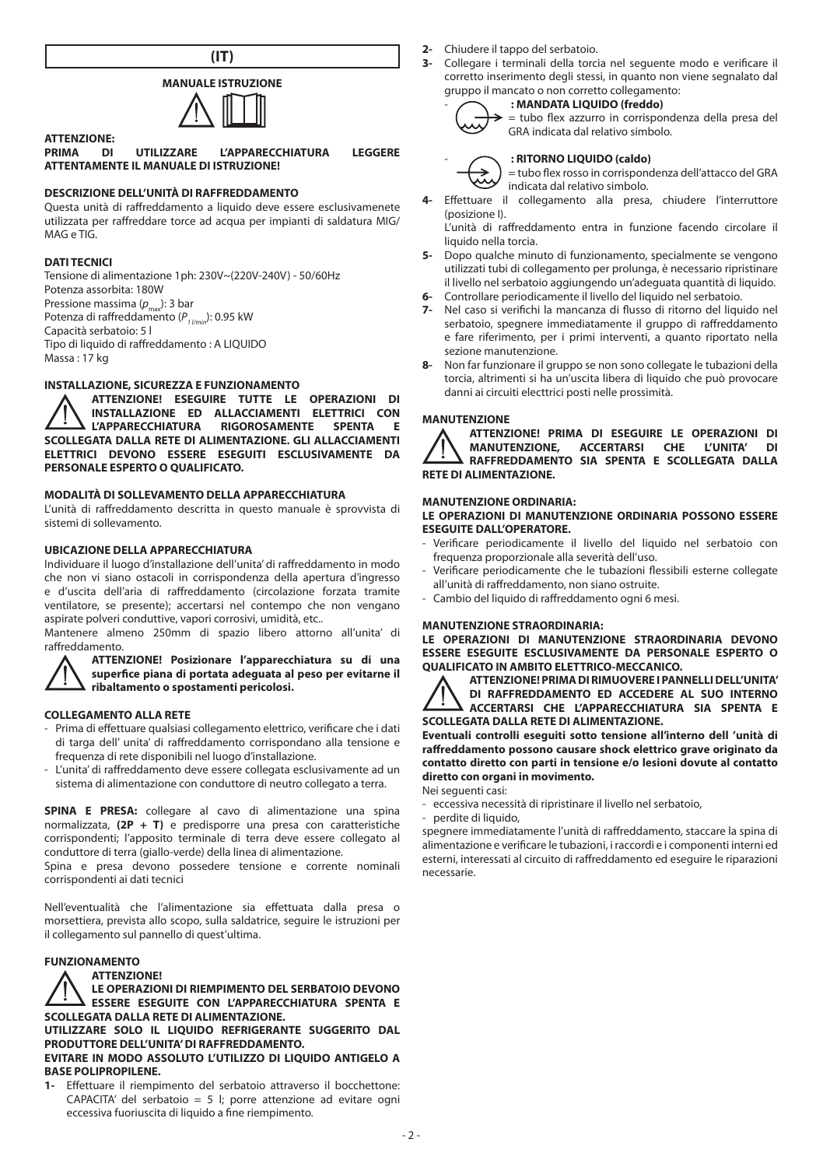

# **MANUALE ISTRUZIONE**



**ATTENZIONE: PRIMATE L'APPARECCHIATURA LEGGERE ATTENTAMENTE IL MANUALE DI ISTRUZIONE!**

# **DESCRIZIONE DELL'UNITÀ DI RAFFREDDAMENTO**

Questa unità di raffreddamento a liquido deve essere esclusivamenete utilizzata per raffreddare torce ad acqua per impianti di saldatura MIG/ M<sub>AG</sub> e TIG

#### **DATI TECNICI**

Tensione di alimentazione 1ph: 230V~(220V-240V) - 50/60Hz Potenza assorbita: 180W Pressione massima (*p<sub>max</sub>*): 3 bar<br>Potenza di raffreddamento (*P<sub>1 l/min</sub>*): 0.95 kW Capacità serbatoio: 5 l Tipo di liquido di raffreddamento : A LIQUIDO  $M$ assa  $\cdot$  17 kg

## **INSTALLAZIONE, SICUREZZA E FUNZIONAMENTO**

**ATTENZIONE! ESEGUIRE TUTTE LE OPERAZIONI DI INSTALLAZIONE ED ALLACCIAMENTI ELETTRICI CON RIGOROSAMENTE SCOLLEGATA DALLA RETE DI ALIMENTAZIONE. GLI ALLACCIAMENTI ELETTRICI DEVONO ESSERE ESEGUITI ESCLUSIVAMENTE DA PERSONALE ESPERTO O QUALIFICATO.**

# **MODALITÀ DI SOLLEVAMENTO DELLA APPARECCHIATURA**

L'unità di raffreddamento descritta in questo manuale è sprovvista di sistemi di sollevamento.

# **UBICAZIONE DELLA APPARECCHIATURA**

Individuare il luogo d'installazione dell'unita' di raffreddamento in modo che non vi siano ostacoli in corrispondenza della apertura d'ingresso e d'uscita dell'aria di raffreddamento (circolazione forzata tramite ventilatore, se presente); accertarsi nel contempo che non vengano aspirate polveri conduttive, vapori corrosivi, umidità, etc..

Mantenere almeno 250mm di spazio libero attorno all'unita' di raffreddamento.

#### **ATTENZIONE! Posizionare l'apparecchiatura su di una superfice piana di portata adeguata al peso per evitarne il ribaltamento o spostamenti pericolosi.**

#### **COLLEGAMENTO ALLA RETE**

- Prima di effettuare qualsiasi collegamento elettrico, verificare che i dati di targa dell' unita' di raffreddamento corrispondano alla tensione e frequenza di rete disponibili nel luogo d'installazione.
- L'unita' di raffreddamento deve essere collegata esclusivamente ad un sistema di alimentazione con conduttore di neutro collegato a terra.

**SPINA E PRESA:** collegare al cavo di alimentazione una spina normalizzata, **(2P + T)** e predisporre una presa con caratteristiche corrispondenti; l'apposito terminale di terra deve essere collegato al conduttore di terra (giallo-verde) della linea di alimentazione.

Spina e presa devono possedere tensione e corrente nominali corrispondenti ai dati tecnici

Nell'eventualità che l'alimentazione sia effettuata dalla presa o morsettiera, prevista allo scopo, sulla saldatrice, seguire le istruzioni per il collegamento sul pannello di quest'ultima.

#### **FUNZIONAMENTO**

#### **ATTENZIONE!**

**LE OPERAZIONI DI RIEMPIMENTO DEL SERBATOIO DEVONO ESSERE ESEGUITE CON L'APPARECCHIATURA SPENTA E SCOLLEGATA DALLA RETE DI ALIMENTAZIONE.**

**UTILIZZARE SOLO IL LIQUIDO REFRIGERANTE SUGGERITO DAL PRODUTTORE DELL'UNITA' DI RAFFREDDAMENTO.**

#### **EVITARE IN MODO ASSOLUTO L'UTILIZZO DI LIQUIDO ANTIGELO A BASE POLIPROPILENE.**

**1-** Effettuare il riempimento del serbatoio attraverso il bocchettone: CAPACITA' del serbatoio = 5 l; porre attenzione ad evitare ogni eccessiva fuoriuscita di liquido a fine riempimento.

- **2-** Chiudere il tappo del serbatoio.<br>**3-** Collegare i terminali della torci
- **3-** Collegare i terminali della torcia nel seguente modo e verificare il corretto inserimento degli stessi, in quanto non viene segnalato dal gruppo il mancato o non corretto collegamento:



#### - **: MANDATA LIQUIDO (freddo)** = tubo flex azzurro in corrispondenza della presa del

GRA indicata dal relativo simbolo.

#### - **: RITORNO LIQUIDO (caldo)**

= tubo flex rosso in corrispondenza dell'attacco del GRA indicata dal relativo simbolo.

**4-** Effettuare il collegamento alla presa, chiudere l'interruttore (posizione I).

L'unità di raffreddamento entra in funzione facendo circolare il liquido nella torcia.

- **5-** Dopo qualche minuto di funzionamento, specialmente se vengono utilizzati tubi di collegamento per prolunga, è necessario ripristinare il livello nel serbatoio aggiungendo un'adeguata quantità di liquido.
- **6-** Controllare periodicamente il livello del liquido nel serbatoio.
- **7-** Nel caso si verifichi la mancanza di flusso di ritorno del liquido nel serbatoio, spegnere immediatamente il gruppo di raffreddamento e fare riferimento, per i primi interventi, a quanto riportato nella sezione manutenzione.
- **8-** Non far funzionare il gruppo se non sono collegate le tubazioni della torcia, altrimenti si ha un'uscita libera di liquido che può provocare danni ai circuiti electtrici posti nelle prossimità.

# **MANUTENZIONE**



**ATTENZIONE! PRIMA DI ESEGUIRE LE OPERAZIONI DI MANUTENZIONE, ACCERTARSI CHE L'UNITA' DI RAFFREDDAMENTO SIA SPENTA E SCOLLEGATA DALLA RETE DI ALIMENTAZIONE.**

#### **MANUTENZIONE ORDINARIA:**

#### **LE OPERAZIONI DI MANUTENZIONE ORDINARIA POSSONO ESSERE ESEGUITE DALL'OPERATORE.**

- Verificare periodicamente il livello del liquido nel serbatoio con frequenza proporzionale alla severità dell'uso.
- Verificare periodicamente che le tubazioni flessibili esterne collegate all'unità di raffreddamento, non siano ostruite.
- Cambio del liquido di raffreddamento ogni 6 mesi.

### **MANUTENZIONE STRAORDINARIA:**

**LE OPERAZIONI DI MANUTENZIONE STRAORDINARIA DEVONO ESSERE ESEGUITE ESCLUSIVAMENTE DA PERSONALE ESPERTO O QUALIFICATO IN AMBITO ELETTRICO-MECCANICO.**

**ATTENZIONE! PRIMA DI RIMUOVERE I PANNELLI DELL'UNITA' DI RAFFREDDAMENTO ED ACCEDERE AL SUO INTERNO ACCERTARSI CHE L'APPARECCHIATURA SIA SPENTA E SCOLLEGATA DALLA RETE DI ALIMENTAZIONE.**

**Eventuali controlli eseguiti sotto tensione all'interno dell 'unità di raffreddamento possono causare shock elettrico grave originato da contatto diretto con parti in tensione e/o lesioni dovute al contatto diretto con organi in movimento.** Nei seguenti casi:

- eccessiva necessità di ripristinare il livello nel serbatoio,

- perdite di liquido,

spegnere immediatamente l'unità di raffreddamento, staccare la spina di alimentazione e verificare le tubazioni, i raccordi e i componenti interni ed esterni, interessati al circuito di raffreddamento ed eseguire le riparazioni necessarie.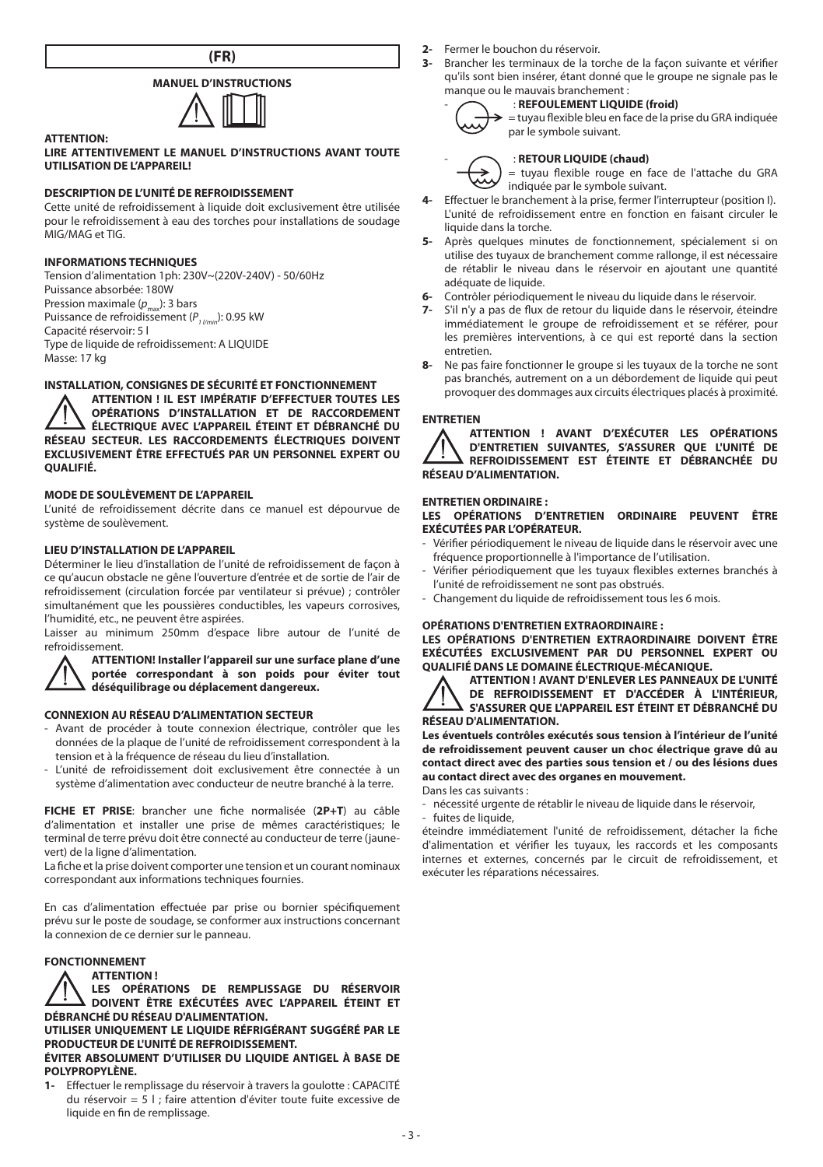**(FR)**

# **MANUEL D'INSTRUCTIONS**



## **LIRE ATTENTIVEMENT LE MANUEL D'INSTRUCTIONS AVANT TOUTE UTILISATION DE L'APPAREIL!**

# **DESCRIPTION DE L'UNITÉ DE REFROIDISSEMENT**

Cette unité de refroidissement à liquide doit exclusivement être utilisée pour le refroidissement à eau des torches pour installations de soudage MIG/MAG et TIG.

#### **INFORMATIONS TECHNIQUES**

**ATTENTION:**

Tension d'alimentation 1ph: 230V~(220V-240V) - 50/60Hz Puissance absorbée: 180W Pression maximale (*p<sub>max</sub>*): 3 bars<br>Puissance de refroidissement (*P<sub>1 l/min</sub>*): 0.95 kW Capacité réservoir: 5 l Type de liquide de refroidissement: A LIQUIDE Masse: 17 kg

# **INSTALLATION, CONSIGNES DE SÉCURITÉ ET FONCTIONNEMENT**

**ATTENTION ! IL EST IMPÉRATIF D'EFFECTUER TOUTES LES OPÉRATIONS D'INSTALLATION ET DE RACCORDEMENT ÉLECTRIQUE AVEC L'APPAREIL ÉTEINT ET DÉBRANCHÉ DU RÉSEAU SECTEUR. LES RACCORDEMENTS ÉLECTRIQUES DOIVENT EXCLUSIVEMENT ÊTRE EFFECTUÉS PAR UN PERSONNEL EXPERT OU QUALIFIÉ.**

# **MODE DE SOULÈVEMENT DE L'APPAREIL**

L'unité de refroidissement décrite dans ce manuel est dépourvue de système de soulèvement.

# **LIEU D'INSTALLATION DE L'APPAREIL**

Déterminer le lieu d'installation de l'unité de refroidissement de façon à ce qu'aucun obstacle ne gêne l'ouverture d'entrée et de sortie de l'air de refroidissement (circulation forcée par ventilateur si prévue) ; contrôler simultanément que les poussières conductibles, les vapeurs corrosives, l'humidité, etc., ne peuvent être aspirées.

Laisser au minimum 250mm d'espace libre autour de l'unité de refroidissement.

#### **ATTENTION! Installer l'appareil sur une surface plane d'une portée correspondant à son poids pour éviter tout déséquilibrage ou déplacement dangereux.**

# **CONNEXION AU RÉSEAU D'ALIMENTATION SECTEUR**

- Avant de procéder à toute connexion électrique, contrôler que les données de la plaque de l'unité de refroidissement correspondent à la tension et à la fréquence de réseau du lieu d'installation.
- L'unité de refroidissement doit exclusivement être connectée à un système d'alimentation avec conducteur de neutre branché à la terre.

**FICHE ET PRISE**: brancher une fiche normalisée (**2P+T**) au câble d'alimentation et installer une prise de mêmes caractéristiques; le terminal de terre prévu doit être connecté au conducteur de terre (jaunevert) de la ligne d'alimentation.

La fiche et la prise doivent comporter une tension et un courant nominaux correspondant aux informations techniques fournies.

En cas d'alimentation effectuée par prise ou bornier spécifiquement prévu sur le poste de soudage, se conformer aux instructions concernant la connexion de ce dernier sur le panneau.

## **FONCTIONNEMENT**

**ATTENTION !**

**LES OPÉRATIONS DE REMPLISSAGE DU RÉSERVOIR DOIVENT ÊTRE EXÉCUTÉES AVEC L'APPAREIL ÉTEINT ET DÉBRANCHÉ DU RÉSEAU D'ALIMENTATION.**

**UTILISER UNIQUEMENT LE LIQUIDE RÉFRIGÉRANT SUGGÉRÉ PAR LE PRODUCTEUR DE L'UNITÉ DE REFROIDISSEMENT.**

### **ÉVITER ABSOLUMENT D'UTILISER DU LIQUIDE ANTIGEL À BASE DE POLYPROPYLÈNE.**

**1-** Effectuer le remplissage du réservoir à travers la goulotte : CAPACITÉ du réservoir = 5 l ; faire attention d'éviter toute fuite excessive de liquide en fin de remplissage.

- **2-** Fermer le bouchon du réservoir.<br>**3-** Brancher les terminaux de la tour
- **3-** Brancher les terminaux de la torche de la façon suivante et vérifier qu'ils sont bien insérer, étant donné que le groupe ne signale pas le manque ou le mauvais branchement :

#### - : **REFOULEMENT LIQUIDE (froid)** = tuyau flexible bleu en face de la prise du GRA indiquée



## par le symbole suivant.

#### - : **RETOUR LIQUIDE (chaud)**

= tuyau flexible rouge en face de l'attache du GRA indiquée par le symbole suivant.

- **4-** Effectuer le branchement à la prise, fermer l'interrupteur (position I). L'unité de refroidissement entre en fonction en faisant circuler le liquide dans la torche.
- **5-** Après quelques minutes de fonctionnement, spécialement si on utilise des tuyaux de branchement comme rallonge, il est nécessaire de rétablir le niveau dans le réservoir en ajoutant une quantité adéquate de liquide.
- **6-** Contrôler périodiquement le niveau du liquide dans le réservoir.
- **7-** S'il n'y a pas de flux de retour du liquide dans le réservoir, éteindre immédiatement le groupe de refroidissement et se référer, pour les premières interventions, à ce qui est reporté dans la section entretien.
- **8-** Ne pas faire fonctionner le groupe si les tuyaux de la torche ne sont pas branchés, autrement on a un débordement de liquide qui peut provoquer des dommages aux circuits électriques placés à proximité.

### **ENTRETIEN**



**ATTENTION ! AVANT D'EXÉCUTER LES OPÉRATIONS D'ENTRETIEN SUIVANTES, S'ASSURER QUE L'UNITÉ DE REFROIDISSEMENT EST ÉTEINTE ET DÉBRANCHÉE DU RÉSEAU D'ALIMENTATION.**

#### **ENTRETIEN ORDINAIRE :**

#### **LES OPÉRATIONS D'ENTRETIEN ORDINAIRE PEUVENT ÊTRE EXÉCUTÉES PAR L'OPÉRATEUR.**

- Vérifier périodiquement le niveau de liquide dans le réservoir avec une fréquence proportionnelle à l'importance de l'utilisation.
- Vérifier périodiquement que les tuyaux flexibles externes branchés à l'unité de refroidissement ne sont pas obstrués.
- Changement du liquide de refroidissement tous les 6 mois.

# **OPÉRATIONS D'ENTRETIEN EXTRAORDINAIRE :**

**LES OPÉRATIONS D'ENTRETIEN EXTRAORDINAIRE DOIVENT ÊTRE EXÉCUTÉES EXCLUSIVEMENT PAR DU PERSONNEL EXPERT OU QUALIFIÉ DANS LE DOMAINE ÉLECTRIQUE-MÉCANIQUE.**

**ATTENTION ! AVANT D'ENLEVER LES PANNEAUX DE L'UNITÉ DE REFROIDISSEMENT ET D'ACCÉDER À L'INTÉRIEUR, S'ASSURER QUE L'APPAREIL EST ÉTEINT ET DÉBRANCHÉ DU RÉSEAU D'ALIMENTATION.**

**Les éventuels contrôles exécutés sous tension à l'intérieur de l'unité de refroidissement peuvent causer un choc électrique grave dû au contact direct avec des parties sous tension et / ou des lésions dues au contact direct avec des organes en mouvement.** Dans les cas suivants :

- nécessité urgente de rétablir le niveau de liquide dans le réservoir,

fuites de liquide.

éteindre immédiatement l'unité de refroidissement, détacher la fiche d'alimentation et vérifier les tuyaux, les raccords et les composants internes et externes, concernés par le circuit de refroidissement, et exécuter les réparations nécessaires.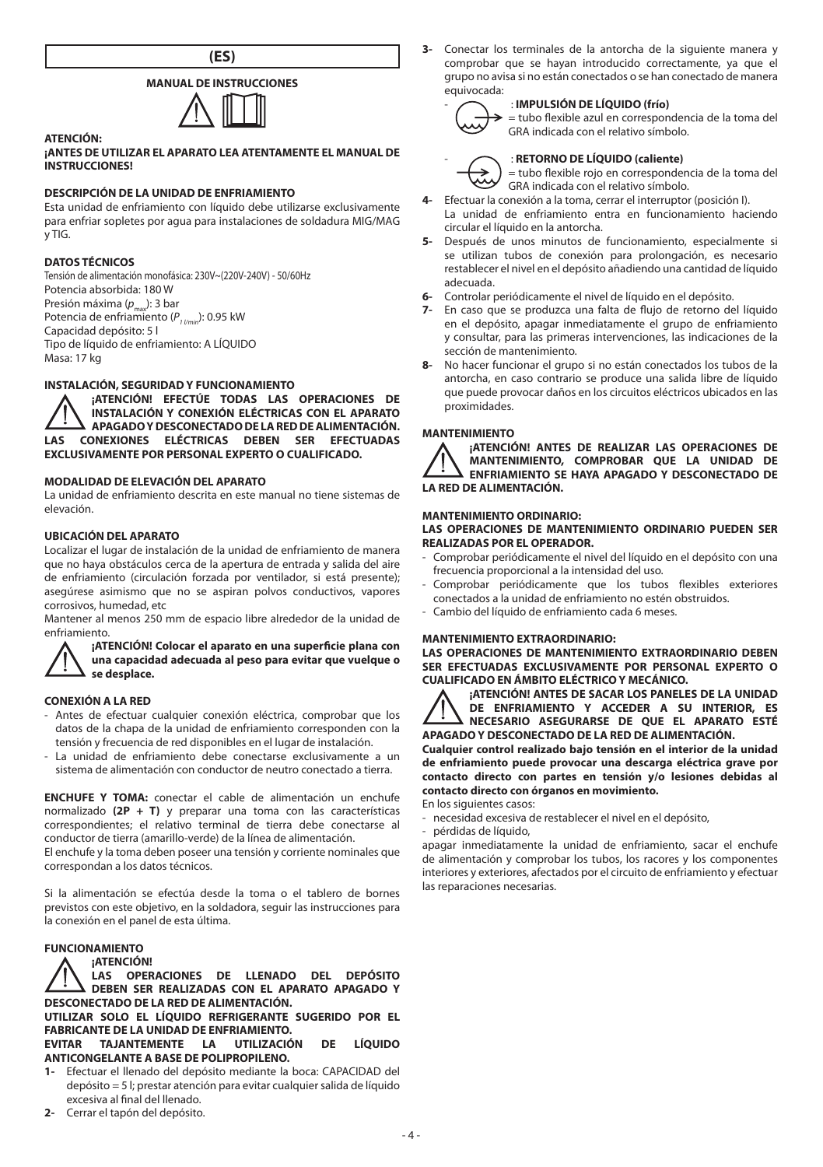

# **MANUAL DE INSTRUCCIONES**



#### **¡ANTES DE UTILIZAR EL APARATO LEA ATENTAMENTE EL MANUAL DE INSTRUCCIONES!**

### **DESCRIPCIÓN DE LA UNIDAD DE ENFRIAMIENTO**

Esta unidad de enfriamiento con líquido debe utilizarse exclusivamente para enfriar sopletes por agua para instalaciones de soldadura MIG/MAG  $V$  TIG.

#### **DATOS TÉCNICOS**

**ATENCIÓN:**

Tensión de alimentación monofásica: 230V~(220V-240V) - 50/60Hz Potencia absorbida: 180 W Presión máxima (*p<sub>max</sub>*): 3 bar<br>Potencia de enfriamiento (*P<sub>1 l/min</sub>*): 0.95 kW Capacidad depósito: 5 l Tipo de líquido de enfriamiento: A LÍQUIDO Masa: 17 kg

### **INSTALACIÓN, SEGURIDAD Y FUNCIONAMIENTO**

**¡ATENCIÓN! EFECTÚE TODAS LAS OPERACIONES DE INSTALACIÓN Y CONEXIÓN ELÉCTRICAS CON EL APARATO APAGADO Y DESCONECTADO DE LA RED DE ALIMENTACIÓN. LAS CONEXIONES ELÉCTRICAS DEBEN SER EFECTUADAS EXCLUSIVAMENTE POR PERSONAL EXPERTO O CUALIFICADO.**

# **MODALIDAD DE ELEVACIÓN DEL APARATO**

La unidad de enfriamiento descrita en este manual no tiene sistemas de elevación.

#### **UBICACIÓN DEL APARATO**

Localizar el lugar de instalación de la unidad de enfriamiento de manera que no haya obstáculos cerca de la apertura de entrada y salida del aire de enfriamiento (circulación forzada por ventilador, si está presente); asegúrese asimismo que no se aspiran polvos conductivos, vapores corrosivos, humedad, etc

Mantener al menos 250 mm de espacio libre alrededor de la unidad de enfriamiento.

#### **¡ATENCIÓN! Colocar el aparato en una superficie plana con una capacidad adecuada al peso para evitar que vuelque o se desplace.**

#### **CONEXIÓN A LA RED**

- Antes de efectuar cualquier conexión eléctrica, comprobar que los datos de la chapa de la unidad de enfriamiento corresponden con la tensión y frecuencia de red disponibles en el lugar de instalación.
- La unidad de enfriamiento debe conectarse exclusivamente a un sistema de alimentación con conductor de neutro conectado a tierra.

**ENCHUFE Y TOMA:** conectar el cable de alimentación un enchufe normalizado **(2P + T)** y preparar una toma con las características correspondientes; el relativo terminal de tierra debe conectarse al conductor de tierra (amarillo-verde) de la línea de alimentación.

El enchufe y la toma deben poseer una tensión y corriente nominales que correspondan a los datos técnicos.

Si la alimentación se efectúa desde la toma o el tablero de bornes previstos con este objetivo, en la soldadora, seguir las instrucciones para la conexión en el panel de esta última.

#### **FUNCIONAMIENTO**

#### **¡ATENCIÓN!**

**LAS OPERACIONES DE LLENADO DEL DEPÓSITO DEBEN SER REALIZADAS CON EL APARATO APAGADO Y DESCONECTADO DE LA RED DE ALIMENTACIÓN.**

**UTILIZAR SOLO EL LÍQUIDO REFRIGERANTE SUGERIDO POR EL FABRICANTE DE LA UNIDAD DE ENFRIAMIENTO.**

**EVITAR TAJANTEMENTE LA UTILIZACIÓN DE LÍQUIDO ANTICONGELANTE A BASE DE POLIPROPILENO.**

- **1-** Efectuar el llenado del depósito mediante la boca: CAPACIDAD del depósito = 5 l; prestar atención para evitar cualquier salida de líquido excesiva al final del llenado.
- **2-** Cerrar el tapón del depósito.

**3-** Conectar los terminales de la antorcha de la siguiente manera y comprobar que se hayan introducido correctamente, ya que el grupo no avisa si no están conectados o se han conectado de manera equivocada:



#### - : **IMPULSIÓN DE LÍQUIDO (frío)** = tubo flexible azul en correspondencia de la toma del

# GRA indicada con el relativo símbolo. - : **RETORNO DE LÍQUIDO (caliente)**

= tubo flexible rojo en correspondencia de la toma del GRA indicada con el relativo símbolo.

- **4-** Efectuar la conexión a la toma, cerrar el interruptor (posición I). La unidad de enfriamiento entra en funcionamiento haciendo circular el líquido en la antorcha.
- **5-** Después de unos minutos de funcionamiento, especialmente si se utilizan tubos de conexión para prolongación, es necesario restablecer el nivel en el depósito añadiendo una cantidad de líquido adecuada.
- **6-** Controlar periódicamente el nivel de líquido en el depósito.
- **7-** En caso que se produzca una falta de flujo de retorno del líquido en el depósito, apagar inmediatamente el grupo de enfriamiento y consultar, para las primeras intervenciones, las indicaciones de la sección de mantenimiento.
- **8-** No hacer funcionar el grupo si no están conectados los tubos de la antorcha, en caso contrario se produce una salida libre de líquido que puede provocar daños en los circuitos eléctricos ubicados en las proximidades.

#### **MANTENIMIENTO**



**¡ATENCIÓN! ANTES DE REALIZAR LAS OPERACIONES DE MANTENIMIENTO, COMPROBAR QUE LA UNIDAD DE ENFRIAMIENTO SE HAYA APAGADO Y DESCONECTADO DE LA RED DE ALIMENTACIÓN.**

# **MANTENIMIENTO ORDINARIO:**

**LAS OPERACIONES DE MANTENIMIENTO ORDINARIO PUEDEN SER REALIZADAS POR EL OPERADOR.**

- Comprobar periódicamente el nivel del líquido en el depósito con una frecuencia proporcional a la intensidad del uso.
- Comprobar periódicamente que los tubos flexibles exteriores conectados a la unidad de enfriamiento no estén obstruidos.
- Cambio del líquido de enfriamiento cada 6 meses.

# **MANTENIMIENTO EXTRAORDINARIO:**

**LAS OPERACIONES DE MANTENIMIENTO EXTRAORDINARIO DEBEN SER EFECTUADAS EXCLUSIVAMENTE POR PERSONAL EXPERTO O CUALIFICADO EN ÁMBITO ELÉCTRICO Y MECÁNICO.**

**¡ATENCIÓN! ANTES DE SACAR LOS PANELES DE LA UNIDAD DE ENFRIAMIENTO Y ACCEDER A SU INTERIOR, ES NECESARIO ASEGURARSE DE QUE EL APARATO ESTÉ APAGADO Y DESCONECTADO DE LA RED DE ALIMENTACIÓN.**

**Cualquier control realizado bajo tensión en el interior de la unidad de enfriamiento puede provocar una descarga eléctrica grave por contacto directo con partes en tensión y/o lesiones debidas al contacto directo con órganos en movimiento.**

En los siguientes casos:

- necesidad excesiva de restablecer el nivel en el depósito,

- pérdidas de líquido,

apagar inmediatamente la unidad de enfriamiento, sacar el enchufe de alimentación y comprobar los tubos, los racores y los componentes interiores y exteriores, afectados por el circuito de enfriamiento y efectuar las reparaciones necesarias.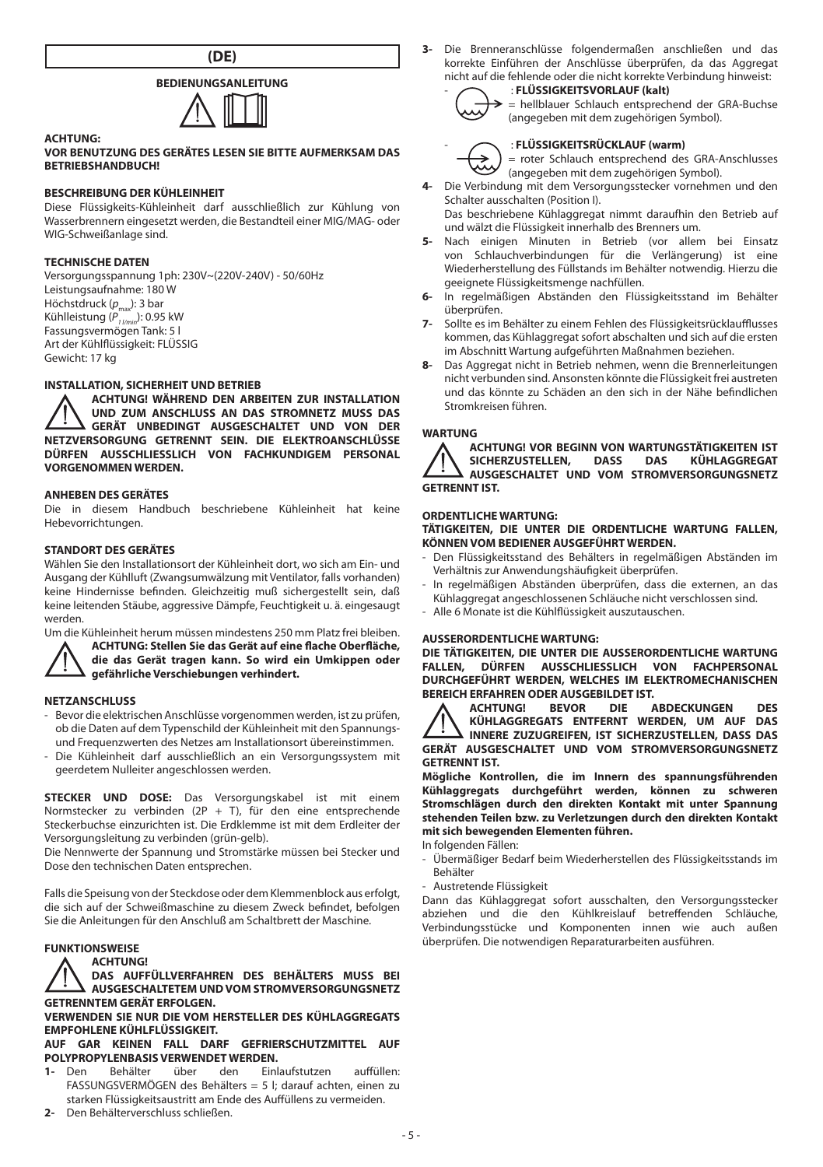

# **BEDIENUNGSANLEITUNG**



#### **VOR BENUTZUNG DES GERÄTES LESEN SIE BITTE AUFMERKSAM DAS BETRIEBSHANDBUCH!**

## **BESCHREIBUNG DER KÜHLEINHEIT**

Diese Flüssigkeits-Kühleinheit darf ausschließlich zur Kühlung von Wasserbrennern eingesetzt werden, die Bestandteil einer MIG/MAG- oder WIG-Schweißanlage sind.

#### **TECHNISCHE DATEN**

**ACHTUNG:**

Versorgungsspannung 1ph: 230V~(220V-240V) - 50/60Hz Leistungsaufnahme: 180 W Höchstdruck (p<sub>max</sub>): 3 bar<br>Kühlleistung (P<sub>1 /min</sub>): 0.95 kW Fassungsvermögen Tank: 5 l Art der Kühlflüssigkeit: FLÜSSIG Gewicht: 17 kg

### **INSTALLATION, SICHERHEIT UND BETRIEB**

**ACHTUNG! WÄHREND DEN ARBEITEN ZUR INSTALLATION UND ZUM ANSCHLUSS AN DAS STROMNETZ MUSS DAS GERÄT UNBEDINGT AUSGESCHALTET UND VON DER NETZVERSORGUNG GETRENNT SEIN. DIE ELEKTROANSCHLÜSSE DÜRFEN AUSSCHLIESSLICH VON FACHKUNDIGEM PERSONAL VORGENOMMEN WERDEN.**

# **ANHEBEN DES GERÄTES**

Die in diesem Handbuch beschriebene Kühleinheit hat keine Hebevorrichtungen.

# **STANDORT DES GERÄTES**

Wählen Sie den Installationsort der Kühleinheit dort, wo sich am Ein- und Ausgang der Kühlluft (Zwangsumwälzung mit Ventilator, falls vorhanden) keine Hindernisse befinden. Gleichzeitig muß sichergestellt sein, daß keine leitenden Stäube, aggressive Dämpfe, Feuchtigkeit u. ä. eingesaugt werden.



Um die Kühleinheit herum müssen mindestens 250 mm Platz frei bleiben. **ACHTUNG: Stellen Sie das Gerät auf eine flache Oberfläche, die das Gerät tragen kann. So wird ein Umkippen oder gefährliche Verschiebungen verhindert.**

#### **NETZANSCHLUSS**

- Bevor die elektrischen Anschlüsse vorgenommen werden, ist zu prüfen, ob die Daten auf dem Typenschild der Kühleinheit mit den Spannungsund Frequenzwerten des Netzes am Installationsort übereinstimmen.
- Die Kühleinheit darf ausschließlich an ein Versorgungssystem mit geerdetem Nulleiter angeschlossen werden.

**STECKER UND DOSE:** Das Versorgungskabel ist mit einem Normstecker zu verbinden (2P + T), für den eine entsprechende Steckerbuchse einzurichten ist. Die Erdklemme ist mit dem Erdleiter der Versorgungsleitung zu verbinden (grün-gelb).

Die Nennwerte der Spannung und Stromstärke müssen bei Stecker und Dose den technischen Daten entsprechen.

Falls die Speisung von der Steckdose oder dem Klemmenblock aus erfolgt, die sich auf der Schweißmaschine zu diesem Zweck befindet, befolgen Sie die Anleitungen für den Anschluß am Schaltbrett der Maschine.

#### **FUNKTIONSWEISE**

#### **ACHTUNG!**

**DAS AUFFÜLLVERFAHREN DES BEHÄLTERS MUSS BEI AUSGESCHALTETEM UND VOM STROMVERSORGUNGSNETZ GETRENNTEM GERÄT ERFOLGEN.**

**VERWENDEN SIE NUR DIE VOM HERSTELLER DES KÜHLAGGREGATS EMPFOHLENE KÜHLFLÜSSIGKEIT.**

# **AUF GAR KEINEN FALL DARF GEFRIERSCHUTZMITTEL AUF POLYPROPYLENBASIS VERWENDET WERDEN.**<br>1. Den Bebälter über den Finlaufstutzen

- **1-** Den Behälter über den Einlaufstutzen auffüllen: FASSUNGSVERMÖGEN des Behälters = 5 l; darauf achten, einen zu starken Flüssigkeitsaustritt am Ende des Auffüllens zu vermeiden.
- **2-** Den Behälterverschluss schließen.

**3-** Die Brenneranschlüsse folgendermaßen anschließen und das korrekte Einführen der Anschlüsse überprüfen, da das Aggregat nicht auf die fehlende oder die nicht korrekte Verbindung hinweist: - : **FLÜSSIGKEITSVORLAUF (kalt)**

$$
\alpha_{\rm s}(\lambda_{\rm s})
$$

# - : **FLÜSSIGKEITSRÜCKLAUF (warm)**

= roter Schlauch entsprechend des GRA-Anschlusses (angegeben mit dem zugehörigen Symbol).

= hellblauer Schlauch entsprechend der GRA-Buchse (angegeben mit dem zugehörigen Symbol).

- **4-** Die Verbindung mit dem Versorgungsstecker vornehmen und den Schalter ausschalten (Position I). Das beschriebene Kühlaggregat nimmt daraufhin den Betrieb auf
- und wälzt die Flüssigkeit innerhalb des Brenners um.
- **5-** Nach einigen Minuten in Betrieb (vor allem bei Einsatz von Schlauchverbindungen für die Verlängerung) ist eine Wiederherstellung des Füllstands im Behälter notwendig. Hierzu die geeignete Flüssigkeitsmenge nachfüllen.
- **6-** In regelmäßigen Abständen den Flüssigkeitsstand im Behälter überprüfen.
- **7-** Sollte es im Behälter zu einem Fehlen des Flüssigkeitsrücklaufflusses kommen, das Kühlaggregat sofort abschalten und sich auf die ersten im Abschnitt Wartung aufgeführten Maßnahmen beziehen.
- **8-** Das Aggregat nicht in Betrieb nehmen, wenn die Brennerleitungen nicht verbunden sind. Ansonsten könnte die Flüssigkeit frei austreten und das könnte zu Schäden an den sich in der Nähe befindlichen Stromkreisen führen.

#### **WARTUNG**



**ACHTUNG! VOR BEGINN VON WARTUNGSTÄTIGKEITEN IST SICHERZUSTELLEN. AUSGESCHALTET UND VOM STROMVERSORGUNGSNETZ GETRENNT IST.**

# **ORDENTLICHE WARTUNG:**

**TÄTIGKEITEN, DIE UNTER DIE ORDENTLICHE WARTUNG FALLEN, KÖNNEN VOM BEDIENER AUSGEFÜHRT WERDEN.**

- Den Flüssigkeitsstand des Behälters in regelmäßigen Abständen im Verhältnis zur Anwendungshäufigkeit überprüfen.
- In regelmäßigen Abständen überprüfen, dass die externen, an das Kühlaggregat angeschlossenen Schläuche nicht verschlossen sind.
- Alle 6 Monate ist die Kühlflüssigkeit auszutauschen.

# **AUSSERORDENTLICHE WARTUNG:**

**DIE TÄTIGKEITEN, DIE UNTER DIE AUSSERORDENTLICHE WARTUNG FALLEN, DÜRFEN AUSSCHLIESSLICH VON FACHPERSONAL DURCHGEFÜHRT WERDEN, WELCHES IM ELEKTROMECHANISCHEN BEREICH ERFAHREN ODER AUSGEBILDET IST.<br>A ACHTUNG! BEVOR DIE ABDECKUNGEN** 

**ACHTUNG! BEVOR DIE ABDECKUNGEN DES KÜHLAGGREGATS ENTFERNT WERDEN, UM AUF DAS INNERE ZUZUGREIFEN, IST SICHERZUSTELLEN, DASS DAS GERÄT AUSGESCHALTET UND VOM STROMVERSORGUNGSNETZ GETRENNT IST.**

**Mögliche Kontrollen, die im Innern des spannungsführenden Kühlaggregats durchgeführt werden, können zu schweren Stromschlägen durch den direkten Kontakt mit unter Spannung stehenden Teilen bzw. zu Verletzungen durch den direkten Kontakt mit sich bewegenden Elementen führen.**

- In folgenden Fällen:
- Übermäßiger Bedarf beim Wiederherstellen des Flüssigkeitsstands im Behälter
- Austretende Flüssigkeit

Dann das Kühlaggregat sofort ausschalten, den Versorgungsstecker abziehen und die den Kühlkreislauf betreffenden Schläuche, Verbindungsstücke und Komponenten innen wie auch außen überprüfen. Die notwendigen Reparaturarbeiten ausführen.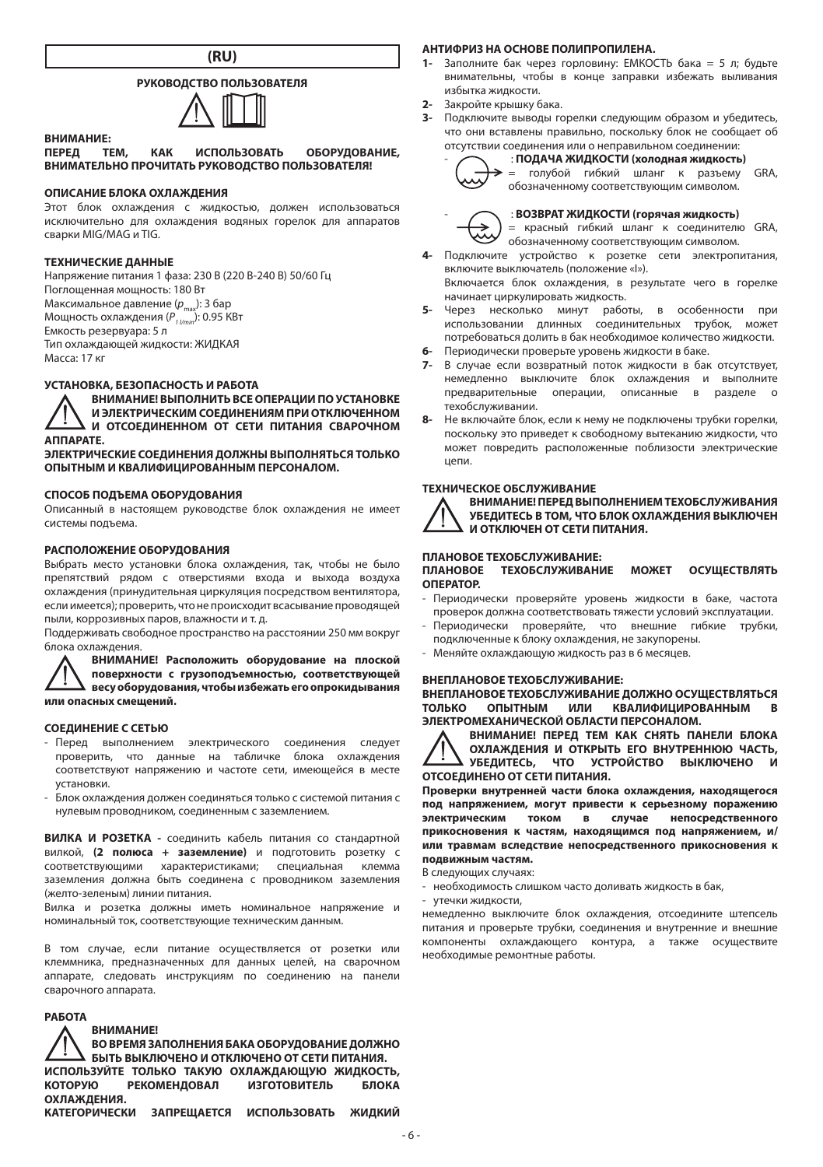

# **РУКОВОДСТВО ПОЛЬЗОВАТЕЛЯ**



**ВНИМАНИЕ: ПЕРЕД ТЕМ, КАК ИСПОЛЬЗОВАТЬ ОБОРУДОВАНИЕ, ВНИМАТЕЛЬНО ПРОЧИТАТЬ РУКОВОДСТВО ПОЛЬЗОВАТЕЛЯ!**

### **ОПИСАНИЕ БЛОКА ОХЛАЖДЕНИЯ**

Этот блок охлаждения с жидкостью, должен использоваться исключительно для охлаждения водяных горелок для аппаратов сварки MIG/MAG и TIG.

#### **ТЕХНИЧЕСКИЕ ДАННЫЕ**

Напряжение питания 1 фаза: 230 В (220 В-240 В) 50/60 Гц Поглощенная мощность: 180 Вт Максимальное давление (*p*max): 3 бар Мощность охлаждения ( $P_{11/2}$ max): 0.95 КВт Емкость резервуара: 5 л Тип охлаждающей жидкости: ЖИДКАЯ Масса: 17 кг

## **УСТАНОВКА, БЕЗОПАСНОСТЬ И РАБОТА**

**ВНИМАНИЕ! ВЫПОЛНИТЬ ВСЕ ОПЕРАЦИИ ПО УСТАНОВКЕ И ЭЛЕКТРИЧЕСКИМ СОЕДИНЕНИЯМ ПРИ ОТКЛЮЧЕННОМ И ОТСОЕДИНЕННОМ ОТ СЕТИ ПИТАНИЯ СВАРОЧНОМ АППАРАТЕ.** 

**ЭЛЕКТРИЧЕСКИЕ СОЕДИНЕНИЯ ДОЛЖНЫ ВЫПОЛНЯТЬСЯ ТОЛЬКО ОПЫТНЫМ И КВАЛИФИЦИРОВАННЫМ ПЕРСОНАЛОМ.**

# **СПОСОБ ПОДЪЕМА ОБОРУДОВАНИЯ**

Описанный в настоящем руководстве блок охлаждения не имеет системы подъема.

### **РАСПОЛОЖЕНИЕ ОБОРУДОВАНИЯ**

Выбрать место установки блока охлаждения, так, чтобы не было препятствий рядом с отверстиями входа и выхода воздуха охлаждения (принудительная циркуляция посредством вентилятора, если имеется); проверить, что не происходит всасывание проводящей пыли, коррозивных паров, влажности и т. д.

Поддерживать свободное пространство на расстоянии 250 мм вокруг блока охлаждения.

**ВНИМАНИЕ! Расположить оборудование на плоской поверхности с грузоподъемностью, соответствующей весу оборудования, чтобы избежать его опрокидывания или опасных смещений.**

#### **СОЕДИНЕНИЕ С СЕТЬЮ**

- Перед выполнением электрического соединения следует проверить, что данные на табличке блока охлаждения соответствуют напряжению и частоте сети, имеющейся в месте установки.
- Блок охлаждения должен соединяться только с системой питания с нулевым проводником, соединенным с заземлением.

**ВИЛКА И РОЗЕТКА -** соединить кабель питания со стандартной вилкой, **(2 полюса + заземление)** и подготовить розетку с соответствующими характеристиками; специальная заземления должна быть соединена с проводником заземления (желто-зеленым) линии питания.

Вилка и розетка должны иметь номинальное напряжение и номинальный ток, соответствующие техническим данным.

В том случае, если питание осуществляется от розетки или клеммника, предназначенных для данных целей, на сварочном аппарате, следовать инструкциям по соединению на панели сварочного аппарата.

#### **РАБОТА**

#### **ВНИМАНИЕ!**

**ВО ВРЕМЯ ЗАПОЛНЕНИЯ БАКА ОБОРУДОВАНИЕ ДОЛЖНО БЫТЬ ВЫКЛЮЧЕНО И ОТКЛЮЧЕНО ОТ СЕТИ ПИТАНИЯ. ИСПОЛЬЗУЙТЕ ТОЛЬКО ТАКУЮ ОХЛАЖДАЮЩУЮ ЖИДКОСТЬ, КОТОРУЮ РЕКОМЕНДОВАЛ ИЗГОТОВИТЕЛЬ БЛОКА ОХЛАЖДЕНИЯ. КАТЕГОРИЧЕСКИ ЗАПРЕЩАЕТСЯ ИСПОЛЬЗОВАТЬ ЖИДКИЙ** 

#### **АНТИФРИЗ НА ОСНОВЕ ПОЛИПРОПИЛЕНА.**

- **1-** Заполните бак через горловину: ЕМКОСТЬ бака = 5 л; будьте внимательны, чтобы в конце заправки избежать выливания избытка жидкости.
- **2-** Закройте крышку бака.
- **3-** Подключите выводы горелки следующим образом и убедитесь, что они вставлены правильно, поскольку блок не сообщает об отсутствии соединения или о неправильном соединении:

#### - : **ПОДАЧА ЖИДКОСТИ (холодная жидкость)**



= голубой гибкий шланг к разъему GRA, обозначенному соответствующим символом.

# - : **ВОЗВРАТ ЖИДКОСТИ (горячая жидкость)**

= красный гибкий шланг к соединителю GRA, обозначенному соответствующим символом.

- **4-** Подключите устройство к розетке сети электропитания, включите выключатель (положение «I»). Включается блок охлаждения, в результате чего в горелке
- начинает циркулировать жидкость. **5-** Через несколько минут работы, в особенности при использовании длинных соединительных трубок, может потребоваться долить в бак необходимое количество жидкости.
- **6-** Периодически проверьте уровень жидкости в баке.
- **7-** В случае если возвратный поток жидкости в бак отсутствует, немедленно выключите блок охлаждения и выполните предварительные операции, описанные в разделе о техобслуживании.
- **8-** Не включайте блок, если к нему не подключены трубки горелки, поскольку это приведет к свободному вытеканию жидкости, что может повредить расположенные поблизости электрические цепи.

#### **ТЕХНИЧЕСКОЕ ОБСЛУЖИВАНИЕ**



**ВНИМАНИЕ! ПЕРЕД ВЫПОЛНЕНИЕМ ТЕХОБСЛУЖИВАНИЯ УБЕДИТЕСЬ В ТОМ, ЧТО БЛОК ОХЛАЖДЕНИЯ ВЫКЛЮЧЕН И ОТКЛЮЧЕН ОТ СЕТИ ПИТАНИЯ.**

#### **ПЛАНОВОЕ ТЕХОБСЛУЖИВАНИЕ:**

**ПЛАНОВОЕ ТЕХОБСЛУЖИВАНИЕ МОЖЕТ ОСУЩЕСТВЛЯТЬ ОПЕРАТОР.**

- Периодически проверяйте уровень жидкости в баке, частота проверок должна соответствовать тяжести условий эксплуатации.
- Периодически проверяйте, что внешние гибкие трубки, подключенные к блоку охлаждения, не закупорены.
- Меняйте охлаждающую жидкость раз в 6 месяцев.

#### **ВНЕПЛАНОВОЕ ТЕХОБСЛУЖИВАНИЕ:**

**ВНЕПЛАНОВОЕ ТЕХОБСЛУЖИВАНИЕ ДОЛЖНО ОСУЩЕСТВЛЯТЬСЯ КВАЛИФИЦИРОВАННЫМ ЭЛЕКТРОМЕХАНИЧЕСКОЙ ОБЛАСТИ ПЕРСОНАЛОМ.**

**ВНИМАНИЕ! ПЕРЕД ТЕМ КАК СНЯТЬ ПАНЕЛИ БЛОКА ОХЛАЖДЕНИЯ И ОТКРЫТЬ ЕГО ВНУТРЕННЮЮ ЧАСТЬ,**  УБЕДИТЕСЬ, ЧТО УСТРОЙСТВО ВЫКЛЮЧЕНО **ОТСОЕДИНЕНО ОТ СЕТИ ПИТАНИЯ.**

**Проверки внутренней части блока охлаждения, находящегося под напряжением, могут привести к серьезному поражению электрическим током в случае непосредственного прикосновения к частям, находящимся под напряжением, и/ или травмам вследствие непосредственного прикосновения к подвижным частям.**

В следующих случаях:

- необходимость слишком часто доливать жидкость в бак,
- утечки жидкости,

немедленно выключите блок охлаждения, отсоедините штепсель питания и проверьте трубки, соединения и внутренние и внешние компоненты охлаждающего контура, а также осуществите необходимые ремонтные работы.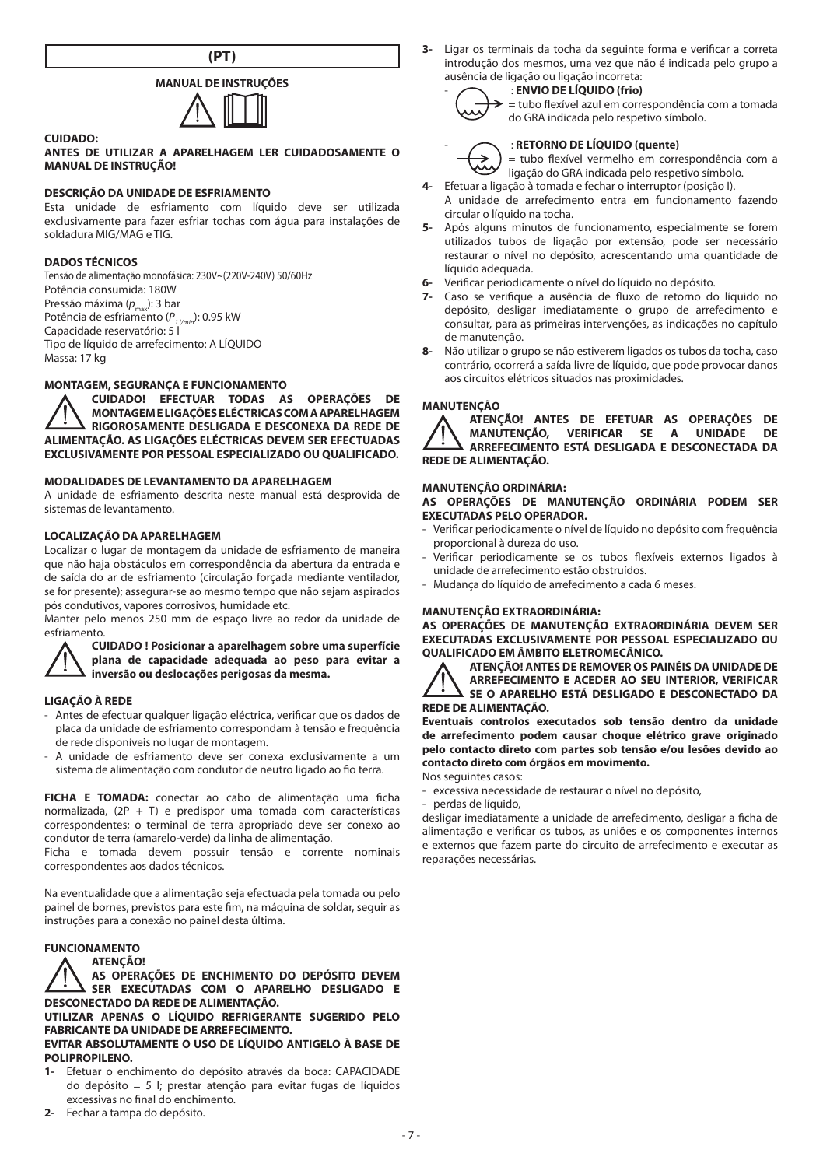

# **MANUAL DE INSTRUÇÕES**



## **ANTES DE UTILIZAR A APARELHAGEM LER CUIDADOSAMENTE O MANUAL DE INSTRUÇÃO!**

# **DESCRIÇÃO DA UNIDADE DE ESFRIAMENTO**

Esta unidade de esfriamento com líquido deve ser utilizada exclusivamente para fazer esfriar tochas com água para instalações de soldadura MIG/MAG e TIG.

#### **DADOS TÉCNICOS**

**CUIDADO:**

Tensão de alimentação monofásica: 230V~(220V-240V) 50/60Hz Potência consumida: 180W Pressão máxima (p<sub>max</sub>): 3 bar Potência de esfriamento ( $P_{11/min}$ ): 0.95 kW Capacidade reservatório: 5 l Tipo de líquido de arrefecimento: A LÍQUIDO Massa: 17 kg

# **MONTAGEM, SEGURANÇA E FUNCIONAMENTO**

**CUIDADO! EFECTUAR TODAS AS OPERAÇÕES DE MONTAGEM E LIGAÇÕES ELÉCTRICAS COM A APARELHAGEM RIGOROSAMENTE DESLIGADA E DESCONEXA DA REDE DE ALIMENTAÇÃO. AS LIGAÇÕES ELÉCTRICAS DEVEM SER EFECTUADAS EXCLUSIVAMENTE POR PESSOAL ESPECIALIZADO OU QUALIFICADO.**

# **MODALIDADES DE LEVANTAMENTO DA APARELHAGEM**

A unidade de esfriamento descrita neste manual está desprovida de sistemas de levantamento.

#### **LOCALIZAÇÃO DA APARELHAGEM**

Localizar o lugar de montagem da unidade de esfriamento de maneira que não haja obstáculos em correspondência da abertura da entrada e de saída do ar de esfriamento (circulação forçada mediante ventilador, se for presente); assegurar-se ao mesmo tempo que não sejam aspirados pós condutivos, vapores corrosivos, humidade etc.

Manter pelo menos 250 mm de espaço livre ao redor da unidade de esfriamento.



**CUIDADO ! Posicionar a aparelhagem sobre uma superfície plana de capacidade adequada ao peso para evitar a inversão ou deslocações perigosas da mesma.**

#### **LIGAÇÃO À REDE**

- Antes de efectuar qualquer ligação eléctrica, verificar que os dados de placa da unidade de esfriamento correspondam à tensão e frequência de rede disponíveis no lugar de montagem.
- A unidade de esfriamento deve ser conexa exclusivamente a um sistema de alimentação com condutor de neutro ligado ao fio terra.

**FICHA E TOMADA:** conectar ao cabo de alimentação uma ficha normalizada, (2P + T) e predispor uma tomada com características correspondentes; o terminal de terra apropriado deve ser conexo ao condutor de terra (amarelo-verde) da linha de alimentação.

Ficha e tomada devem possuir tensão e corrente nominais correspondentes aos dados técnicos.

Na eventualidade que a alimentação seja efectuada pela tomada ou pelo painel de bornes, previstos para este fim, na máquina de soldar, seguir as instruções para a conexão no painel desta última.

#### **FUNCIONAMENTO**

## **ATENÇÃO!**

**AS OPERAÇÕES DE ENCHIMENTO DO DEPÓSITO DEVEM SER EXECUTADAS COM O APARELHO DESLIGADO E DESCONECTADO DA REDE DE ALIMENTAÇÃO.**

**UTILIZAR APENAS O LÍQUIDO REFRIGERANTE SUGERIDO PELO FABRICANTE DA UNIDADE DE ARREFECIMENTO.**

## **EVITAR ABSOLUTAMENTE O USO DE LÍQUIDO ANTIGELO À BASE DE POLIPROPILENO.**

- **1-** Efetuar o enchimento do depósito através da boca: CAPACIDADE do depósito = 5 l; prestar atenção para evitar fugas de líquidos excessivas no final do enchimento.
- **2-** Fechar a tampa do depósito.

**3-** Ligar os terminais da tocha da seguinte forma e verificar a correta introdução dos mesmos, uma vez que não é indicada pelo grupo a ausência de ligação ou ligação incorreta: - : **ENVIO DE LÍQUIDO (frio)**

= tubo flexível azul em correspondência com a tomada do GRA indicada pelo respetivo símbolo.



# - : **RETORNO DE LÍQUIDO (quente)**

= tubo flexível vermelho em correspondência com a ligação do GRA indicada pelo respetivo símbolo.

- **4-** Efetuar a ligação à tomada e fechar o interruptor (posição I). A unidade de arrefecimento entra em funcionamento fazendo circular o líquido na tocha.
- **5-** Após alguns minutos de funcionamento, especialmente se forem utilizados tubos de ligação por extensão, pode ser necessário restaurar o nível no depósito, acrescentando uma quantidade de líquido adequada.
- **6-** Verificar periodicamente o nível do líquido no depósito.
- **7-** Caso se verifique a ausência de fluxo de retorno do líquido no depósito, desligar imediatamente o grupo de arrefecimento e consultar, para as primeiras intervenções, as indicações no capítulo de manutenção.
- **8-** Não utilizar o grupo se não estiverem ligados os tubos da tocha, caso contrário, ocorrerá a saída livre de líquido, que pode provocar danos aos circuitos elétricos situados nas proximidades.

#### **MANUTENÇÃO**

**ATENÇÃO! ANTES DE EFETUAR AS OPERAÇÕES DE MANUTENÇÃO, VERIFICAR SE A UNIDADE DE ARREFECIMENTO ESTÁ DESLIGADA E DESCONECTADA DA REDE DE ALIMENTAÇÃO.**

# **MANUTENÇÃO ORDINÁRIA:**

**AS OPERAÇÕES DE MANUTENÇÃO ORDINÁRIA PODEM SER EXECUTADAS PELO OPERADOR.**

- Verificar periodicamente o nível de líquido no depósito com frequência proporcional à dureza do uso.
- Verificar periodicamente se os tubos flexíveis externos ligados à unidade de arrefecimento estão obstruídos.
- Mudança do líquido de arrefecimento a cada 6 meses.

#### **MANUTENÇÃO EXTRAORDINÁRIA:**

**AS OPERAÇÕES DE MANUTENÇÃO EXTRAORDINÁRIA DEVEM SER EXECUTADAS EXCLUSIVAMENTE POR PESSOAL ESPECIALIZADO OU QUALIFICADO EM ÂMBITO ELETROMECÂNICO.**

**ATENÇÃO! ANTES DE REMOVER OS PAINÉIS DA UNIDADE DE ARREFECIMENTO E ACEDER AO SEU INTERIOR, VERIFICAR SE O APARELHO ESTÁ DESLIGADO E DESCONECTADO DA REDE DE ALIMENTAÇÃO.**

**Eventuais controlos executados sob tensão dentro da unidade de arrefecimento podem causar choque elétrico grave originado pelo contacto direto com partes sob tensão e/ou lesões devido ao contacto direto com órgãos em movimento.**

Nos seguintes casos:

- excessiva necessidade de restaurar o nível no depósito,

perdas de líquido,

desligar imediatamente a unidade de arrefecimento, desligar a ficha de alimentação e verificar os tubos, as uniões e os componentes internos e externos que fazem parte do circuito de arrefecimento e executar as reparações necessárias.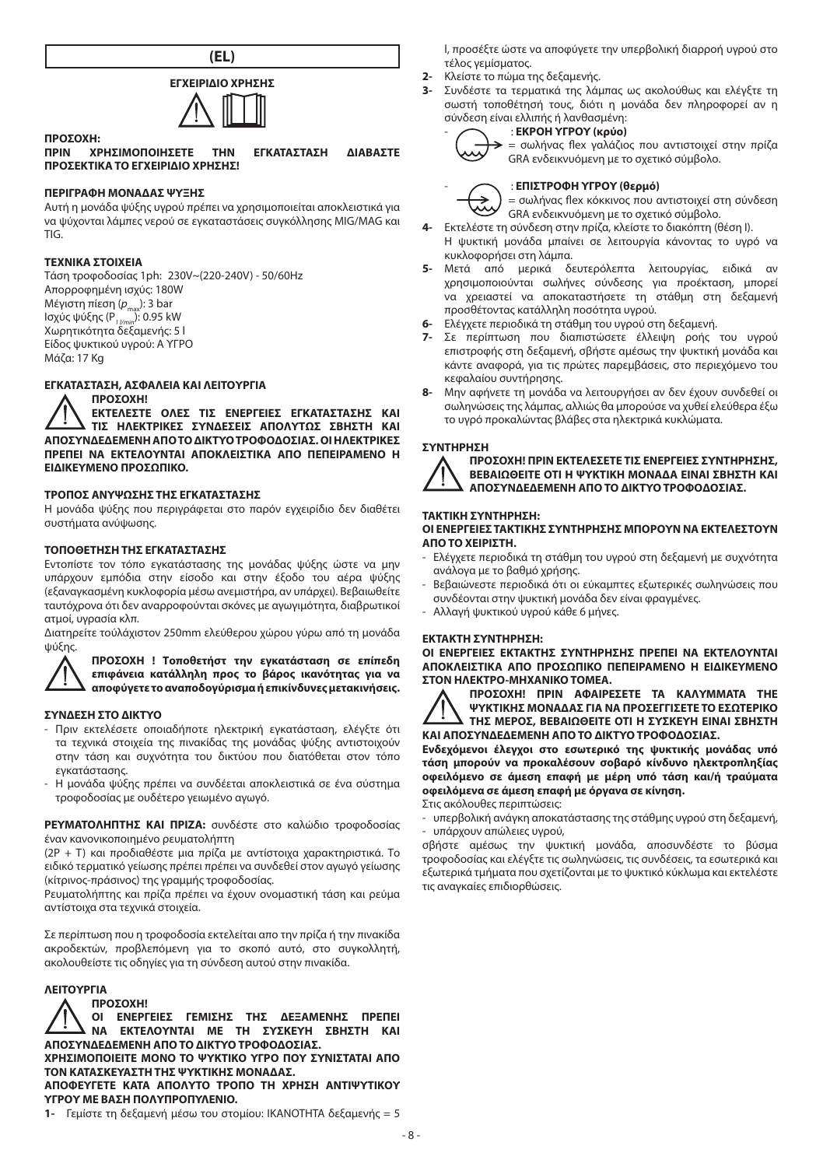



**ΠΡΟΣΟΧΗ: ΠΡΙΝ ΧΡΗΣΙΜΟΠΟΙΗΣΕΤΕ ΤΗΝ ΕΓΚΑΤΑΣΤΑΣΗ ΔΙΑΒΑΣΤΕ ΠΡΟΣΕΚΤΙΚΑ ΤΟ ΕΓΧΕΙΡΙΔΙΟ ΧΡΗΣΗΣ!**

# **ΠΕΡΙΓΡΑΦΗ ΜΟΝΑΔΑΣ ΨΥΞΗΣ**

Αυτή η μονάδα ψύξης υγρού πρέπει να χρησιμοποιείται αποκλειστικά για να ψύχονται λάμπες νερού σε εγκαταστάσεις συγκόλλησης MIG/MΑG και TIG.

#### **ΤΕΧΝΙΚΑ ΣΤΟΙΧΕΙΑ**

Τάση τροφοδοσίας 1ph: 230V~(220-240V) - 50/60Hz Απορροφημένη ισχύς: 180W Μέγιστη πίεση (p<sub>max</sub>): 3 bar<br>Ισχύς ψύξης (P<sub>*1 <u>l</u>/min*</sub>): 0.95 kW Χωρητικότητα δεξαμενής: 5 l Είδος ψυκτικού υγρού: A ΥΓΡΟ Μάζα: 17 Kg

# **ΕΓΚΑΤΑΣΤΑΣΗ, ΑΣΦΑΛΕΙΑ ΚΑΙ ΛΕΙΤΟΥΡΓΙΑ**

**ΠΡΟΣΟΧΗ!** 

**ΕΚΤΕΛΕΣΤΕ ΟΛΕΣ ΤΙΣ ΕΝΕΡΓΕΙΕΣ ΕΓΚΑΤΑΣΤΑΣΗΣ ΚΑΙ ΤΙΣ ΗΛΕΚΤΡΙΚΕΣ ΣΥΝΔΕΣΕΙΣ ΑΠΟΛΥΤΩΣ ΣΒΗΣΤΗ ΚΑΙ ΑΠΟΣΥΝΔΕΔΕΜΕΝΗ ΑΠΟ ΤΟ ΔΙΚΤΥΟ ΤΡΟΦΟΔΟΣΙΑΣ. ΟΙ ΗΛΕΚΤΡΙΚΕΣ ΠΡΕΠΕΙ ΝΑ ΕΚΤΕΛΟΥΝΤΑΙ ΑΠΟΚΛΕΙΣΤΙΚΑ ΑΠΟ ΠΕΠΕΙΡΑΜΕΝΟ Η ΕΙΔΙΚΕΥΜΕΝΟ ΠΡΟΣΩΠΙΚΟ.**

# **ΤΡΟΠΟΣ ΑΝΥΨΩΣΗΣ ΤΗΣ ΕΓΚΑΤΑΣΤΑΣΗΣ**

Η μονάδα ψύξης που περιγράφεται στο παρόν εγχειρίδιο δεν διαθέτει συστήματα ανύψωσης.

# **ΤΟΠΟΘΕΤΗΣΗ ΤΗΣ ΕΓΚΑΤΑΣΤΑΣΗΣ**

Εντοπίστε τον τόπο εγκατάστασης της μονάδας ψύξης ώστε να μην υπάρχουν εμπόδια στην είσοδο και στην έξοδο του αέρα ψύξης (εξαναγκασμένη κυκλοφορία μέσω ανεμιστήρα, αν υπάρχει). Βεβαιωθείτε ταυτόχρονα ότι δεν αναρροφούνται σκόνες με αγωγιμότητα, διαβρωτικοί ατμοί, υγρασία κλπ.

Διατηρείτε τούλάχιστον 250mm ελεύθερου χώρου γύρω από τη μονάδα ψύξης.



#### **ΣΥΝΔΕΣΗ ΣΤΟ ΔΙΚΤΥΟ**

- Πριν εκτελέσετε οποιαδήποτε ηλεκτρική εγκατάσταση, ελέγξτε ότι τα τεχνικά στοιχεία της πινακίδας της μονάδας ψύξης αντιστοιχούν στην τάση και συχνότητα του δικτύου που διατόθεται στον τόπο εγκατάστασης.
- Η μονάδα ψύξης πρέπει να συνδέεται αποκλειστικά σε ένα σύστημα τροφοδοσίας με ουδέτερο γειωμένο αγωγό.

**ΡΕΥΜΑΤΟΛΗΠΤΗΣ ΚΑΙ ΠΡΙΖΑ:** συνδέστε στο καλώδιο τροφοδοσίας έναν κανονικοποιημένο ρευματολήπτη

(2P + T) και προδιαθέστε μια πρίζα με αντίστοιχα χαρακτηριστικά. Το ειδικό τερματικό γείωσης πρέπει πρέπει να συνδεθεί στον αγωγό γείωσης (κίτρινος-πράσινος) της γραμμής τροφοδοσίας.

Ρευματολήπτης και πρίζα πρέπει να έχουν ονομαστική τάση και ρεύμα αντίστοιχα στα τεχνικά στοιχεία.

Σε περίπτωση που η τροφοδοσία εκτελείται απο την πρίζα ή την πινακίδα ακροδεκτών, προβλεπόμενη για το σκοπό αυτό, στο συγκολλητή, ακολουθείστε τις οδηγίες για τη σύνδεση αυτού στην πινακίδα.

# **ΛΕΙΤΟΥΡΓΙΑ**

**ΠΡΟΣΟΧΗ! ΟΙ ΕΝΕΡΓΕΙΕΣ ΓΕΜΙΣΗΣ ΤΗΣ ΔΕΞΑΜΕΝΗΣ ΠΡΕΠΕΙ ΝΑ ΕΚΤΕΛΟΥΝΤΑΙ ΜΕ ΤΗ ΣΥΣΚΕΥΗ ΣΒΗΣΤΗ ΚΑΙ ΑΠΟΣΥΝΔΕΔΕΜΕΝΗ ΑΠΟ ΤΟ ΔΙΚΤΥΟ ΤΡΟΦΟΔΟΣΙΑΣ. ΧΡΗΣΙΜΟΠΟΙΕΙΤΕ ΜΟΝΟ ΤΟ ΨΥΚΤΙΚΟ ΥΓΡΟ ΠΟΥ ΣΥΝΙΣΤΑΤΑΙ ΑΠΟ ΤΟΝ ΚΑΤΑΣΚΕΥΑΣΤΗ ΤΗΣ ΨΥΚΤΙΚΗΣ ΜΟΝΑΔΑΣ. ΑΠΟΦΕΥΓΕΤΕ ΚΑΤΑ ΑΠΟΛΥΤΟ ΤΡΟΠΟ ΤΗ ΧΡΗΣΗ ΑΝΤΙΨΥΤΙΚΟΥ ΥΓΡΟΥ ΜΕ ΒΑΣΗ ΠΟΛΥΠΡΟΠΥΛΕΝΙΟ.**

**1-** Γεμίστε τη δεξαμενή μέσω του στομίου: ΙΚΑΝΟΤΗΤΑ δεξαμενής = 5

l, προσέξτε ώστε να αποφύγετε την υπερβολική διαρροή υγρού στο τέλος γεμίσματος.

- **2-** Κλείστε το πώμα της δεξαμενής.
- **3-** Συνδέστε τα τερματικά της λάμπας ως ακολούθως και ελέγξτε τη σωστή τοποθέτησή τους, διότι η μονάδα δεν πληροφορεί αν η σύνδεση είναι ελλιπής ή λανθασμένη: - : **ΕΚΡΟΗ ΥΓΡΟΥ (κρύο)**



= σωλήνας flex γαλάζιος που αντιστοιχεί στην πρίζα GRA ενδεικνυόμενη με το σχετικό σύμβολο.



- : **ΕΠΙΣΤΡΟΦΗ ΥΓΡΟΥ (θερμό)**

= σωλήνας flex κόκκινος που αντιστοιχεί στη σύνδεση GRA ενδεικνυόμενη με το σχετικό σύμβολο.

- **4-** Εκτελέστε τη σύνδεση στην πρίζα, κλείστε το διακόπτη (θέση I). Η ψυκτική μονάδα μπαίνει σε λειτουργία κάνοντας το υγρό να κυκλοφορήσει στη λάμπα.
- **5-** Μετά από μερικά δευτερόλεπτα λειτουργίας, ειδικά αν χρησιμοποιούνται σωλήνες σύνδεσης για προέκταση, μπορεί να χρειαστεί να αποκαταστήσετε τη στάθμη στη δεξαμενή προσθέτοντας κατάλληλη ποσότητα υγρού.
- **6-** Ελέγχετε περιοδικά τη στάθμη του υγρού στη δεξαμενή.
- **7-** Σε περίπτωση που διαπιστώσετε έλλειψη ροής του υγρού επιστροφής στη δεξαμενή, σβήστε αμέσως την ψυκτική μονάδα και κάντε αναφορά, για τις πρώτες παρεμβάσεις, στο περιεχόμενο του κεφαλαίου συντήρησης.
- **8-** Μην αφήνετε τη μονάδα να λειτουργήσει αν δεν έχουν συνδεθεί οι σωληνώσεις της λάμπας, αλλιώς θα μπορούσε να χυθεί ελεύθερα έξω το υγρό προκαλώντας βλάβες στα ηλεκτρικά κυκλώματα.

### **ΣΥΝΤΗΡΗΣΗ**



**ΠΡΟΣΟΧΗ! ΠΡΙΝ ΕΚΤΕΛΕΣΕΤΕ ΤΙΣ ΕΝΕΡΓΕΙΕΣ ΣΥΝΤΗΡΗΣΗΣ, ΒΕΒΑΙΩΘΕΙΤΕ ΟΤΙ Η ΨΥΚΤΙΚΗ ΜΟΝΑΔΑ ΕΙΝΑΙ ΣΒΗΣΤΗ ΚΑΙ ΑΠΟΣΥΝΔΕΔΕΜΕΝΗ ΑΠΟ ΤΟ ΔΙΚΤΥΟ ΤΡΟΦΟΔΟΣΙΑΣ.**

### **ΤΑΚΤΙΚΗ ΣΥΝΤΗΡΗΣΗ:**

**ΟΙ ΕΝΕΡΓΕΙΕΣ ΤΑΚΤΙΚΗΣ ΣΥΝΤΗΡΗΣΗΣ ΜΠΟΡΟΥΝ ΝΑ ΕΚΤΕΛΕΣΤΟΥΝ ΑΠΟ ΤΟ ΧΕΙΡΙΣΤΗ.**

- Ελέγχετε περιοδικά τη στάθμη του υγρού στη δεξαμενή με συχνότητα ανάλογα με τo βαθμό χρήσης.
- Βεβαιώνεστε περιοδικά ότι οι εύκαμπτες εξωτερικές σωληνώσεις που συνδέονται στην ψυκτική μονάδα δεν είναι φραγμένες.
- Αλλαγή ψυκτικού υγρού κάθε 6 μήνες.

# **ΕΚΤΑΚΤΗ ΣΥΝΤΗΡΗΣΗ:**

**ΟΙ ΕΝΕΡΓΕΙΕΣ ΕΚΤΑΚΤΗΣ ΣΥΝΤΗΡΗΣΗΣ ΠΡΕΠΕΙ ΝΑ ΕΚΤΕΛΟΥΝΤΑΙ ΑΠΟΚΛΕΙΣΤΙΚΑ ΑΠΟ ΠΡΟΣΩΠΙΚΟ ΠΕΠΕΙΡΑΜΕΝΟ Η ΕΙΔΙΚΕΥΜΕΝΟ ΣΤΟΝ ΗΛΕΚΤΡΟ-ΜΗΧΑΝΙΚΟ ΤΟΜΕΑ.**

**ΠΡΟΣΟΧΗ! ΠΡΙΝ ΑΦΑΙΡΕΣΕΤΕ ΤΑ ΚΑΛΥΜΜΑΤΑ ΤΗΕ ΨΥΚΤΙΚΗΣ ΜΟΝΑΔΑΣ ΓΙΑ ΝΑ ΠΡΟΣΕΓΓΙΣΕΤΕ ΤΟ ΕΣΩΤΕΡΙΚΟ ΤΗΣ ΜΕΡΟΣ, ΒΕΒΑΙΩΘΕΙΤΕ ΟΤΙ Η ΣΥΣΚΕΥΗ ΕΙΝΑΙ ΣΒΗΣΤΗ ΚΑΙ ΑΠΟΣΥΝΔΕΔΕΜΕΝΗ ΑΠΟ ΤΟ ΔΙΚΤΥΟ ΤΡΟΦΟΔΟΣΙΑΣ.**

**Ενδεχόμενοι έλεγχοι στο εσωτερικό της ψυκτικής μονάδας υπό τάση μπορούν να προκαλέσουν σοβαρό κίνδυνο ηλεκτροπληξίας οφειλόμενο σε άμεση επαφή με μέρη υπό τάση και/ή τραύματα οφειλόμενα σε άμεση επαφή με όργανα σε κίνηση.**

Στις ακόλουθες περιπτώσεις:

- υπερβολική ανάγκη αποκατάστασης της στάθμης υγρού στη δεξαμενή, - υπάρχουν απώλειες υγρού,

σβήστε αμέσως την ψυκτική μονάδα, αποσυνδέστε το βύσμα τροφοδοσίας και ελέγξτε τις σωληνώσεις, τις συνδέσεις, τα εσωτερικά και εξωτερικά τμήματα που σχετίζονται με το ψυκτικό κύκλωμα και εκτελέστε τις αναγκαίες επιδιορθώσεις.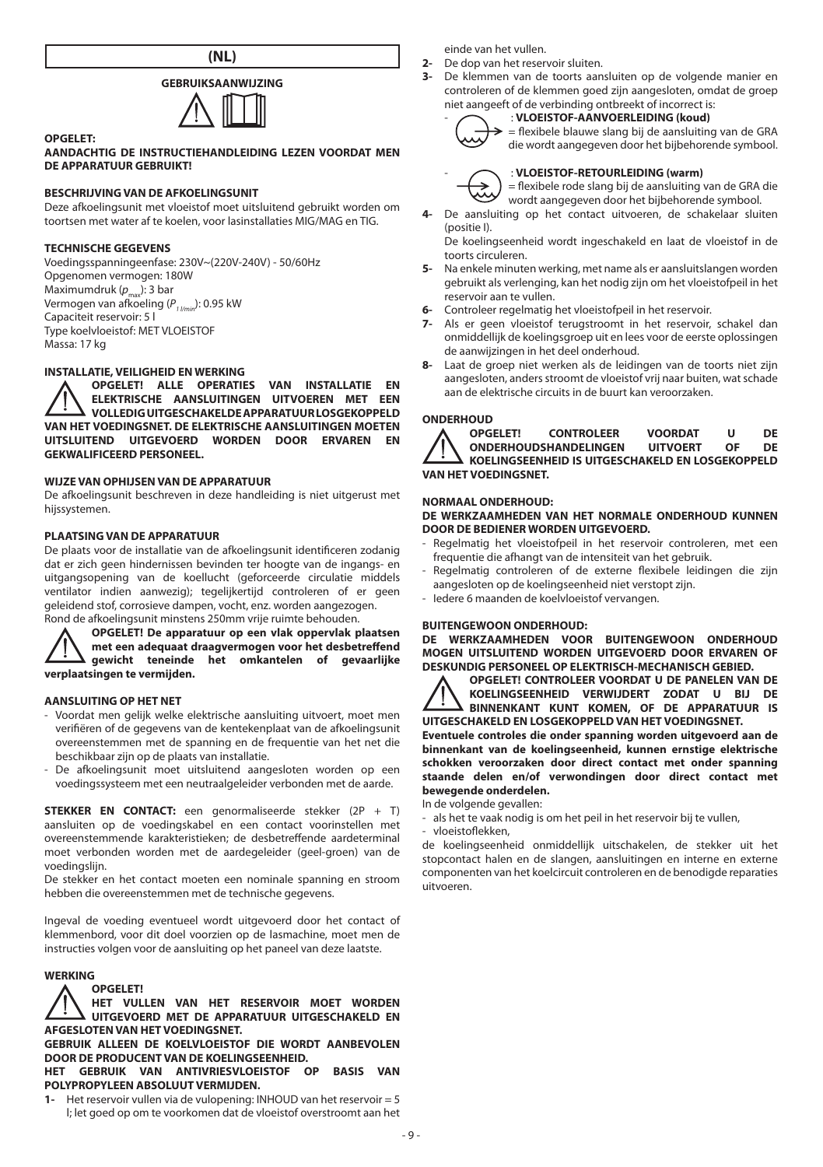**(NL)**

# **GEBRUIKSAANWIJZING**



#### **AANDACHTIG DE INSTRUCTIEHANDLEIDING LEZEN VOORDAT MEN DE APPARATUUR GEBRUIKT!**

# **BESCHRIJVING VAN DE AFKOELINGSUNIT**

Deze afkoelingsunit met vloeistof moet uitsluitend gebruikt worden om toortsen met water af te koelen, voor lasinstallaties MIG/MAG en TIG.

#### **TECHNISCHE GEGEVENS**

**OPGELET:**

Voedingsspanningeenfase: 230V~(220V-240V) - 50/60Hz Opgenomen vermogen: 180W Maximumdruk ( $p_{\text{max}}$ ): 3 bar Vermogen van afkoeling (P<sub>1/min</sub>): 0.95 kW Capaciteit reservoir: 5 l Type koelvloeistof: MET VLOEISTOF Massa: 17 kg

# **INSTALLATIE, VEILIGHEID EN WERKING**

**OPGELET! ALLE OPERATIES VAN INSTALLATIE EN ELEKTRISCHE AANSLUITINGEN UITVOEREN MET EEN VOLLEDIG UITGESCHAKELDE APPARATUUR LOSGEKOPPELD VAN HET VOEDINGSNET. DE ELEKTRISCHE AANSLUITINGEN MOETEN UITSLUITEND UITGEVOERD WORDEN DOOR ERVAREN EN GEKWALIFICEERD PERSONEEL.**

# **WIJZE VAN OPHIJSEN VAN DE APPARATUUR**

De afkoelingsunit beschreven in deze handleiding is niet uitgerust met hijssystemen.

#### **PLAATSING VAN DE APPARATUUR**

De plaats voor de installatie van de afkoelingsunit identificeren zodanig dat er zich geen hindernissen bevinden ter hoogte van de ingangs- en uitgangsopening van de koellucht (geforceerde circulatie middels ventilator indien aanwezig); tegelijkertijd controleren of er geen geleidend stof, corrosieve dampen, vocht, enz. worden aangezogen. Rond de afkoelingsunit minstens 250mm vrije ruimte behouden.

**OPGELET! De apparatuur op een vlak oppervlak plaatsen met een adequaat draagvermogen voor het desbetreffend gewicht teneinde het omkantelen of gevaarlijke verplaatsingen te vermijden.**

#### **AANSLUITING OP HET NET**

- Voordat men gelijk welke elektrische aansluiting uitvoert, moet men verifiëren of de gegevens van de kentekenplaat van de afkoelingsunit overeenstemmen met de spanning en de frequentie van het net die beschikbaar zijn op de plaats van installatie.
- De afkoelingsunit moet uitsluitend aangesloten worden op een voedingssysteem met een neutraalgeleider verbonden met de aarde.

**STEKKER EN CONTACT:** een genormaliseerde stekker (2P + T) aansluiten op de voedingskabel en een contact voorinstellen met overeenstemmende karakteristieken; de desbetreffende aardeterminal moet verbonden worden met de aardegeleider (geel-groen) van de voedingslijn.

De stekker en het contact moeten een nominale spanning en stroom hebben die overeenstemmen met de technische gegevens.

Ingeval de voeding eventueel wordt uitgevoerd door het contact of klemmenbord, voor dit doel voorzien op de lasmachine, moet men de instructies volgen voor de aansluiting op het paneel van deze laatste.

# **WERKING**

**OPGELET! HET VULLEN VAN HET RESERVOIR MOET WORDEN UITGEVOERD MET DE APPARATUUR UITGESCHAKELD EN AFGESLOTEN VAN HET VOEDINGSNET.**

**GEBRUIK ALLEEN DE KOELVLOEISTOF DIE WORDT AANBEVOLEN DOOR DE PRODUCENT VAN DE KOELINGSEENHEID.**

**HET GEBRUIK VAN ANTIVRIESVLOEISTOF OP BASIS VAN POLYPROPYLEEN ABSOLUUT VERMIJDEN.**

**1-** Het reservoir vullen via de vulopening: INHOUD van het reservoir = 5 l; let goed op om te voorkomen dat de vloeistof overstroomt aan het einde van het vullen.

- **2-** De dop van het reservoir sluiten.<br>**3-** De klemmen van de toorts aan
- **3-** De klemmen van de toorts aansluiten op de volgende manier en controleren of de klemmen goed zijn aangesloten, omdat de groep niet aangeeft of de verbinding ontbreekt of incorrect is: - : **VLOEISTOF-AANVOERLEIDING (koud)**



#### = flexibele blauwe slang bij de aansluiting van de GRA

die wordt aangegeven door het bijbehorende symbool.



- : **VLOEISTOF-RETOURLEIDING (warm)**

= flexibele rode slang bij de aansluiting van de GRA die wordt aangegeven door het bijbehorende symbool.

**4-** De aansluiting op het contact uitvoeren, de schakelaar sluiten (positie I).

De koelingseenheid wordt ingeschakeld en laat de vloeistof in de toorts circuleren.

- **5-** Na enkele minuten werking, met name als er aansluitslangen worden gebruikt als verlenging, kan het nodig zijn om het vloeistofpeil in het reservoir aan te vullen.
- **6-** Controleer regelmatig het vloeistofpeil in het reservoir.
- **7-** Als er geen vloeistof terugstroomt in het reservoir, schakel dan onmiddellijk de koelingsgroep uit en lees voor de eerste oplossingen de aanwijzingen in het deel onderhoud.
- **8-** Laat de groep niet werken als de leidingen van de toorts niet zijn aangesloten, anders stroomt de vloeistof vrij naar buiten, wat schade aan de elektrische circuits in de buurt kan veroorzaken.



**ONDERHOUD**<br> **A** OPGELET! **CONTROLEER VOORDAT U DE**<br>HANDELINGEN UITVOERT OF DE **ONDERHOUDSHANDELINGEN KOELINGSEENHEID IS UITGESCHAKELD EN LOSGEKOPPELD VAN HET VOEDINGSNET.**

#### **NORMAAL ONDERHOUD:**

#### **DE WERKZAAMHEDEN VAN HET NORMALE ONDERHOUD KUNNEN DOOR DE BEDIENER WORDEN UITGEVOERD.**

- Regelmatig het vloeistofpeil in het reservoir controleren, met een frequentie die afhangt van de intensiteit van het gebruik.
- Regelmatig controleren of de externe flexibele leidingen die zijn aangesloten op de koelingseenheid niet verstopt zijn.
- Iedere 6 maanden de koelvloeistof vervangen.

#### **BUITENGEWOON ONDERHOUD:**

**DE WERKZAAMHEDEN VOOR BUITENGEWOON ONDERHOUD MOGEN UITSLUITEND WORDEN UITGEVOERD DOOR ERVAREN OF DESKUNDIG PERSONEEL OP ELEKTRISCH-MECHANISCH GEBIED.**

**OPGELET! CONTROLEER VOORDAT U DE PANELEN VAN DE KOELINGSEENHEID VERWIJDERT ZODAT U BIJ DE BINNENKANT KUNT KOMEN, OF DE APPARATUUR IS UITGESCHAKELD EN LOSGEKOPPELD VAN HET VOEDINGSNET.**

**Eventuele controles die onder spanning worden uitgevoerd aan de binnenkant van de koelingseenheid, kunnen ernstige elektrische schokken veroorzaken door direct contact met onder spanning staande delen en/of verwondingen door direct contact met bewegende onderdelen.**

In de volgende gevallen:

als het te vaak nodig is om het peil in het reservoir bij te vullen,

- vloeistoflekken,

de koelingseenheid onmiddellijk uitschakelen, de stekker uit het stopcontact halen en de slangen, aansluitingen en interne en externe componenten van het koelcircuit controleren en de benodigde reparaties uitvoeren.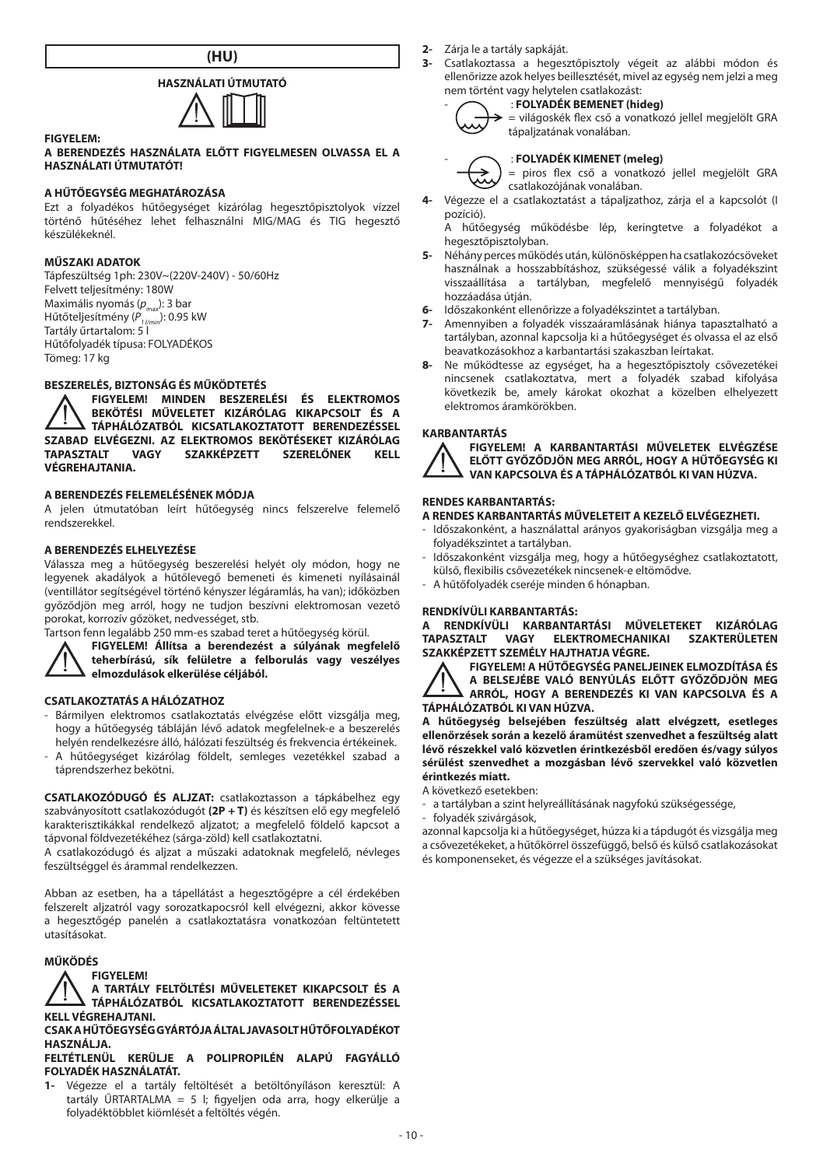**(HU)**

# **HASZNÁLATI ÚTMUTATÓ**



#### **A BERENDEZÉS HASZNÁLATA ELŐTT FIGYELMESEN OLVASSA EL A HASZNÁLATI ÚTMUTATÓT!**

# **A HŰTŐEGYSÉG MEGHATÁROZÁSA**

Ezt a folyadékos hűtőegységet kizárólag hegesztőpisztolyok vízzel történő hűtéséhez lehet felhasználni MIG/MAG és TIG hegesztő készülékeknél.

#### **MŰSZAKI ADATOK**

**FIGYELEM:**

Tápfeszültség 1ph: 230V~(220V-240V) - 50/60Hz Felvett teljesítmény: 180W Maximális nyomás (p<sub>max</sub>): 3 bar Hűtőteljesítmény ( $\overline{P}_{1 \text{ /min}}^{\text{max}}$ ): 0.95 kW Tartály űrtartalom: 5 l Hűtőfolyadék típusa: FOLYADÉKOS Tömeg: 17 kg

# **BESZERELÉS, BIZTONSÁG ÉS MŰKÖDTETÉS**

**FIGYELEM! MINDEN BESZERELÉSI ÉS ELEKTROMOS BEKÖTÉSI MŰVELETET KIZÁRÓLAG KIKAPCSOLT ÉS A TÁPHÁLÓZATBÓL KICSATLAKOZTATOTT BERENDEZÉSSEL SZABAD ELVÉGEZNI. AZ ELEKTROMOS BEKÖTÉSEKET KIZÁRÓLAG SZAKKÉPZETT VÉGREHAJTANIA.**

# **A BERENDEZÉS FELEMELÉSÉNEK MÓDJA**

A jelen útmutatóban leírt hűtőegység nincs felszerelve felemelő rendszerekkel.

# **A BERENDEZÉS ELHELYEZÉSE**

Válassza meg a hűtőegység beszerelési helyét oly módon, hogy ne legyenek akadályok a hűtőlevegő bemeneti és kimeneti nyílásainál (ventillátor segítségével történő kényszer légáramlás, ha van); időközben győződjön meg arról, hogy ne tudjon beszívni elektromosan vezető porokat, korrozív gőzöket, nedvességet, stb.

Tartson fenn legalább 250 mm-es szabad teret a hűtőegység körül.



**FIGYELEM! Állítsa a berendezést a súlyának megfelelő** 

**teherbírású, sík felületre a felborulás vagy veszélyes elmozdulások elkerülése céljából.**

#### **CSATLAKOZTATÁS A HÁLÓZATHOZ**

- Bármilyen elektromos csatlakoztatás elvégzése előtt vizsgálja meg, hogy a hűtőegység tábláján lévő adatok megfelelnek-e a beszerelés helyén rendelkezésre álló, hálózati feszültség és frekvencia értékeinek.
- A hűtőegységet kizárólag földelt, semleges vezetékkel szabad a táprendszerhez bekötni.

**CSATLAKOZÓDUGÓ ÉS ALJZAT:** csatlakoztasson a tápkábelhez egy szabványosított csatlakozódugót **(2P + T)** és készítsen elő egy megfelelő karakterisztikákkal rendelkező aljzatot; a megfelelő földelő kapcsot a tápvonal földvezetékéhez (sárga-zöld) kell csatlakoztatni.

A csatlakozódugó és aljzat a műszaki adatoknak megfelelő, névleges feszültséggel és árammal rendelkezzen.

Abban az esetben, ha a tápellátást a hegesztőgépre a cél érdekében felszerelt aljzatról vagy sorozatkapocsról kell elvégezni, akkor kövesse a hegesztőgép panelén a csatlakoztatásra vonatkozóan feltüntetett utasításokat.

# **MŰKÖDÉS**

**FIGYELEM!**

**A TARTÁLY FELTÖLTÉSI MŰVELETEKET KIKAPCSOLT ÉS A TÁPHÁLÓZATBÓL KICSATLAKOZTATOTT BERENDEZÉSSEL KELL VÉGREHAJTANI.**

## **CSAK A HŰTŐEGYSÉG GYÁRTÓJA ÁLTAL JAVASOLT HŰTŐFOLYADÉKOT HASZNÁLJA.**

#### **FELTÉTLENÜL KERÜLJE A POLIPROPILÉN ALAPÚ FAGYÁLLÓ FOLYADÉK HASZNÁLATÁT.**

**1-** Végezze el a tartály feltöltését a betöltőnyíláson keresztül: A tartály ŰRTARTALMA = 5 l; figyeljen oda arra, hogy elkerülje a folyadéktöbblet kiömlését a feltöltés végén.

- **2-** Zárja le a tartály sapkáját.
- **3-** Csatlakoztassa a hegesztőpisztoly végeit az alábbi módon és ellenőrizze azok helyes beillesztését, mivel az egység nem jelzi a meg nem történt vagy helytelen csatlakozást:

# - : **FOLYADÉK BEMENET (hideg)**



#### = világoskék flex cső a vonatkozó jellel megjelölt GRA tápaljzatának vonalában.

- : **FOLYADÉK KIMENET (meleg)**

= piros flex cső a vonatkozó jellel megjelölt GRA csatlakozójának vonalában.

**4-** Végezze el a csatlakoztatást a tápaljzathoz, zárja el a kapcsolót (I pozíció).

A hűtőegység működésbe lép, keringtetve a folyadékot a hegesztőpisztolyban.

- **5-** Néhány perces működés után, különösképpen ha csatlakozócsöveket használnak a hosszabbításhoz, szükségessé válik a folyadékszint visszaállítása a tartályban, megfelelő mennyiségű folyadék hozzáadása útján.
- **6-** Időszakonként ellenőrizze a folyadékszintet a tartályban.
- **7-** Amennyiben a folyadék visszaáramlásának hiánya tapasztalható a tartályban, azonnal kapcsolja ki a hűtőegységet és olvassa el az első beavatkozásokhoz a karbantartási szakaszban leírtakat.
- **8-** Ne működtesse az egységet, ha a hegesztőpisztoly csővezetékei nincsenek csatlakoztatva, mert a folyadék szabad kifolyása következik be, amely károkat okozhat a közelben elhelyezett elektromos áramkörökben.

## **KARBANTARTÁS**

**FIGYELEM! A KARBANTARTÁSI MŰVELETEK ELVÉGZÉSE ELŐTT GYŐZŐDJÖN MEG ARRÓL, HOGY A HŰTŐEGYSÉG KI VAN KAPCSOLVA ÉS A TÁPHÁLÓZATBÓL KI VAN HÚZVA.**

## **RENDES KARBANTARTÁS:**

**A RENDES KARBANTARTÁS MŰVELETEIT A KEZELŐ ELVÉGEZHETI.**

- Időszakonként, a használattal arányos gyakoriságban vizsgálja meg a folyadékszintet a tartályban.
- Időszakonként vizsgálja meg, hogy a hűtőegységhez csatlakoztatott, külső, flexibilis csővezetékek nincsenek-e eltömődve.
- A hűtőfolyadék cseréje minden 6 hónapban.

# **RENDKÍVÜLI KARBANTARTÁS:**

**A RENDKÍVÜLI KARBANTARTÁSI MŰVELETEKET KIZÁRÓLAG ELEKTROMECHANIKAI SZAKTERÜLETEN SZAKKÉPZETT SZEMÉLY HAJTHATJA VÉGRE.**

**FIGYELEM! A HŰTŐEGYSÉG PANELJEINEK ELMOZDÍTÁSA ÉS A BELSEJÉBE VALÓ BENYÚLÁS ELŐTT GYŐZŐDJÖN MEG ARRÓL, HOGY A BERENDEZÉS KI VAN KAPCSOLVA ÉS A TÁPHÁLÓZATBÓL KI VAN HÚZVA.**

**A hűtőegység belsejében feszültség alatt elvégzett, esetleges ellenőrzések során a kezelő áramütést szenvedhet a feszültség alatt lévő részekkel való közvetlen érintkezésből eredően és/vagy súlyos sérülést szenvedhet a mozgásban lévő szervekkel való közvetlen érintkezés miatt.**

A következő esetekben:

- a tartályban a szint helyreállításának nagyfokú szükségessége,
- folyadék szivárgások,

azonnal kapcsolja ki a hűtőegységet, húzza ki a tápdugót és vizsgálja meg a csővezetékeket, a hűtőkörrel összefüggő, belső és külső csatlakozásokat és komponenseket, és végezze el a szükséges javításokat.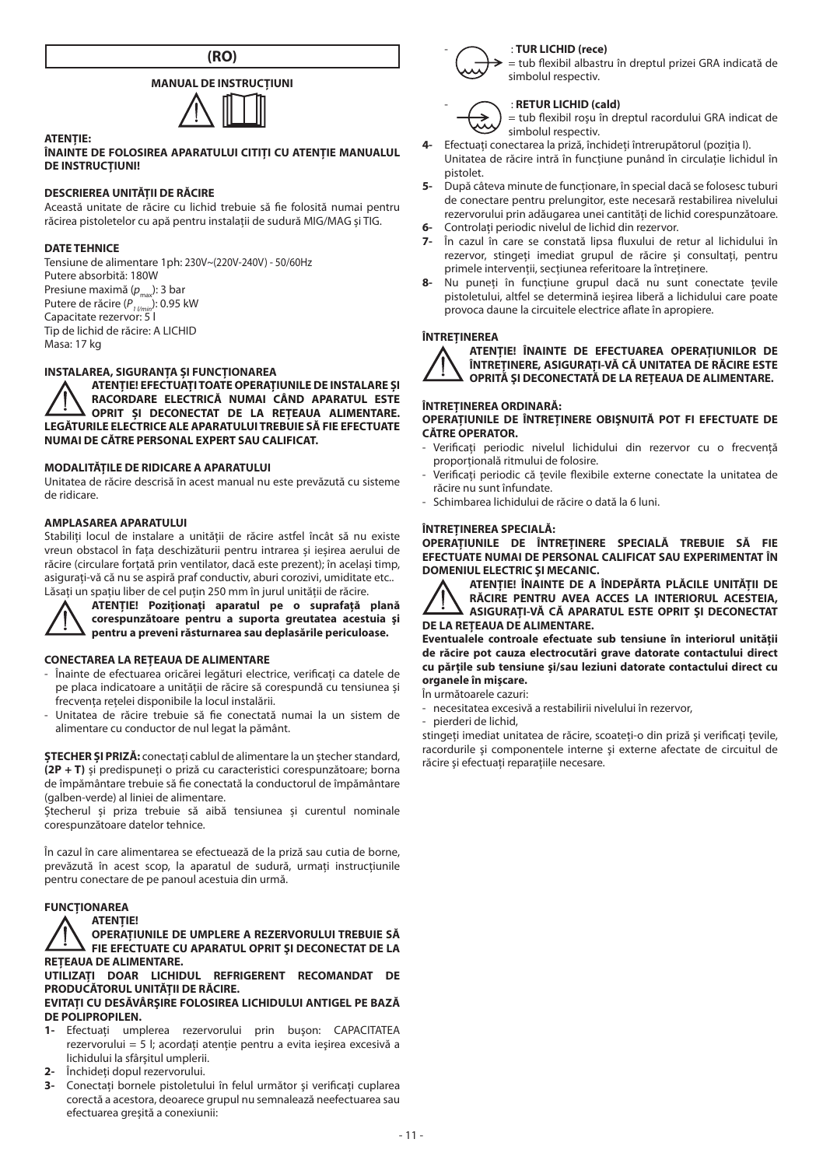**(RO)**

# **MANUAL DE INSTRUCŢIUNI**



#### **ÎNAINTE DE FOLOSIREA APARATULUI CITIŢI CU ATENŢIE MANUALUL DE INSTRUCŢIUNI!**

### **DESCRIEREA UNITĂŢII DE RĂCIRE**

Această unitate de răcire cu lichid trebuie să fie folosită numai pentru răcirea pistoletelor cu apă pentru instalații de sudură MIG/MAG și TIG.

#### **DATE TEHNICE**

**ATENŢIE:**

Tensiune de alimentare 1ph: 230V~(220V-240V) - 50/60Hz Putere absorbită: 180W Presiune maximă (p<sub>max</sub>): 3 bar Putere de răcire (P<sub>1 l/min</sub>): 0.95 kW<br>Capacitate rezervor: 5 l Tip de lichid de răcire: A LICHID Masa: 17 kg

# **INSTALAREA, SIGURANŢA ŞI FUNCŢIONAREA**

**ATENŢIE! EFECTUAŢI TOATE OPERAŢIUNILE DE INSTALARE ŞI RACORDARE ELECTRICĂ NUMAI CÂND APARATUL ESTE OPRIT ŞI DECONECTAT DE LA REŢEAUA ALIMENTARE. LEGĂTURILE ELECTRICE ALE APARATULUI TREBUIE SĂ FIE EFECTUATE NUMAI DE CĂTRE PERSONAL EXPERT SAU CALIFICAT.**

#### **MODALITĂŢILE DE RIDICARE A APARATULUI**

Unitatea de răcire descrisă în acest manual nu este prevăzută cu sisteme de ridicare.

#### **AMPLASAREA APARATULUI**

Stabiliți locul de instalare a unității de răcire astfel încât să nu existe vreun obstacol în faţa deschizăturii pentru intrarea şi ieşirea aerului de răcire (circulare fortată prin ventilator, dacă este prezent); în același timp, asiguraţi-vă că nu se aspiră praf conductiv, aburi corozivi, umiditate etc.. Lăsați un spațiu liber de cel puțin 250 mm în jurul unității de răcire.



**ATENŢIE! Poziţionaţi aparatul pe o suprafaţă plană corespunzătoare pentru a suporta greutatea acestuia şi pentru a preveni răsturnarea sau deplasările periculoase.** 

#### **CONECTAREA LA REŢEAUA DE ALIMENTARE**

- Înainte de efectuarea oricărei legături electrice, verificați ca datele de pe placa indicatoare a unităţii de răcire să corespundă cu tensiunea şi .<br>frecventa retelei disponibile la locul instalării.
- Unitatea de răcire trebuie să fie conectată numai la un sistem de alimentare cu conductor de nul legat la pământ.

**ŞTECHER ŞI PRIZĂ:** conectaţi cablul de alimentare la un ştecher standard, **(2P + T)** şi predispuneţi o priză cu caracteristici corespunzătoare; borna de împământare trebuie să fie conectată la conductorul de împământare (galben-verde) al liniei de alimentare.

Ştecherul şi priza trebuie să aibă tensiunea şi curentul nominale corespunzătoare datelor tehnice.

În cazul în care alimentarea se efectuează de la priză sau cutia de borne, prevăzută în acest scop, la aparatul de sudură, urmaţi instrucţiunile pentru conectare de pe panoul acestuia din urmă.

#### **FUNCŢIONAREA ATENŢIE!**

**OPERAŢIUNILE DE UMPLERE A REZERVORULUI TREBUIE SĂ FIE EFECTUATE CU APARATUL OPRIT ŞI DECONECTAT DE LA REŢEAUA DE ALIMENTARE.**

**UTILIZAȚI DOAR LICHIDUL REFRIGERENT RECOMANDAT DE PRODUCĂTORUL UNITĂȚII DE RĂCIRE. EVITAŢI CU DESĂVÂRŞIRE FOLOSIREA LICHIDULUI ANTIGEL PE BAZĂ DE POLIPROPILEN.**

- **1-** Efectuaţi umplerea rezervorului prin buşon: CAPACITATEA rezervorului = 5 l; acordaţi atenţie pentru a evita ieşirea excesivă a lichidului la sfârşitul umplerii.
- 2- Închideti dopul rezervorului.
- **3-** Conectați bornele pistoletului în felul următor și verificați cuplarea corectă a acestora, deoarece grupul nu semnalează neefectuarea sau efectuarea greşită a conexiunii:



= tub flexibil albastru în dreptul prizei GRA indicată de simbolul respectiv.



# - : **RETUR LICHID (cald)**

= tub flexibil roşu în dreptul racordului GRA indicat de simbolul respectiv.

- **4-** Efectuaţi conectarea la priză, închideţi întrerupătorul (poziţia I). Unitatea de răcire intră în funcțiune punând în circulație lichidul în pistolet.
- **5-** După câteva minute de funcţionare, în special dacă se folosesc tuburi de conectare pentru prelungitor, este necesară restabilirea nivelului rezervorului prin adăugarea unei cantități de lichid corespunzătoare.
- **6-** Controlaţi periodic nivelul de lichid din rezervor.
- **7-** În cazul în care se constată lipsa fluxului de retur al lichidului în rezervor, stingeti imediat grupul de răcire și consultati, pentru primele intervenții, secțiunea referitoare la întreținere.
- 8- Nu puneti în functiune grupul dacă nu sunt conectate tevile pistoletului, altfel se determină ieșirea liberă a lichidului care poate provoca daune la circuitele electrice aflate în apropiere.

#### **ÎNTREȚINEREA**



**ATENŢIE! ÎNAINTE DE EFECTUAREA OPERAŢIUNILOR DE ÎNTREŢINERE, ASIGURAŢI-VĂ CĂ UNITATEA DE RĂCIRE ESTE OPRITĂ ŞI DECONECTATĂ DE LA REŢEAUA DE ALIMENTARE.**

#### **ÎNTREŢINEREA ORDINARĂ:**

**OPERAŢIUNILE DE ÎNTREŢINERE OBIŞNUITĂ POT FI EFECTUATE DE CĂTRE OPERATOR.**

- Verificati periodic nivelul lichidului din rezervor cu o frecventă proporțională ritmului de folosire.
- .<br>Verificați periodic că tevile flexibile externe conectate la unitatea de răcire nu sunt înfundate.
- Schimbarea lichidului de răcire o dată la 6 luni.

#### **ÎNTREŢINEREA SPECIALĂ:**

**OPERAŢIUNILE DE ÎNTREŢINERE SPECIALĂ TREBUIE SĂ FIE EFECTUATE NUMAI DE PERSONAL CALIFICAT SAU EXPERIMENTAT ÎN DOMENIUL ELECTRIC ŞI MECANIC.**



**ATENŢIE! ÎNAINTE DE A ÎNDEPĂRTA PLĂCILE UNITĂŢII DE RĂCIRE PENTRU AVEA ACCES LA INTERIORUL ACESTEIA, ASIGURAŢI-VĂ CĂ APARATUL ESTE OPRIT ŞI DECONECTAT DE LA REŢEAUA DE ALIMENTARE.**

**Eventualele controale efectuate sub tensiune în interiorul unităţii de răcire pot cauza electrocutări grave datorate contactului direct cu părţile sub tensiune şi/sau leziuni datorate contactului direct cu organele în mişcare.**

#### În următoarele cazuri:

- necesitatea excesivă a restabilirii nivelului în rezervor,
- pierderi de lichid,

stingeti imediat unitatea de răcire, scoateti-o din priză și verificati tevile, racordurile şi componentele interne şi externe afectate de circuitul de răcire și efectuați reparațiile necesare.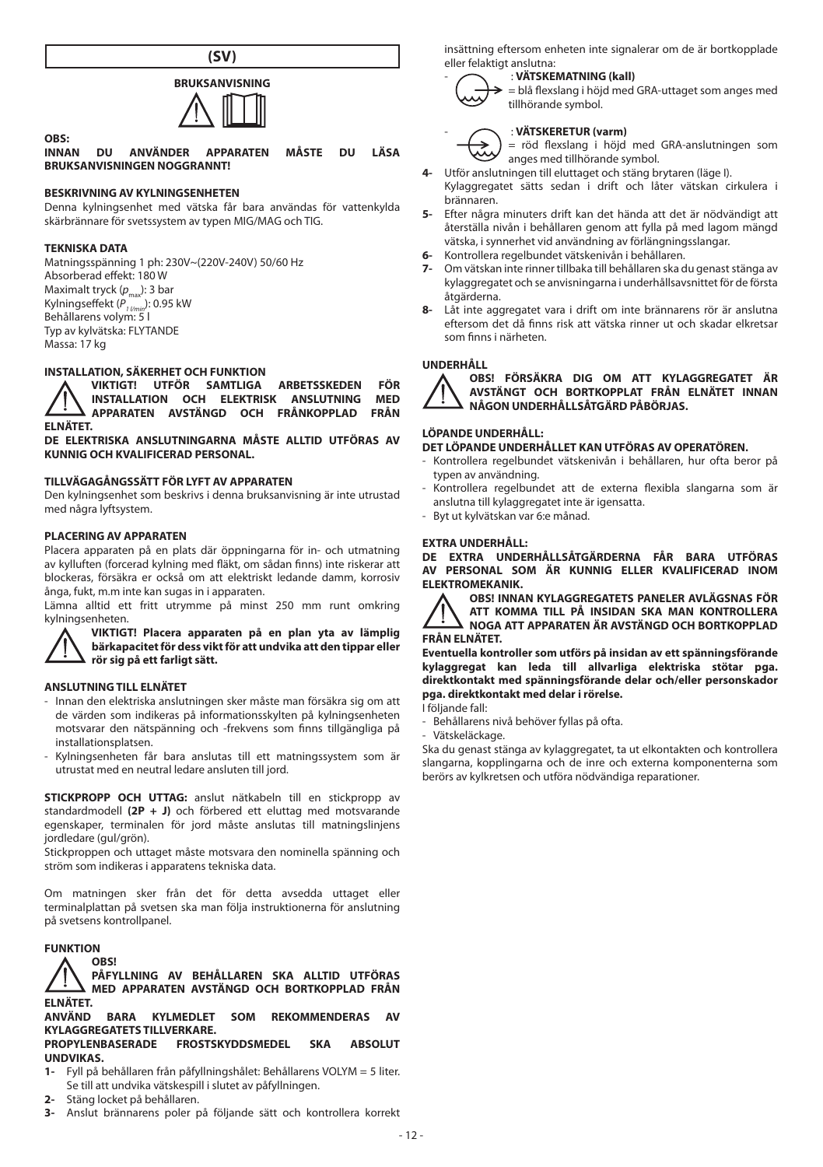

# **BRUKSANVISNING**

**OBS: INNAN DU ANVÄNDER APPARATEN MÅSTE DU LÄSA BRUKSANVISNINGEN NOGGRANNT!**

# **BESKRIVNING AV KYLNINGSENHETEN**

Denna kylningsenhet med vätska får bara användas för vattenkylda skärbrännare för svetssystem av typen MIG/MAG och TIG.

#### **TEKNISKA DATA**

Matningsspänning 1 ph: 230V~(220V-240V) 50/60 Hz Absorberad effekt: 180 W Maximalt tryck ( $p_{\text{max}}$ ): 3 bar Kylningseffekt (P<sub>1/min</sub>): 0.95 kW<br>Behållarens volym: 5 l Typ av kylvätska: FLYTANDE Massa: 17 kg

# **INSTALLATION, SÄKERHET OCH FUNKTION**

**VIKTIGT! UTFÖR SAMTLIGA ARBETSSKEDEN FÖR INSTALLATION OCH ELEKTRISK ANSLUTNING MED APPARATEN AVSTÄNGD OCH FRÅNKOPPLAD FRÅN APPARATEN AVSTÄNGD OCH FRÅNKOPPLAD ELNÄTET.**

**DE ELEKTRISKA ANSLUTNINGARNA MÅSTE ALLTID UTFÖRAS AV KUNNIG OCH KVALIFICERAD PERSONAL.**

# **TILLVÄGAGÅNGSSÄTT FÖR LYFT AV APPARATEN**

Den kylningsenhet som beskrivs i denna bruksanvisning är inte utrustad med några lyftsystem.

#### **PLACERING AV APPARATEN**

Placera apparaten på en plats där öppningarna för in- och utmatning av kylluften (forcerad kylning med fläkt, om sådan finns) inte riskerar att blockeras, försäkra er också om att elektriskt ledande damm, korrosiv ånga, fukt, m.m inte kan sugas in i apparaten.

Lämna alltid ett fritt utrymme på minst 250 mm runt omkring kylningsenheten.



**VIKTIGT! Placera apparaten på en plan yta av lämplig bärkapacitet för dess vikt för att undvika att den tippar eller rör sig på ett farligt sätt.**

#### **ANSLUTNING TILL ELNÄTET**

- Innan den elektriska anslutningen sker måste man försäkra sig om att de värden som indikeras på informationsskylten på kylningsenheten motsvarar den nätspänning och -frekvens som finns tillgängliga på installationsplatsen.
- Kylningsenheten får bara anslutas till ett matningssystem som är utrustat med en neutral ledare ansluten till jord.

**STICKPROPP OCH UTTAG:** anslut nätkabeln till en stickpropp av standardmodell **(2P + J)** och förbered ett eluttag med motsvarande egenskaper, terminalen för jord måste anslutas till matningslinjens jordledare (gul/grön).

Stickproppen och uttaget måste motsvara den nominella spänning och ström som indikeras i apparatens tekniska data.

Om matningen sker från det för detta avsedda uttaget eller terminalplattan på svetsen ska man följa instruktionerna för anslutning på svetsens kontrollpanel.

#### **FUNKTION**

#### **OBS!**

**PÅFYLLNING AV BEHÅLLAREN SKA ALLTID UTFÖRAS MED APPARATEN AVSTÄNGD OCH BORTKOPPLAD FRÅN ELNÄTET.**

**ANVÄND BARA KYLMEDLET SOM REKOMMENDERAS AV KYLAGGREGATETS TILLVERKARE.**

#### **PROPYLENBASERADE FROSTSKYDDSMEDEL SKA ABSOLUT UNDVIKAS.**

- **1-** Fyll på behållaren från påfyllningshålet: Behållarens VOLYM = 5 liter. Se till att undvika vätskespill i slutet av påfyllningen.
- **2-** Stäng locket på behållaren.
- **3-** Anslut brännarens poler på följande sätt och kontrollera korrekt

insättning eftersom enheten inte signalerar om de är bortkopplade eller felaktigt anslutna:

#### - : **VÄTSKEMATNING (kall)**

= blå flexslang i höjd med GRA-uttaget som anges med tillhörande symbol.

# - : **VÄTSKERETUR (varm)**

= röd flexslang i höjd med GRA-anslutningen som anges med tillhörande symbol.

- **4-** Utför anslutningen till eluttaget och stäng brytaren (läge I). Kylaggregatet sätts sedan i drift och låter vätskan cirkulera i brännaren.
- **5-** Efter några minuters drift kan det hända att det är nödvändigt att återställa nivån i behållaren genom att fylla på med lagom mängd vätska, i synnerhet vid användning av förlängningsslangar.
- **6-** Kontrollera regelbundet vätskenivån i behållaren.
- **7-** Om vätskan inte rinner tillbaka till behållaren ska du genast stänga av kylaggregatet och se anvisningarna i underhållsavsnittet för de första åtgärderna.
- **8-** Låt inte aggregatet vara i drift om inte brännarens rör är anslutna eftersom det då finns risk att vätska rinner ut och skadar elkretsar som finns i närheten.

# **UNDERHÅLL**



**OBS! FÖRSÄKRA DIG OM ATT KYLAGGREGATET ÄR AVSTÄNGT OCH BORTKOPPLAT FRÅN ELNÄTET INNAN NÅGON UNDERHÅLLSÅTGÄRD PÅBÖRJAS.**

#### **LÖPANDE UNDERHÅLL:**

#### **DET LÖPANDE UNDERHÅLLET KAN UTFÖRAS AV OPERATÖREN.**

- Kontrollera regelbundet vätskenivån i behållaren, hur ofta beror på typen av användning.
- Kontrollera regelbundet att de externa flexibla slangarna som är anslutna till kylaggregatet inte är igensatta.
- Byt ut kylvätskan var 6:e månad.

# **EXTRA UNDERHÅLL:**

**DE EXTRA UNDERHÅLLSÅTGÄRDERNA FÅR BARA UTFÖRAS AV PERSONAL SOM ÄR KUNNIG ELLER KVALIFICERAD INOM ELEKTROMEKANIK.**



**OBS! INNAN KYLAGGREGATETS PANELER AVLÄGSNAS FÖR ATT KOMMA TILL PÅ INSIDAN SKA MAN KONTROLLERA NOGA ATT APPARATEN ÄR AVSTÄNGD OCH BORTKOPPLAD FRÅN ELNÄTET.**

**Eventuella kontroller som utförs på insidan av ett spänningsförande kylaggregat kan leda till allvarliga elektriska stötar pga. direktkontakt med spänningsförande delar och/eller personskador pga. direktkontakt med delar i rörelse.**

I följande fall:

- Behållarens nivå behöver fyllas på ofta.
- Vätskeläckage.

Ska du genast stänga av kylaggregatet, ta ut elkontakten och kontrollera slangarna, kopplingarna och de inre och externa komponenterna som berörs av kylkretsen och utföra nödvändiga reparationer.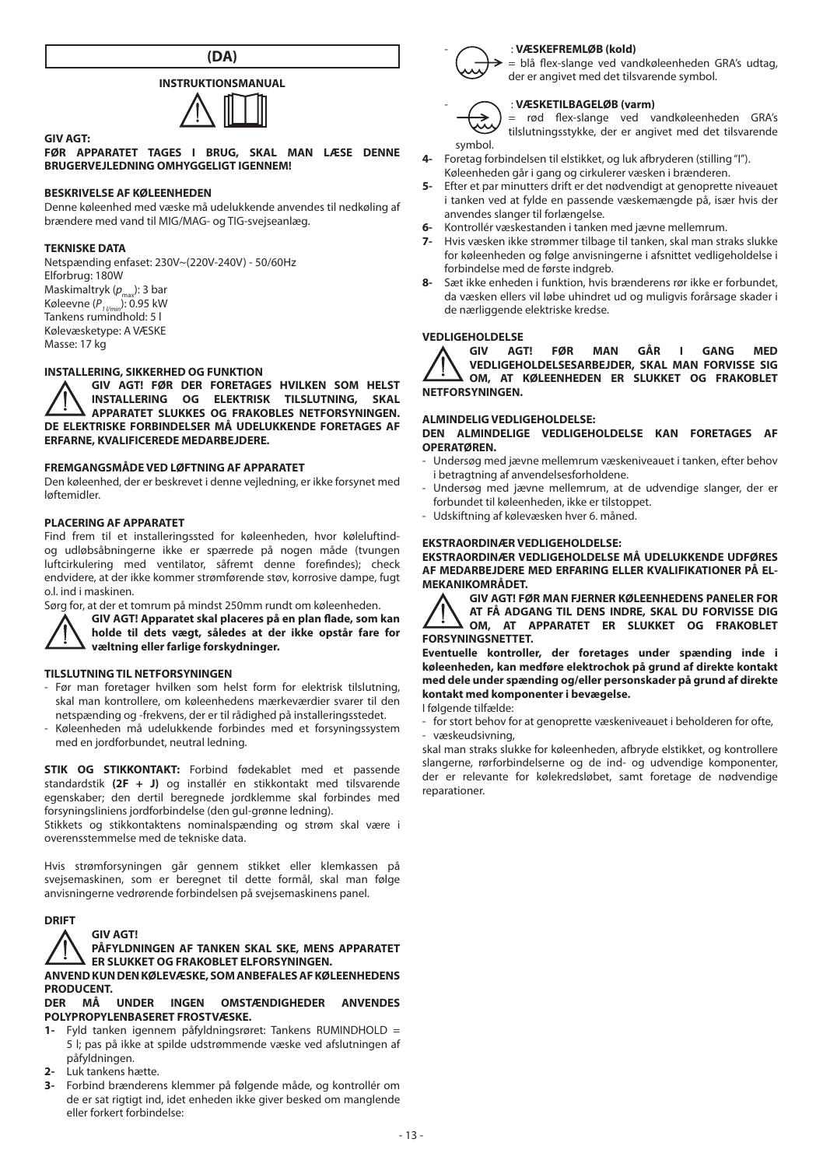

# **INSTRUKTIONSMANUAL**



**FØR APPARATET TAGES I BRUG, SKAL MAN LÆSE DENNE BRUGERVEJLEDNING OMHYGGELIGT IGENNEM!**

# **BESKRIVELSE AF KØLEENHEDEN**

Denne køleenhed med væske må udelukkende anvendes til nedkøling af brændere med vand til MIG/MAG- og TIG-svejseanlæg.

#### **TEKNISKE DATA**

**GIV AGT:**

Netspænding enfaset: 230V~(220V-240V) - 50/60Hz Elforbrug: 180W Maskimaltryk (p<sub>max</sub>): 3 bar Køleevne (P<sub>1 l/min</sub>): 0.95 kW<br>Tankens rumindhold: 5 l Kølevæsketype: A VÆSKE Masse: 17 kg

# **INSTALLERING, SIKKERHED OG FUNKTION**

**GIV AGT! FØR DER FORETAGES HVILKEN SOM HELST INSTALLERING OG ELEKTRISK TILSLUTNING, SKAL APPARATET SLUKKES OG FRAKOBLES NETFORSYNINGEN. DE ELEKTRISKE FORBINDELSER MÅ UDELUKKENDE FORETAGES AF ERFARNE, KVALIFICEREDE MEDARBEJDERE.** 

#### **FREMGANGSMÅDE VED LØFTNING AF APPARATET**

Den køleenhed, der er beskrevet i denne vejledning, er ikke forsynet med løftemidler.

#### **PLACERING AF APPARATET**

Find frem til et installeringssted for køleenheden, hvor køleluftindog udløbsåbningerne ikke er spærrede på nogen måde (tvungen luftcirkulering med ventilator, såfremt denne forefindes); check endvidere, at der ikke kommer strømførende støv, korrosive dampe, fugt o.l. ind i maskinen.

Sørg for, at der et tomrum på mindst 250mm rundt om køleenheden.

**GIV AGT! Apparatet skal placeres på en plan flade, som kan holde til dets vægt, således at der ikke opstår fare for væltning eller farlige forskydninger.**

# **TILSLUTNING TIL NETFORSYNINGEN**

- Før man foretager hvilken som helst form for elektrisk tilslutning, skal man kontrollere, om køleenhedens mærkeværdier svarer til den netspænding og -frekvens, der er til rådighed på installeringsstedet.
- Køleenheden må udelukkende forbindes med et forsyningssystem med en jordforbundet, neutral ledning.

**STIK OG STIKKONTAKT:** Forbind fødekablet med et passende standardstik **(2F + J)** og installér en stikkontakt med tilsvarende egenskaber; den dertil beregnede jordklemme skal forbindes med forsyningsliniens jordforbindelse (den gul-grønne ledning).

Stikkets og stikkontaktens nominalspænding og strøm skal være i overensstemmelse med de tekniske data.

Hvis strømforsyningen går gennem stikket eller klemkassen på svejsemaskinen, som er beregnet til dette formål, skal man følge anvisningerne vedrørende forbindelsen på svejsemaskinens panel.

#### **DRIFT**

# **GIV AGT!**

# **PÅFYLDNINGEN AF TANKEN SKAL SKE, MENS APPARATET ER SLUKKET OG FRAKOBLET ELFORSYNINGEN.**

# **ANVEND KUN DEN KØLEVÆSKE, SOM ANBEFALES AF KØLEENHEDENS PRODUCENT.**<br>DER MÅ

# **DER MÅ UNDER INGEN OMSTÆNDIGHEDER ANVENDES POLYPROPYLENBASERET FROSTVÆSKE.**

- **1-** Fyld tanken igennem påfyldningsrøret: Tankens RUMINDHOLD = 5 l; pas på ikke at spilde udstrømmende væske ved afslutningen af påfyldningen.
- **2-** Luk tankens hætte.
- **3-** Forbind brænderens klemmer på følgende måde, og kontrollér om de er sat rigtigt ind, idet enheden ikke giver besked om manglende eller forkert forbindelse:



#### - : **VÆSKEFREMLØB (kold)**

= blå flex-slange ved vandkøleenheden GRA's udtag, der er angivet med det tilsvarende symbol.

#### - : **VÆSKETILBAGELØB (varm)**

rød flex-slange ved vandkøleenheden GRA's tilslutningsstykke, der er angivet med det tilsvarende symbol.

- **4-** Foretag forbindelsen til elstikket, og luk afbryderen (stilling "I"). Køleenheden går i gang og cirkulerer væsken i brænderen.
- **5-** Efter et par minutters drift er det nødvendigt at genoprette niveauet i tanken ved at fylde en passende væskemængde på, især hvis der anvendes slanger til forlængelse.
- **6-** Kontrollér væskestanden i tanken med jævne mellemrum.
- **7-** Hvis væsken ikke strømmer tilbage til tanken, skal man straks slukke for køleenheden og følge anvisningerne i afsnittet vedligeholdelse i forbindelse med de første indgreb.
- **8-** Sæt ikke enheden i funktion, hvis brænderens rør ikke er forbundet, da væsken ellers vil løbe uhindret ud og muligvis forårsage skader i de nærliggende elektriske kredse.

# **VEDLIGEHOLDELSE**<br> **A** GIV AGT!



# **ALMINDELIG VEDLIGEHOLDELSE:**

**DEN ALMINDELIGE VEDLIGEHOLDELSE KAN FORETAGES AF OPERATØREN.**

- Undersøg med jævne mellemrum væskeniveauet i tanken, efter behov i betragtning af anvendelsesforholdene.
- Undersøg med jævne mellemrum, at de udvendige slanger, der er forbundet til køleenheden, ikke er tilstoppet.
- Udskiftning af kølevæsken hver 6. måned.

# **EKSTRAORDINÆR VEDLIGEHOLDELSE:**

**EKSTRAORDINÆR VEDLIGEHOLDELSE MÅ UDELUKKENDE UDFØRES AF MEDARBEJDERE MED ERFARING ELLER KVALIFIKATIONER PÅ EL-MEKANIKOMRÅDET.**



**Eventuelle kontroller, der foretages under spænding inde i køleenheden, kan medføre elektrochok på grund af direkte kontakt med dele under spænding og/eller personskader på grund af direkte kontakt med komponenter i bevægelse.**

I følgende tilfælde:

- for stort behov for at genoprette væskeniveauet i beholderen for ofte, væskeudsivning,

skal man straks slukke for køleenheden, afbryde elstikket, og kontrollere slangerne, rørforbindelserne og de ind- og udvendige komponenter, der er relevante for kølekredsløbet, samt foretage de nødvendige reparationer.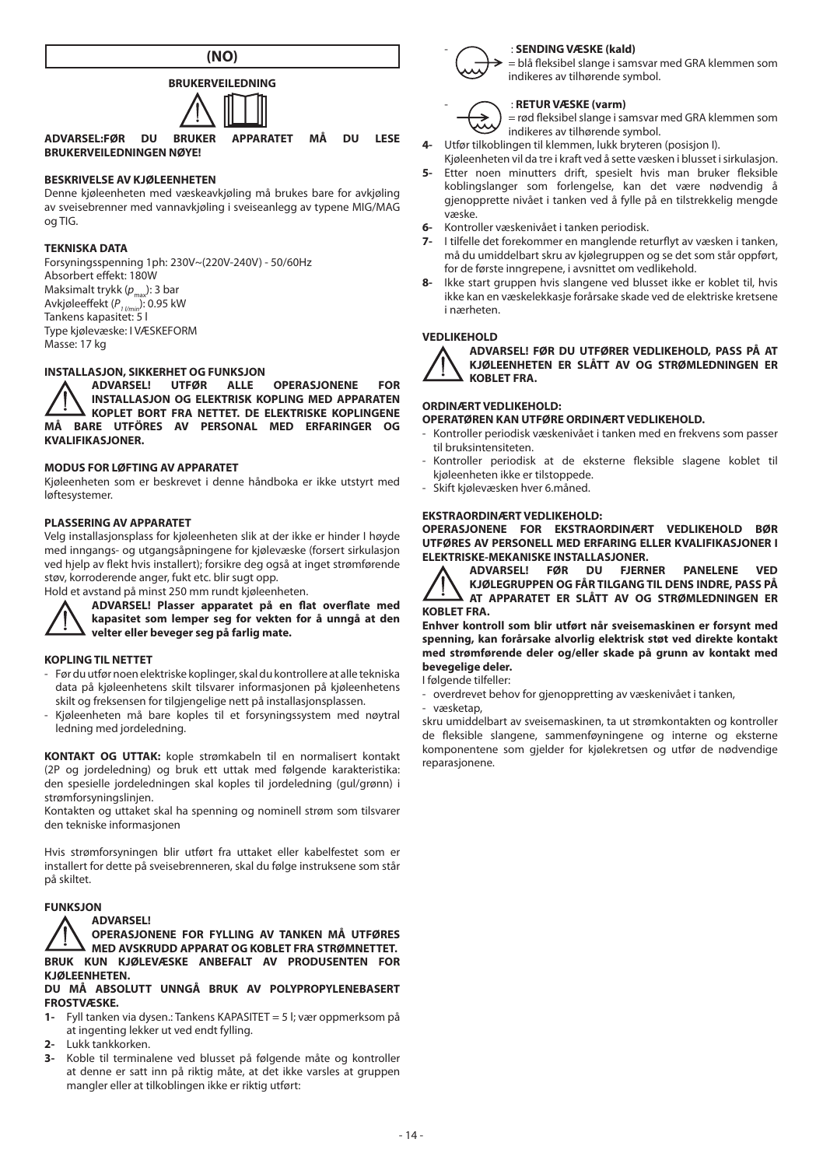



**ADVARSEL:FØR DU BRUKER APPARATET MÅ DU LESE BRUKERVEILEDNINGEN NØYE!**

# **BESKRIVELSE AV KJØLEENHETEN**

Denne kjøleenheten med væskeavkjøling må brukes bare for avkjøling av sveisebrenner med vannavkjøling i sveiseanlegg av typene MIG/MAG og TIG.

### **TEKNISKA DATA**

Forsyningsspenning 1ph: 230V~(220V-240V) - 50/60Hz Absorbert effekt: 180W Maksimalt trykk (p<sub>max</sub>): 3 bar Avkjøleeffekt (P<sub>1 l/min</sub>): 0.95 kW<br>Tankens kapasitet: 5 l Type kjølevæske: I VÆSKEFORM Masse: 17 kg

# **INSTALLASJON, SIKKERHET OG FUNKSJON<br>A ADVARSEL! UTFØR ALLE**

**ADVARSEL! UTFØR ALLE OPERASJONENE FOR INSTALLASJON OG ELEKTRISK KOPLING MED APPARATEN KOPLET BORT FRA NETTET. DE ELEKTRISKE KOPLINGENE MÅ BARE UTFÖRES AV PERSONAL MED ERFARINGER OG KVALIFIKASJONER.**

### **MODUS FOR LØFTING AV APPARATET**

Kjøleenheten som er beskrevet i denne håndboka er ikke utstyrt med løftesystemer.

# **PLASSERING AV APPARATET**

Velg installasjonsplass for kjøleenheten slik at der ikke er hinder I høyde med inngangs- og utgangsåpningene for kjølevæske (forsert sirkulasjon ved hjelp av flekt hvis installert); forsikre deg også at inget strømførende støv, korroderende anger, fukt etc. blir sugt opp.

Hold et avstand på minst 250 mm rundt kjøleenheten.



**ADVARSEL! Plasser apparatet på en flat overflate med kapasitet som lemper seg for vekten for å unngå at den velter eller beveger seg på farlig mate.**

#### **KOPLING TIL NETTET**

- Før du utfør noen elektriske koplinger, skal du kontrollere at alle tekniska data på kjøleenhetens skilt tilsvarer informasjonen på kjøleenhetens skilt og freksensen for tilgjengelige nett på installasjonsplassen.
- Kjøleenheten må bare koples til et forsyningssystem med nøytral ledning med jordeledning.

**KONTAKT OG UTTAK:** kople strømkabeln til en normalisert kontakt (2P og jordeledning) og bruk ett uttak med følgende karakteristika: den spesielle jordeledningen skal koples til jordeledning (gul/grønn) i strømforsyningslinjen.

Kontakten og uttaket skal ha spenning og nominell strøm som tilsvarer den tekniske informasjonen

Hvis strømforsyningen blir utført fra uttaket eller kabelfestet som er installert for dette på sveisebrenneren, skal du følge instruksene som står på skiltet.

## **FUNKSJON**



**OPERASJONENE FOR FYLLING AV TANKEN MÅ UTFØRES MED AVSKRUDD APPARAT OG KOBLET FRA STRØMNETTET. BRUK KUN KJØLEVÆSKE ANBEFALT AV PRODUSENTEN FOR KJØLEENHETEN.**

#### **DU MÅ ABSOLUTT UNNGÅ BRUK AV POLYPROPYLENEBASERT FROSTVÆSKE.**

- **1-** Fyll tanken via dysen.: Tankens KAPASITET = 5 l; vær oppmerksom på at ingenting lekker ut ved endt fylling.
- **2-** Lukk tankkorken.
- **3-** Koble til terminalene ved blusset på følgende måte og kontroller at denne er satt inn på riktig måte, at det ikke varsles at gruppen mangler eller at tilkoblingen ikke er riktig utført:



# - : **SENDING VÆSKE (kald)**

= blå fleksibel slange i samsvar med GRA klemmen som indikeres av tilhørende symbol.

#### - : **RETUR VÆSKE (varm)**

= rød fleksibel slange i samsvar med GRA klemmen som indikeres av tilhørende symbol.

- **4-** Utfør tilkoblingen til klemmen, lukk bryteren (posisjon I).
- Kjøleenheten vil da tre i kraft ved å sette væsken i blusset i sirkulasjon. **5-** Etter noen minutters drift, spesielt hvis man bruker fleksible koblingslanger som forlengelse, kan det være nødvendig å gjenopprette nivået i tanken ved å fylle på en tilstrekkelig mengde væske.
- **6-** Kontroller væskenivået i tanken periodisk.
- **7-** I tilfelle det forekommer en manglende returflyt av væsken i tanken, må du umiddelbart skru av kjølegruppen og se det som står oppført, for de første inngrepene, i avsnittet om vedlikehold.
- **8-** Ikke start gruppen hvis slangene ved blusset ikke er koblet til, hvis ikke kan en væskelekkasje forårsake skade ved de elektriske kretsene i nærheten.

#### **VEDLIKEHOLD**



**ADVARSEL! FØR DU UTFØRER VEDLIKEHOLD, PASS PÅ AT KJØLEENHETEN ER SLÅTT AV OG STRØMLEDNINGEN ER KOBLET FRA.**

### **ORDINÆRT VEDLIKEHOLD:**

**OPERATØREN KAN UTFØRE ORDINÆRT VEDLIKEHOLD.**

- Kontroller periodisk væskenivået i tanken med en frekvens som passer til bruksintensiteten.
- Kontroller periodisk at de eksterne fleksible slagene koblet til kjøleenheten ikke er tilstoppede.
- Skift kjølevæsken hver 6.måned.

# **EKSTRAORDINÆRT VEDLIKEHOLD:**

**OPERASJONENE FOR EKSTRAORDINÆRT VEDLIKEHOLD BØR UTFØRES AV PERSONELL MED ERFARING ELLER KVALIFIKASJONER I ELEKTRISKE-MEKANISKE INSTALLASJONER.**<br>A ADVARSEL! FØR DU FIFRNER



**ADVARSEL! FØR DU FJERNER PANELENE VED KJØLEGRUPPEN OG FÅR TILGANG TIL DENS INDRE, PASS PÅ AT APPARATET ER SLÅTT AV OG STRØMLEDNINGEN ER KOBLET FRA.**

**Enhver kontroll som blir utført når sveisemaskinen er forsynt med spenning, kan forårsake alvorlig elektrisk støt ved direkte kontakt med strømførende deler og/eller skade på grunn av kontakt med bevegelige deler.**

I følgende tilfeller:

- overdrevet behov for gjenoppretting av væskenivået i tanken,

væsketan skru umiddelbart av sveisemaskinen, ta ut strømkontakten og kontroller de fleksible slangene, sammenføyningene og interne og eksterne komponentene som gjelder for kjølekretsen og utfør de nødvendige reparasjonene.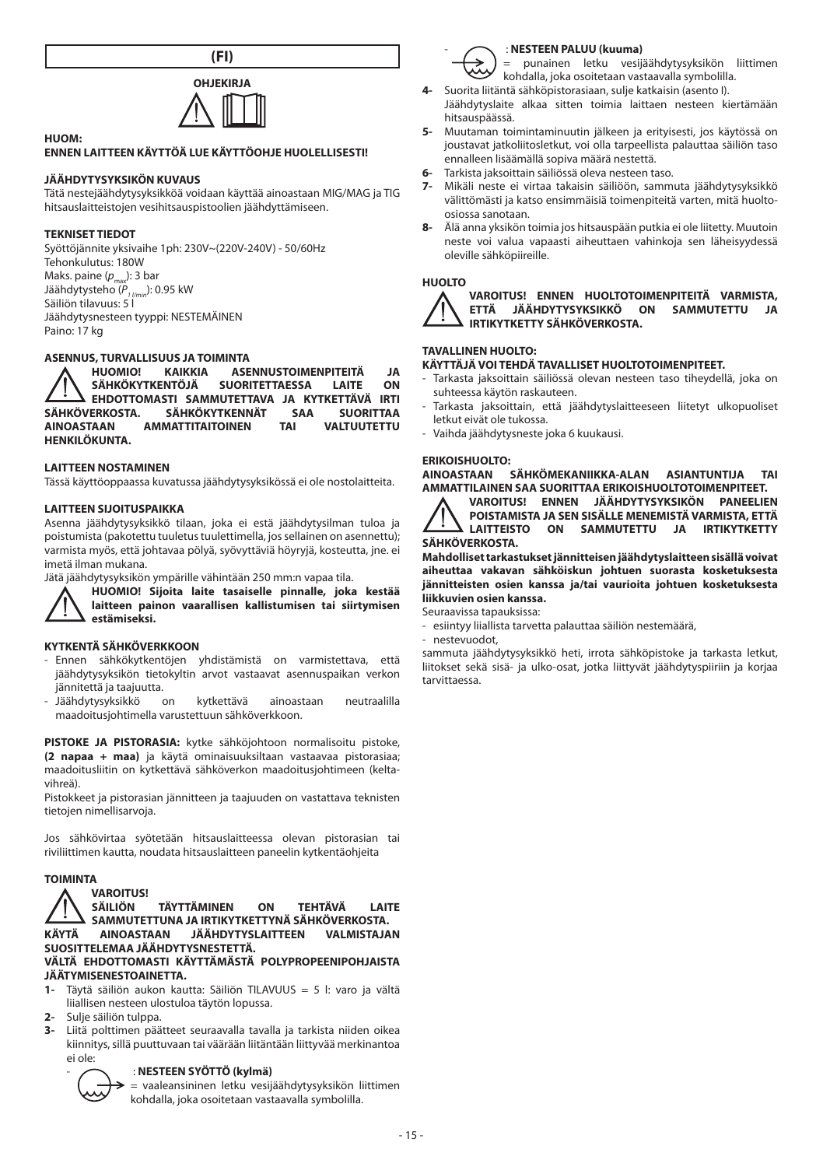**(FI)**



#### **HUOM:**

# **ENNEN LAITTEEN KÄYTTÖÄ LUE KÄYTTÖOHJE HUOLELLISESTI!**

# **JÄÄHDYTYSYKSIKÖN KUVAUS**

Tätä nestejäähdytysyksikköä voidaan käyttää ainoastaan MIG/MAG ja TIG hitsauslaitteistojen vesihitsauspistoolien jäähdyttämiseen.

#### **TEKNISET TIEDOT**

Syöttöjännite yksivaihe 1ph: 230V~(220V-240V) - 50/60Hz Tehonkulutus: 180W Maks. paine  $(p_{\text{max}}):$  3 bar Jäähdytysteho ( $P_{1 \text{bin}}$ ): 0.95 kW Säiliön tilavuus: 5 l Jäähdytysnesteen tyyppi: NESTEMÄINEN Paino: 17 kg

# **ASENNUS, TURVALLISUUS JA TOIMINTA**<br>**A** HUOMIO! KAIKKIA ASE

**HUOMIO! KAIKKIA ASENNUSTOIMENPITEITÄ JA SÄHKÖKYTKENTÖJÄ SUORITETTAESSA LAITE ON EHDOTTOMASTI SAMMUTETTAVA JA KYTKETTÄVÄ IRTI SÄHKÖVERKOSTA. SÄHKÖKYTKENNÄT SAA SUORITTAA AMMATTITAITOINEN HENKILÖKUNTA.**

#### **LAITTEEN NOSTAMINEN**

Tässä käyttöoppaassa kuvatussa jäähdytysyksikössä ei ole nostolaitteita.

#### **LAITTEEN SIJOITUSPAIKKA**

Asenna jäähdytysyksikkö tilaan, joka ei estä jäähdytysilman tuloa ja poistumista (pakotettu tuuletus tuulettimella, jos sellainen on asennettu); varmista myös, että johtavaa pölyä, syövyttäviä höyryjä, kosteutta, jne. ei imetä ilman mukana.

Jätä jäähdytysyksikön ympärille vähintään 250 mm:n vapaa tila.



**HUOMIO! Sijoita laite tasaiselle pinnalle, joka kestää laitteen painon vaarallisen kallistumisen tai siirtymisen estämiseksi.**

#### **KYTKENTÄ SÄHKÖVERKKOON**

- Ennen sähkökytkentöjen yhdistämistä on varmistettava, että jäähdytysyksikön tietokyltin arvot vastaavat asennuspaikan verkon jännitettä ja taajuutta.
- Jäähdytysyksikkö on kytkettävä ainoastaan neutraalilla maadoitusjohtimella varustettuun sähköverkkoon.

**PISTOKE JA PISTORASIA:** kytke sähköjohtoon normalisoitu pistoke, **(2 napaa + maa)** ja käytä ominaisuuksiltaan vastaavaa pistorasiaa; maadoitusliitin on kytkettävä sähköverkon maadoitusjohtimeen (keltavihreä).

Pistokkeet ja pistorasian jännitteen ja taajuuden on vastattava teknisten tietojen nimellisarvoja.

Jos sähkövirtaa syötetään hitsauslaitteessa olevan pistorasian tai riviliittimen kautta, noudata hitsauslaitteen paneelin kytkentäohjeita

#### **TOIMINTA**



- **1-** Täytä säiliön aukon kautta: Säiliön TILAVUUS = 5 l: varo ja vältä liiallisen nesteen ulostuloa täytön lopussa.
- **2-** Sulje säiliön tulppa.
- **3-** Liitä polttimen päätteet seuraavalla tavalla ja tarkista niiden oikea kiinnitys, sillä puuttuvaan tai väärään liitäntään liittyvää merkinantoa ei ole:

#### - : **NESTEEN SYÖTTÖ (kylmä)**



= vaaleansininen letku vesijäähdytysyksikön liittimen kohdalla, joka osoitetaan vastaavalla symbolilla.



#### - : **NESTEEN PALUU (kuuma)**

= punainen letku vesijäähdytysyksikön liittimen kohdalla, joka osoitetaan vastaavalla symbolilla.

- **4-** Suorita liitäntä sähköpistorasiaan, sulje katkaisin (asento I).
- Jäähdytyslaite alkaa sitten toimia laittaen nesteen kiertämään hitsauspäässä.
- **5-** Muutaman toimintaminuutin jälkeen ja erityisesti, jos käytössä on joustavat jatkoliitosletkut, voi olla tarpeellista palauttaa säiliön taso ennalleen lisäämällä sopiva määrä nestettä.
- **6-** Tarkista jaksoittain säiliössä oleva nesteen taso.
- **7-** Mikäli neste ei virtaa takaisin säiliöön, sammuta jäähdytysyksikkö välittömästi ja katso ensimmäisiä toimenpiteitä varten, mitä huoltoosiossa sanotaan.
- **8-** Älä anna yksikön toimia jos hitsauspään putkia ei ole liitetty. Muutoin neste voi valua vapaasti aiheuttaen vahinkoja sen läheisyydessä oleville sähköpiireille.

#### **HUOLTO**



**VAROITUS! ENNEN HUOLTOTOIMENPITEITÄ VARMISTA, ETTÄ JÄÄHDYTYSYKSIKKÖ ON SAMMUTETTU JA IRTIKYTKETTY SÄHKÖVERKOSTA.**

# **TAVALLINEN HUOLTO:**

- **KÄYTTÄJÄ VOI TEHDÄ TAVALLISET HUOLTOTOIMENPITEET.**
- Tarkasta jaksoittain säiliössä olevan nesteen taso tiheydellä, joka on suhteessa käytön raskauteen.
- Tarkasta jaksoittain, että jäähdytyslaitteeseen liitetyt ulkopuoliset letkut eivät ole tukossa.
- Vaihda jäähdytysneste joka 6 kuukausi.

# **ERIKOISHUOLTO:**

SÄHKÖMEKANIIKKA-ALAN ASIANTUNTIJA TAI **AMMATTILAINEN SAA SUORITTAA ERIKOISHUOLTOTOIMENPITEET.**

**VAROITUS! ENNEN JÄÄHDYTYSYKSIKÖN PANEELIEN POISTAMISTA JA SEN SISÄLLE MENEMISTÄ VARMISTA, ETTÄ LAITTEISTO ON SAMMUTETTU JA IRTIKYTKETTY SÄHKÖVERKOSTA.**

**Mahdolliset tarkastukset jännitteisen jäähdytyslaitteen sisällä voivat aiheuttaa vakavan sähköiskun johtuen suorasta kosketuksesta jännitteisten osien kanssa ja/tai vaurioita johtuen kosketuksesta liikkuvien osien kanssa.**

Seuraavissa tapauksissa:

- esiintyy liiallista tarvetta palauttaa säiliön nestemäärä,
- nestevuodot,

sammuta jäähdytysyksikkö heti, irrota sähköpistoke ja tarkasta letkut, liitokset sekä sisä- ja ulko-osat, jotka liittyvät jäähdytyspiiriin ja korjaa tarvittaessa.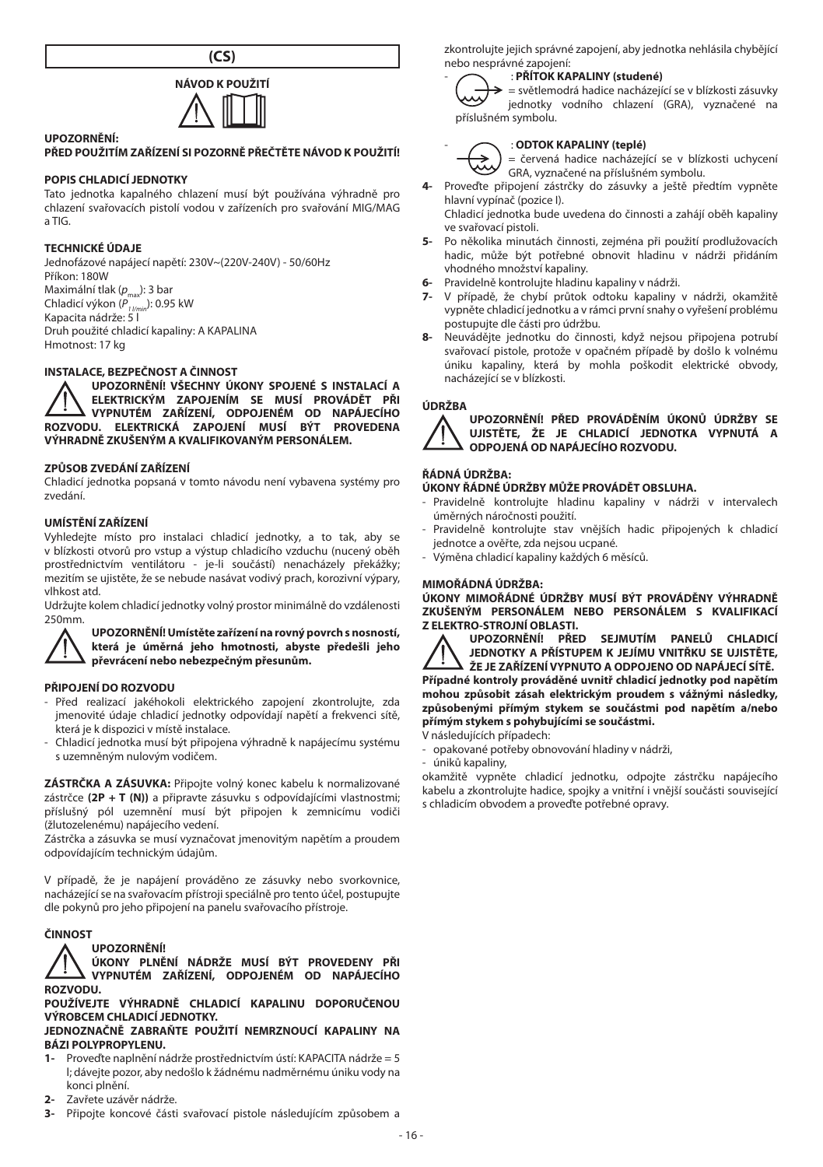



# **UPOZORNĚNÍ:**

# **PŘED POUŽITÍM ZAŘÍZENÍ SI POZORNĚ PŘEČTĚTE NÁVOD K POUŽITÍ!**

#### **POPIS CHLADICÍ JEDNOTKY**

Tato jednotka kapalného chlazení musí být používána výhradně pro chlazení svařovacích pistolí vodou v zařízeních pro svařování MIG/MAG a TIG.

#### **TECHNICKÉ ÚDAJE**

Jednofázové napájecí napětí: 230V~(220V-240V) - 50/60Hz Příkon: 180W Maximální tlak ( $p_{\text{max}}$ ): 3 bar Chladicí výkon (P<sub>1 I/min</sub>): 0.95 kW<br>Kapacita nádrže: 5 l Druh použité chladicí kapaliny: A KAPALINA Hmotnost: 17 kg

# **INSTALACE, BEZPEČNOST A ČINNOST**

**UPOZORNĚNÍ! VŠECHNY ÚKONY SPOJENÉ S INSTALACÍ A ELEKTRICKÝM ZAPOJENÍM SE MUSÍ PROVÁDĚT PŘI VYPNUTÉM ZAŘÍZENÍ, ODPOJENÉM OD NAPÁJECÍHO ROZVODU. ELEKTRICKÁ ZAPOJENÍ MUSÍ BÝT PROVEDENA VÝHRADNĚ ZKUŠENÝM A KVALIFIKOVANÝM PERSONÁLEM.**

#### **ZPŮSOB ZVEDÁNÍ ZAŘÍZENÍ**

Chladicí jednotka popsaná v tomto návodu není vybavena systémy pro zvedání.

#### **UMÍSTĚNÍ ZAŘÍZENÍ**

Vyhledejte místo pro instalaci chladicí jednotky, a to tak, aby se v blízkosti otvorů pro vstup a výstup chladicího vzduchu (nucený oběh prostřednictvím ventilátoru - je-li součástí) nenacházely překážky; mezitím se ujistěte, že se nebude nasávat vodivý prach, korozivní výpary, vlhkost atd.

Udržujte kolem chladicí jednotky volný prostor minimálně do vzdálenosti 250mm.



**UPOZORNĚNÍ!Umístěte zařízení na rovný povrch s nosností, která je úměrná jeho hmotnosti, abyste předešli jeho převrácení nebo nebezpečným přesunům.** 

#### **PŘIPOJENÍ DO ROZVODU**

- Před realizací jakéhokoli elektrického zapojení zkontrolujte, zda jmenovité údaje chladicí jednotky odpovídají napětí a frekvenci sítě, která je k dispozici v místě instalace.
- Chladicí jednotka musí být připojena výhradně k napájecímu systému s uzemněným nulovým vodičem.

**ZÁSTRČKA A ZÁSUVKA:** Připojte volný konec kabelu k normalizované zástrčce **(2P + T (N))** a připravte zásuvku s odpovídajícími vlastnostmi; příslušný pól uzemnění musí být připojen k zemnicímu vodiči (žlutozelenému) napájecího vedení.

Zástrčka a zásuvka se musí vyznačovat jmenovitým napětím a proudem odpovídajícím technickým údajům.

V případě, že je napájení prováděno ze zásuvky nebo svorkovnice, nacházející se na svařovacím přístroji speciálně pro tento účel, postupujte dle pokynů pro jeho připojení na panelu svařovacího přístroje.

#### **ČINNOST**

#### **UPOZORNĚNÍ!**

**ÚKONY PLNĚNÍ NÁDRŽE MUSÍ BÝT PROVEDENY PŘI VYPNUTÉM ZAŘÍZENÍ, ODPOJENÉM OD NAPÁJECÍHO ROZVODU.**

**POUŽÍVEJTE VÝHRADNĚ CHLADICÍ KAPALINU DOPORUČENOU VÝROBCEM CHLADICÍ JEDNOTKY.**

**JEDNOZNAČNĚ ZABRAŇTE POUŽITÍ NEMRZNOUCÍ KAPALINY NA BÁZI POLYPROPYLENU.**

- **1-** Proveďte naplnění nádrže prostřednictvím ústí: KAPACITA nádrže = 5 l; dávejte pozor, aby nedošlo k žádnému nadměrnému úniku vody na konci plnění.
- **2-** Zavřete uzávěr nádrže.
- **3-** Připojte koncové části svařovací pistole následujícím způsobem a

zkontrolujte jejich správné zapojení, aby jednotka nehlásila chybějící nebo nesprávné zapojení:

#### - : **PŘÍTOK KAPALINY (studené)**

= světlemodrá hadice nacházející se v blízkosti zásuvky jednotky vodního chlazení (GRA), vyznačené na příslušném symbolu.



- : **ODTOK KAPALINY (teplé)** = červená hadice nacházející se v blízkosti uchycení GRA, vyznačené na příslušném symbolu.

- **4-** Proveďte připojení zástrčky do zásuvky a ještě předtím vypněte hlavní vypínač (pozice I). Chladicí jednotka bude uvedena do činnosti a zahájí oběh kapaliny
- ve svařovací pistoli.
- **5-** Po několika minutách činnosti, zejména při použití prodlužovacích hadic, může být potřebné obnovit hladinu v nádrži přidáním vhodného množství kapaliny.
- **6-** Pravidelně kontrolujte hladinu kapaliny v nádrži.
- **7-** V případě, že chybí průtok odtoku kapaliny v nádrži, okamžitě vypněte chladicí jednotku a v rámci první snahy o vyřešení problému postupujte dle části pro údržbu.
- **8-** Neuvádějte jednotku do činnosti, když nejsou připojena potrubí svařovací pistole, protože v opačném případě by došlo k volnému úniku kapaliny, která by mohla poškodit elektrické obvody, nacházející se v blízkosti.

#### **ÚDRŽBA**

**UPOZORNĚNÍ! PŘED PROVÁDĚNÍM ÚKONŮ ÚDRŽBY SE UJISTĚTE, ŽE JE CHLADICÍ JEDNOTKA VYPNUTÁ A ODPOJENÁ OD NAPÁJECÍHO ROZVODU.**

# **ŘÁDNÁ ÚDRŽBA:**

# **ÚKONY ŘÁDNÉ ÚDRŽBY MŮŽE PROVÁDĚT OBSLUHA.**

- Pravidelně kontrolujte hladinu kapaliny v nádrži v intervalech úměrných náročnosti použití.
- Pravidelně kontrolujte stav vnějších hadic připojených k chladicí jednotce a ověřte, zda nejsou ucpané.
- Výměna chladicí kapaliny každých 6 měsíců.

#### **MIMOŘÁDNÁ ÚDRŽBA:**

**ÚKONY MIMOŘÁDNÉ ÚDRŽBY MUSÍ BÝT PROVÁDĚNY VÝHRADNĚ ZKUŠENÝM PERSONÁLEM NEBO PERSONÁLEM S KVALIFIKACÍ Z ELEKTRO-STROJNÍ OBLASTI.**



**UPOZORNĚNÍ! PŘED SEJMUTÍM PANELŮ CHLADICÍ JEDNOTKY A PŘÍSTUPEM K JEJÍMU VNITŘKU SE UJISTĚTE, ŽE JE ZAŘÍZENÍ VYPNUTO A ODPOJENO OD NAPÁJECÍ SÍTĚ.**

**Případné kontroly prováděné uvnitř chladicí jednotky pod napětím mohou způsobit zásah elektrickým proudem s vážnými následky, způsobenými přímým stykem se součástmi pod napětím a/nebo přímým stykem s pohybujícími se součástmi.**

- V následujících případech:
- opakované potřeby obnovování hladiny v nádrži,
- úniků kapaliny,

okamžitě vypněte chladicí jednotku, odpojte zástrčku napájecího kabelu a zkontrolujte hadice, spojky a vnitřní i vnější součásti související s chladicím obvodem a proveďte potřebné opravy.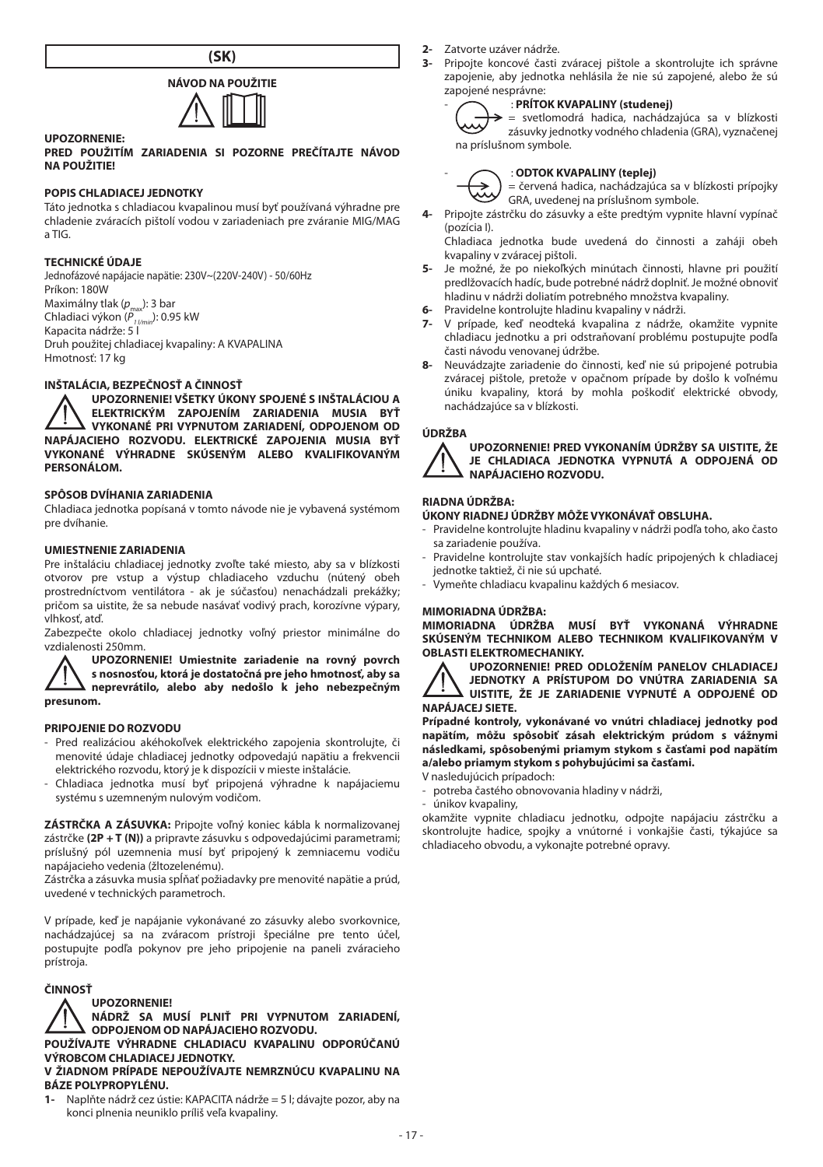



## **UPOZORNENIE:**

**PRED POUŽITÍM ZARIADENIA SI POZORNE PREČÍTAJTE NÁVOD NA POUŽITIE!**

#### **POPIS CHLADIACEJ JEDNOTKY**

Táto jednotka s chladiacou kvapalinou musí byť používaná výhradne pre chladenie zváracích pištolí vodou v zariadeniach pre zváranie MIG/MAG a TIG.

# **TECHNICKÉ ÚDAJE**

Jednofázové napájacie napätie: 230V~(220V-240V) - 50/60Hz Príkon: 180W Maximálny tlak (p<sub>max</sub>): 3 bar<br>Chladiaci výkon (P<sub>1 //min</sub>): 0.95 kW Kapacita nádrže: 5 l Druh použitej chladiacej kvapaliny: A KVAPALINA Hmotnosť: 17 kg

#### **INŠTALÁCIA, BEZPEČNOSŤ A ČINNOSŤ**

**UPOZORNENIE! VŠETKY ÚKONY SPOJENÉ S INŠTALÁCIOU A ELEKTRICKÝM ZAPOJENÍM ZARIADENIA MUSIA BYŤ VYKONANÉ PRI VYPNUTOM ZARIADENÍ, ODPOJENOM OD NAPÁJACIEHO ROZVODU. ELEKTRICKÉ ZAPOJENIA MUSIA BYŤ VYKONANÉ VÝHRADNE SKÚSENÝM ALEBO KVALIFIKOVANÝM PERSONÁLOM.**

# **SPÔSOB DVÍHANIA ZARIADENIA**

Chladiaca jednotka popísaná v tomto návode nie je vybavená systémom pre dvíhanie.

# **UMIESTNENIE ZARIADENIA**

Pre inštaláciu chladiacej jednotky zvoľte také miesto, aby sa v blízkosti otvorov pre vstup a výstup chladiaceho vzduchu (nútený obeh prostredníctvom ventilátora - ak je súčasťou) nenachádzali prekážky; pričom sa uistite, že sa nebude nasávať vodivý prach, korozívne výpary, vlhkosť, atď.

Zabezpečte okolo chladiacej jednotky voľný priestor minimálne do vzdialenosti 250mm.

**UPOZORNENIE! Umiestnite zariadenie na rovný povrch s nosnosťou, ktorá je dostatočná pre jeho hmotnosť, aby sa neprevrátilo, alebo aby nedošlo k jeho nebezpečným presunom.** 

# **PRIPOJENIE DO ROZVODU**

- Pred realizáciou akéhokoľvek elektrického zapojenia skontrolujte, či menovité údaje chladiacej jednotky odpovedajú napätiu a frekvencii elektrického rozvodu, ktorý je k dispozícii v mieste inštalácie.
- Chladiaca jednotka musí byť pripojená výhradne k napájaciemu systému s uzemneným nulovým vodičom.

**ZÁSTRČKA A ZÁSUVKA:** Pripojte voľný koniec kábla k normalizovanej zástrčke **(2P + T (N))** a pripravte zásuvku s odpovedajúcimi parametrami; príslušný pól uzemnenia musí byť pripojený k zemniacemu vodiču napájacieho vedenia (žltozelenému).

Zástrčka a zásuvka musia spĺňať požiadavky pre menovité napätie a prúd, uvedené v technických parametroch.

V prípade, keď je napájanie vykonávané zo zásuvky alebo svorkovnice, nachádzajúcej sa na zváracom prístroji špeciálne pre tento účel, postupujte podľa pokynov pre jeho pripojenie na paneli zváracieho prístroja.

# **ČINNOSŤ**



**NÁDRŽ SA MUSÍ PLNIŤ PRI VYPNUTOM ZARIADENÍ, ODPOJENOM OD NAPÁJACIEHO ROZVODU.**

**POUŽÍVAJTE VÝHRADNE CHLADIACU KVAPALINU ODPORÚČANÚ VÝROBCOM CHLADIACEJ JEDNOTKY.**

#### **V ŽIADNOM PRÍPADE NEPOUŽÍVAJTE NEMRZNÚCU KVAPALINU NA BÁZE POLYPROPYLÉNU.**

**1-** Naplňte nádrž cez ústie: KAPACITA nádrže = 5 l; dávajte pozor, aby na konci plnenia neuniklo príliš veľa kvapaliny.

**2-** Zatvorte uzáver nádrže.<br>**3-** Pripoite koncové časti

**3-** Pripojte koncové časti zváracej pištole a skontrolujte ich správne zapojenie, aby jednotka nehlásila že nie sú zapojené, alebo že sú zapojené nesprávne:

# - : **PRÍTOK KVAPALINY (studenej)**



= svetlomodrá hadica, nachádzajúca sa v blízkosti zásuvky jednotky vodného chladenia (GRA), vyznačenej na príslušnom symbole.

# - : **ODTOK KVAPALINY (teplej)**

= červená hadica, nachádzajúca sa v blízkosti prípojky GRA, uvedenej na príslušnom symbole.

**4-** Pripojte zástrčku do zásuvky a ešte predtým vypnite hlavní vypínač (pozícia I).

Chladiaca jednotka bude uvedená do činnosti a zaháji obeh kvapaliny v zváracej pištoli.

- **5-** Je možné, že po niekoľkých minútach činnosti, hlavne pri použití predlžovacích hadíc, bude potrebné nádrž doplniť. Je možné obnoviť hladinu v nádrži doliatím potrebného množstva kvapaliny.
- **6-** Pravidelne kontrolujte hladinu kvapaliny v nádrži.
- **7-** V prípade, keď neodteká kvapalina z nádrže, okamžite vypnite chladiacu jednotku a pri odstraňovaní problému postupujte podľa časti návodu venovanej údržbe.
- **8-** Neuvádzajte zariadenie do činnosti, keď nie sú pripojené potrubia zváracej pištole, pretože v opačnom prípade by došlo k voľnému úniku kvapaliny, ktorá by mohla poškodiť elektrické obvody, nachádzajúce sa v blízkosti.

#### **ÚDRŽBA**



### **UPOZORNENIE! PRED VYKONANÍM ÚDRŽBY SA UISTITE, ŽE JE CHLADIACA JEDNOTKA VYPNUTÁ A ODPOJENÁ OD NAPÁJACIEHO ROZVODU.**

## **RIADNA ÚDRŽBA:**

**ÚKONY RIADNEJ ÚDRŽBY MÔŽE VYKONÁVAŤ OBSLUHA.**

- Pravidelne kontrolujte hladinu kvapaliny v nádrži podľa toho, ako často sa zariadenie používa.
- Pravidelne kontrolujte stav vonkajších hadíc pripojených k chladiacej jednotke taktiež, či nie sú upchaté.
- Vymeňte chladiacu kvapalinu každých 6 mesiacov.

#### **MIMORIADNA ÚDRŽBA:**

**MIMORIADNA ÚDRŽBA MUSÍ BYŤ VYKONANÁ VÝHRADNE SKÚSENÝM TECHNIKOM ALEBO TECHNIKOM KVALIFIKOVANÝM V OBLASTI ELEKTROMECHANIKY.**

**UPOZORNENIE! PRED ODLOŽENÍM PANELOV CHLADIACEJ JEDNOTKY A PRÍSTUPOM DO VNÚTRA ZARIADENIA SA UISTITE, ŽE JE ZARIADENIE VYPNUTÉ A ODPOJENÉ OD NAPÁJACEJ SIETE.**

**Prípadné kontroly, vykonávané vo vnútri chladiacej jednotky pod napätím, môžu spôsobiť zásah elektrickým prúdom s vážnymi následkami, spôsobenými priamym stykom s časťami pod napätím a/alebo priamym stykom s pohybujúcimi sa časťami.**

#### V nasledujúcich prípadoch:

- potreba častého obnovovania hladiny v nádrži,
- únikov kvapaliny,

okamžite vypnite chladiacu jednotku, odpojte napájaciu zástrčku a skontrolujte hadice, spojky a vnútorné i vonkajšie časti, týkajúce sa chladiaceho obvodu, a vykonajte potrebné opravy.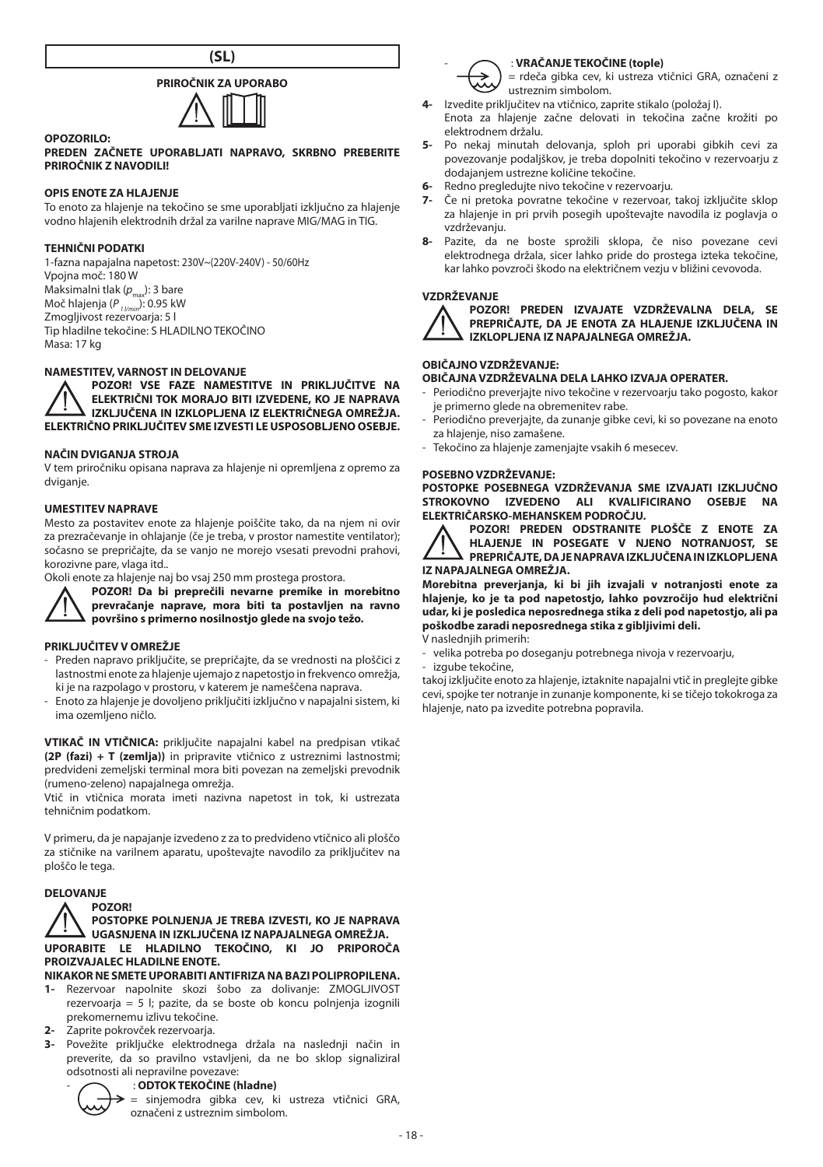

# **PRIROČNIK ZA UPORABO**



#### **PREDEN ZAČNETE UPORABLJATI NAPRAVO, SKRBNO PREBERITE PRIROČNIK Z NAVODILI!**

# **OPIS ENOTE ZA HLAJENJE**

To enoto za hlajenje na tekočino se sme uporabljati izključno za hlajenje vodno hlajenih elektrodnih držal za varilne naprave MIG/MAG in TIG.

#### **TEHNIČNI PODATKI**

**OPOZORILO:**

1-fazna napajalna napetost: 230V~(220V-240V) - 50/60Hz Vpojna moč: 180 W Maksimalni tlak  $(p_{\text{max}})$ : 3 bare Moč hlajenja (P <sub>1 l/min</sub>): 0.95 kW<br>Zmogljivost rezervoarja: 5 l Tip hladilne tekočine: S HLADILNO TEKOČINO Masa: 17 kg

# **NAMESTITEV, VARNOST IN DELOVANJE**

**POZOR! VSE FAZE NAMESTITVE IN PRIKLJUČITVE NA ELEKTRIČNI TOK MORAJO BITI IZVEDENE, KO JE NAPRAVA IZKLJUČENA IN IZKLOPLJENA IZ ELEKTRIČNEGA OMREŽJA. ELEKTRIČNO PRIKLJUČITEV SME IZVESTI LE USPOSOBLJENO OSEBJE.**

#### **NAČIN DVIGANJA STROJA**

V tem priročniku opisana naprava za hlajenje ni opremljena z opremo za dviganje.

#### **UMESTITEV NAPRAVE**

Mesto za postavitev enote za hlajenje poiščite tako, da na njem ni ovir za prezračevanje in ohlajanje (če je treba, v prostor namestite ventilator); sočasno se prepričajte, da se vanjo ne morejo vsesati prevodni prahovi, korozivne pare, vlaga itd..

Okoli enote za hlajenje naj bo vsaj 250 mm prostega prostora.

**POZOR! Da bi preprečili nevarne premike in morebitno** 

**prevračanje naprave, mora biti ta postavljen na ravno površino s primerno nosilnostjo glede na svojo težo.**

#### **PRIKLJUČITEV V OMREŽJE**

- Preden napravo priključite, se prepričajte, da se vrednosti na ploščici z lastnostmi enote za hlajenje ujemajo z napetostjo in frekvenco omrežja, ki je na razpolago v prostoru, v katerem je nameščena naprava.
- Enoto za hlajenje je dovoljeno priključiti izključno v napajalni sistem, ki ima ozemljeno ničlo.

**VTIKAČ IN VTIČNICA:** priključite napajalni kabel na predpisan vtikač **(2P (fazi) + T (zemlja))** in pripravite vtičnico z ustreznimi lastnostmi; predvideni zemeljski terminal mora biti povezan na zemeljski prevodnik (rumeno-zeleno) napajalnega omrežja.

Vtič in vtičnica morata imeti nazivna napetost in tok, ki ustrezata tehničnim podatkom.

V primeru, da je napajanje izvedeno z za to predvideno vtičnico ali ploščo za stičnike na varilnem aparatu, upoštevajte navodilo za priključitev na ploščo le tega.

# **DELOVANJE**

#### **POZOR! POSTOPKE POLNJENJA JE TREBA IZVESTI, KO JE NAPRAVA UGASNJENA IN IZKLJUČENA IZ NAPAJALNEGA OMREŽJA. UPORABITE LE HLADILNO TEKOČINO, KI JO PRIPOROČA PROIZVAJALEC HLADILNE ENOTE.**

**NIKAKOR NE SMETE UPORABITI ANTIFRIZA NA BAZI POLIPROPILENA.**

- **1-** Rezervoar napolnite skozi šobo za dolivanje: ZMOGLJIVOST rezervoaria = 5 l; pazite, da se boste ob koncu polnienia izognili prekomernemu izlivu tekočine.
- **2-** Zaprite pokrovček rezervoarja.
- **3-** Povežite priključke elektrodnega držala na naslednji način in preverite, da so pravilno vstavljeni, da ne bo sklop signaliziral odsotnosti ali nepravilne povezave:

# - : **ODTOK TEKOČINE (hladne)**



= sinjemodra gibka cev, ki ustreza vtičnici GRA, označeni z ustreznim simbolom.



#### - : **VRAČANJE TEKOČINE (tople)**

= rdeča gibka cev, ki ustreza vtičnici GRA, označeni z ustreznim simbolom.

- **4-** Izvedite priključitev na vtičnico, zaprite stikalo (položaj I).
- Enota za hlajenje začne delovati in tekočina začne krožiti po elektrodnem držalu.
- **5-** Po nekaj minutah delovanja, sploh pri uporabi gibkih cevi za povezovanje podaljškov, je treba dopolniti tekočino v rezervoarju z dodajanjem ustrezne količine tekočine.
- **6-** Redno pregledujte nivo tekočine v rezervoarju.<br>**7-** Če ni pretoka povratne tekočine v rezervoar
- **7-** Če ni pretoka povratne tekočine v rezervoar, takoj izključite sklop za hlajenje in pri prvih posegih upoštevajte navodila iz poglavja o vzdrževanju.
- **8-** Pazite, da ne boste sprožili sklopa, če niso povezane cevi elektrodnega držala, sicer lahko pride do prostega izteka tekočine, kar lahko povzroči škodo na električnem vezju v bližini cevovoda.

#### **VZDRŽEVANJE**



**POZOR! PREDEN IZVAJATE VZDRŽEVALNA DELA, SE PREPRIČAJTE, DA JE ENOTA ZA HLAJENJE IZKLJUČENA IN IZKLOPLJENA IZ NAPAJALNEGA OMREŽJA.**

# **OBIČAJNO VZDRŽEVANJE:**

# **OBIČAJNA VZDRŽEVALNA DELA LAHKO IZVAJA OPERATER.**

- Periodično preverjajte nivo tekočine v rezervoarju tako pogosto, kakor je primerno glede na obremenitev rabe.
- Periodično preverjajte, da zunanje gibke cevi, ki so povezane na enoto za hlajenje, niso zamašene.
- Tekočino za hlajenje zamenjajte vsakih 6 mesecev.

# **POSEBNO VZDRŽEVANJE:**

**POSTOPKE POSEBNEGA VZDRŽEVANJA SME IZVAJATI IZKLJUČNO STROKOVNO IZVEDENO ALI KVALIFICIRANO OSEBJE NA ELEKTRIČARSKO-MEHANSKEM PODROČJU.**

| POZOR! PREDEN ODSTRANITE PLOŠČE Z ENOTE ZA<br>HLAJENJE IN POSEGATE V NJENO NOTRANJOST, SE<br>PREPRIČAJTE, DAJENAPRAVAIZKLJUČENAINIZKLOPLJENA |  |  |  |  |  |
|----------------------------------------------------------------------------------------------------------------------------------------------|--|--|--|--|--|
|                                                                                                                                              |  |  |  |  |  |
|                                                                                                                                              |  |  |  |  |  |
| Z NAPAJALNEGA OMREŽJA.                                                                                                                       |  |  |  |  |  |

**IZ NAPAJALNEGA OMREŽJA. Morebitna preverjanja, ki bi jih izvajali v notranjosti enote za hlajenje, ko je ta pod napetostjo, lahko povzročijo hud električni udar, ki je posledica neposrednega stika z deli pod napetostjo, ali pa poškodbe zaradi neposrednega stika z gibljivimi deli.**

V naslednjih primerih:

- velika potreba po doseganju potrebnega nivoja v rezervoarju,

- izgube tekočine,

takoj izključite enoto za hlajenje, iztaknite napajalni vtič in preglejte gibke cevi, spojke ter notranje in zunanje komponente, ki se tičejo tokokroga za hlajenje, nato pa izvedite potrebna popravila.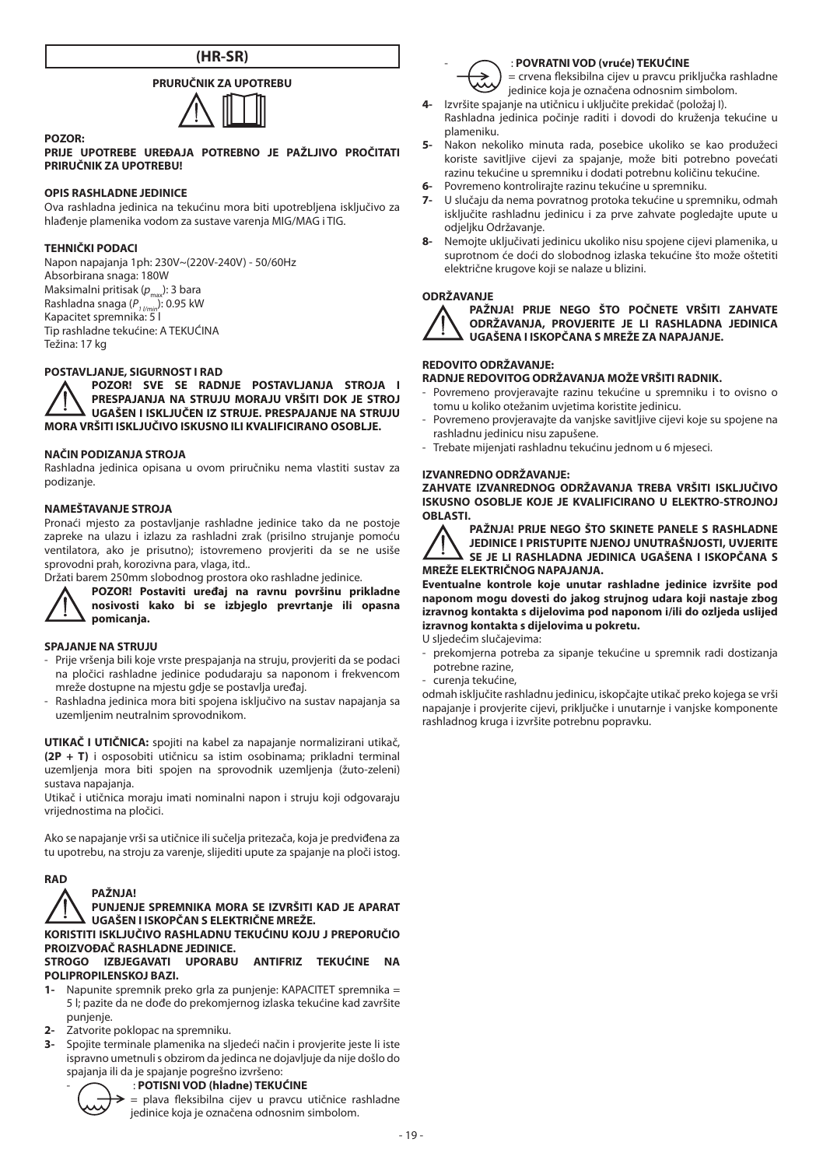# **(HR-SR)**

# **PRURUČNIK ZA UPOTREBU**



#### **PRIJE UPOTREBE UREĐAJA POTREBNO JE PAŽLJIVO PROČITATI PRIRUČNIK ZA UPOTREBU!**

# **OPIS RASHLADNE JEDINICE**

Ova rashladna jedinica na tekućinu mora biti upotrebljena isključivo za hlađenje plamenika vodom za sustave varenja MIG/MAG i TIG.

#### **TEHNIČKI PODACI**

**POZOR:**

Napon napajanja 1ph: 230V~(220V-240V) - 50/60Hz Absorbirana snaga: 180W Maksimalni pritisak (p<sub>max</sub>): 3 bara Rashladna snaga (P<sub>1/min</sub>): 0.95 kW<br>Kapacitet spremnika: 5 l Tip rashladne tekućine: A TEKUĆINA Težina: 17 kg

# **POSTAVLJANJE, SIGURNOST I RAD**

**POZOR! SVE SE RADNJE POSTAVLJANJA STROJA I PRESPAJANJA NA STRUJU MORAJU VRŠITI DOK JE STROJ UGAŠEN I ISKLJUČEN IZ STRUJE. PRESPAJANJE NA STRUJU MORA VRŠITI ISKLJUČIVO ISKUSNO ILI KVALIFICIRANO OSOBLJE.**

#### **NAČIN PODIZANJA STROJA**

Rashladna jedinica opisana u ovom priručniku nema vlastiti sustav za podizanje.

#### **NAMEŠTAVANJE STROJA**

Pronaći mjesto za postavljanje rashladne jedinice tako da ne postoje zapreke na ulazu i izlazu za rashladni zrak (prisilno strujanje pomoću ventilatora, ako je prisutno); istovremeno provjeriti da se ne usiše sprovodni prah, korozivna para, vlaga, itd..

Držati barem 250mm slobodnog prostora oko rashladne jedinice.



**POZOR! Postaviti uređaj na ravnu površinu prikladne nosivosti kako bi se izbjeglo prevrtanje ili opasna pomicanja.**

# **SPAJANJE NA STRUJU**

- Prije vršenja bili koje vrste prespajanja na struju, provjeriti da se podaci na pločici rashladne jedinice podudaraju sa naponom i frekvencom mreže dostupne na mjestu gdje se postavlja uređaj.
- Rashladna jedinica mora biti spojena isključivo na sustav napajanja sa uzemljenim neutralnim sprovodnikom.

**UTIKAČ I UTIČNICA:** spojiti na kabel za napajanje normalizirani utikač, **(2P + T)** i osposobiti utičnicu sa istim osobinama; prikladni terminal uzemljenja mora biti spojen na sprovodnik uzemljenja (žuto-zeleni) sustava napajanja.

Utikač i utičnica moraju imati nominalni napon i struju koji odgovaraju vrijednostima na pločici.

Ako se napajanje vrši sa utičnice ili sučelja pritezača, koja je predviđena za tu upotrebu, na stroju za varenje, slijediti upute za spajanje na ploči istog.



**PUNJENJE SPREMNIKA MORA SE IZVRŠITI KAD JE APARAT UGAŠEN I ISKOPČAN S ELEKTRIČNE MREŽE.**

**KORISTITI ISKLJUČIVO RASHLADNU TEKUĆINU KOJU J PREPORUČIO PROIZVOĐAČ RASHLADNE JEDINICE.**

### **STROGO IZBJEGAVATI UPORABU ANTIFRIZ TEKUĆINE NA POLIPROPILENSKOJ BAZI.**

- **1-** Napunite spremnik preko grla za punjenje: KAPACITET spremnika = 5 l; pazite da ne dođe do prekomjernog izlaska tekućine kad završite punjenje.
- **2-** Zatvorite poklopac na spremniku.

**PAŽNJA!**

**3-** Spojite terminale plamenika na sljedeći način i provjerite jeste li iste ispravno umetnuli s obzirom da jedinca ne dojavljuje da nije došlo do spajanja ili da je spajanje pogrešno izvršeno:

# - : **POTISNI VOD (hladne) TEKUĆINE**

= plava fleksibilna cijev u pravcu utičnice rashladne jedinice koja je označena odnosnim simbolom.



#### - : **POVRATNI VOD (vruće) TEKUĆINE**

= crvena fleksibilna cijev u pravcu priključka rashladne jedinice koja je označena odnosnim simbolom.

- **4-** Izvršite spajanje na utičnicu i uključite prekidač (položaj I). Rashladna jedinica počinje raditi i dovodi do kruženja tekućine u plameniku.
- **5-** Nakon nekoliko minuta rada, posebice ukoliko se kao produžeci koriste savitljive cijevi za spajanje, može biti potrebno povećati razinu tekućine u spremniku i dodati potrebnu količinu tekućine.
- **6-** Povremeno kontrolirajte razinu tekućine u spremniku.
- **7-** U slučaju da nema povratnog protoka tekućine u spremniku, odmah isključite rashladnu jedinicu i za prve zahvate pogledajte upute u odjeljku Održavanje.
- **8-** Nemojte uključivati jedinicu ukoliko nisu spojene cijevi plamenika, u suprotnom će doći do slobodnog izlaska tekućine što može oštetiti električne krugove koji se nalaze u blizini.

#### **ODRŽAVANJE**



**PAŽNJA! PRIJE NEGO ŠTO POČNETE VRŠITI ZAHVATE ODRŽAVANJA, PROVJERITE JE LI RASHLADNA JEDINICA UGAŠENA I ISKOPČANA S MREŽE ZA NAPAJANJE.**

# **REDOVITO ODRŽAVANJE:**

# **RADNJE REDOVITOG ODRŽAVANJA MOŽE VRŠITI RADNIK.**

- Povremeno provjeravajte razinu tekućine u spremniku i to ovisno o tomu u koliko otežanim uvjetima koristite jedinicu.
- Povremeno provjeravajte da vanjske savitljive cijevi koje su spojene na rashladnu jedinicu nisu zapušene.
- Trebate mijenjati rashladnu tekućinu jednom u 6 mjeseci.

# **IZVANREDNO ODRŽAVANJE:**

**ZAHVATE IZVANREDNOG ODRŽAVANJA TREBA VRŠITI ISKLJUČIVO ISKUSNO OSOBLJE KOJE JE KVALIFICIRANO U ELEKTRO-STROJNOJ OBLASTI.**



**PAŽNJA! PRIJE NEGO ŠTO SKINETE PANELE S RASHLADNE JEDINICE I PRISTUPITE NJENOJ UNUTRAŠNJOSTI, UVJERITE SE JE LI RASHLADNA JEDINICA UGAŠENA I ISKOPČANA S MREŽE ELEKTRIČNOG NAPAJANJA.**

**Eventualne kontrole koje unutar rashladne jedinice izvršite pod naponom mogu dovesti do jakog strujnog udara koji nastaje zbog izravnog kontakta s dijelovima pod naponom i/ili do ozljeda uslijed izravnog kontakta s dijelovima u pokretu.**

U sljedećim slučajevima:

- prekomjerna potreba za sipanje tekućine u spremnik radi dostizanja potrebne razine,
- curenja tekućine,

odmah isključite rashladnu jedinicu, iskopčajte utikač preko kojega se vrši napajanje i provjerite cijevi, priključke i unutarnje i vanjske komponente rashladnog kruga i izvršite potrebnu popravku.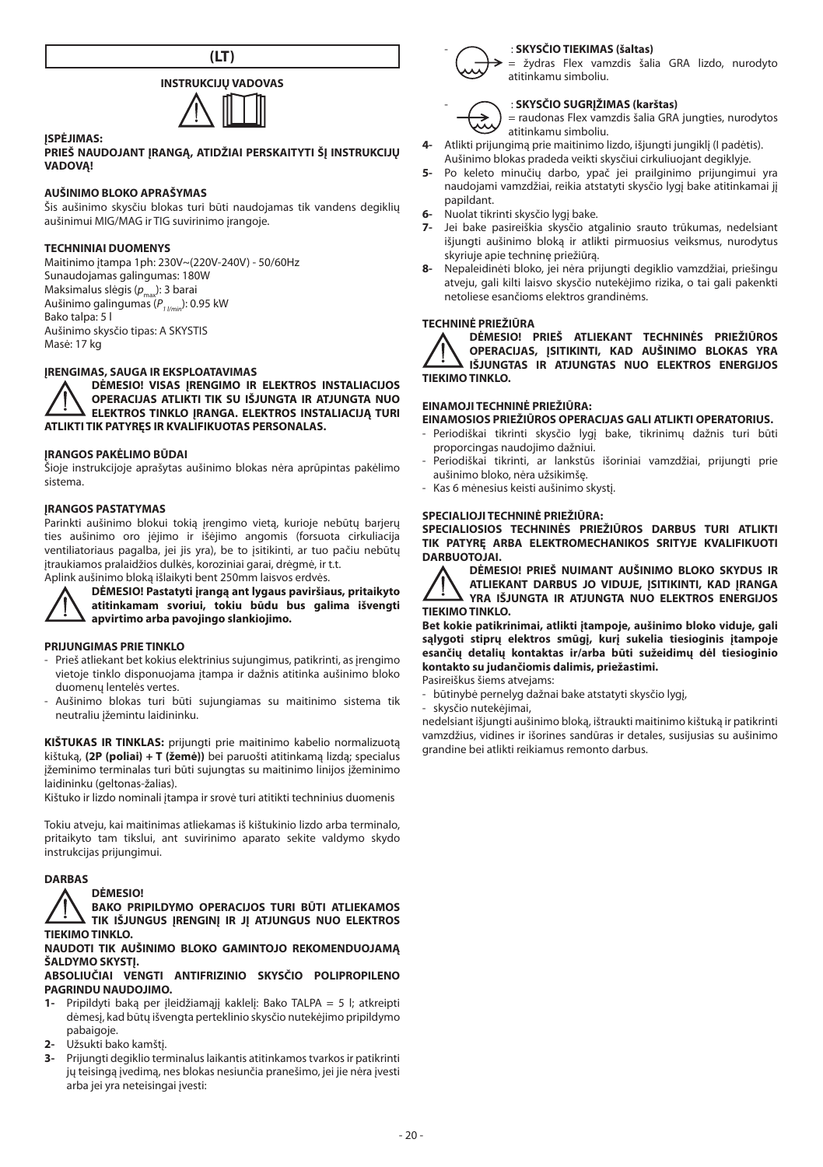



#### **ĮSPĖJIMAS:**

#### **PRIEŠ NAUDOJANT IRANGA, ATIDŽIAI PERSKAITYTI ŠI INSTRUKCIJU VADOVĄ!**

# **AUŠINIMO BLOKO APRAŠYMAS**

Šis aušinimo skysčiu blokas turi būti naudojamas tik vandens degiklių aušinimui MIG/MAG ir TIG suvirinimo įrangoje.

#### **TECHNINIAI DUOMENYS**

Maitinimo įtampa 1ph: 230V~(220V-240V) - 50/60Hz Sunaudojamas galingumas: 180W Maksimalus slėgis (p<sub>max</sub>): 3 barai Aušinimo galingumas (P<sub>1 l/min</sub>): 0.95 kW Bako talpa: 5 l Aušinimo skysčio tipas: A SKYSTIS Masė: 17 kg

#### **ĮRENGIMAS, SAUGA IR EKSPLOATAVIMAS**

**DĖMESIO! VISAS ĮRENGIMO IR ELEKTROS INSTALIACIJOS OPERACIJAS ATLIKTI TIK SU IŠJUNGTA IR ATJUNGTA NUO ELEKTROS TINKLO ĮRANGA. ELEKTROS INSTALIACIJĄ TURI ATLIKTI TIK PATYRĘS IR KVALIFIKUOTAS PERSONALAS.**

# **ĮRANGOS PAKĖLIMO BŪDAI**

Šioje instrukcijoje aprašytas aušinimo blokas nėra aprūpintas pakėlimo sistema.

#### **ĮRANGOS PASTATYMAS**

Parinkti aušinimo blokui tokią įrengimo vietą, kurioje nebūtų barjerų ties aušinimo oro įėjimo ir išėjimo angomis (forsuota cirkuliacija ventiliatoriaus pagalba, jei jis yra), be to įsitikinti, ar tuo pačiu nebūtų įtraukiamos pralaidžios dulkės, koroziniai garai, drėgmė, ir t.t.

Aplink aušinimo bloką išlaikyti bent 250mm laisvos erdvės.

**DĖMESIO! Pastatyti įrangą ant lygaus paviršiaus, pritaikyto atitinkamam svoriui, tokiu būdu bus galima išvengti apvirtimo arba pavojingo slankiojimo.**

#### **PRIJUNGIMAS PRIE TINKLO**

- Prieš atliekant bet kokius elektrinius sujungimus, patikrinti, as įrengimo vietoje tinklo disponuojama įtampa ir dažnis atitinka aušinimo bloko duomenų lentelės vertes.
- Aušinimo blokas turi būti sujungiamas su maitinimo sistema tik neutraliu įžemintu laidininku.

**KIŠTUKAS IR TINKLAS:** prijungti prie maitinimo kabelio normalizuotą kištuką, **(2P (poliai) + T (žemė))** bei paruošti atitinkamą lizdą; specialus įžeminimo terminalas turi būti sujungtas su maitinimo linijos įžeminimo laidininku (geltonas-žalias).

Kištuko ir lizdo nominali įtampa ir srovė turi atitikti techninius duomenis

Tokiu atveju, kai maitinimas atliekamas iš kištukinio lizdo arba terminalo, pritaikyto tam tikslui, ant suvirinimo aparato sekite valdymo skydo instrukcijas prijungimui.

#### **DARBAS**

# **DĖMESIO!**

**BAKO PRIPILDYMO OPERACIJOS TURI BŪTI ATLIEKAMOS TIK IŠJUNGUS ĮRENGINĮ IR JĮ ATJUNGUS NUO ELEKTROS TIEKIMO TINKLO.**

#### **NAUDOTI TIK AUŠINIMO BLOKO GAMINTOJO REKOMENDUOJAMĄ ŠALDYMO SKYSTI.**

### **ABSOLIUČIAI VENGTI ANTIFRIZINIO SKYSČIO POLIPROPILENO PAGRINDU NAUDOJIMO.**

- **1-** Pripildyti baką per įleidžiamąjį kaklelį: Bako TALPA = 5 l; atkreipti dėmesį, kad būtų išvengta perteklinio skysčio nutekėjimo pripildymo pabaigoje.
- **2-** Užsukti bako kamštį.
- **3-** Prijungti degiklio terminalus laikantis atitinkamos tvarkos ir patikrinti jų teisingą įvedimą, nes blokas nesiunčia pranešimo, jei jie nėra įvesti arba jei yra neteisingai įvesti:



žydras Flex vamzdis šalia GRA lizdo, nurodyto atitinkamu simboliu.

# - : **SKYSČIO SUGRĮŽIMAS (karštas)**

= raudonas Flex vamzdis šalia GRA jungties, nurodytos atitinkamu simboliu.

- **4-** Atlikti prijungimą prie maitinimo lizdo, išjungti jungiklį (I padėtis). Aušinimo blokas pradeda veikti skysčiui cirkuliuojant degiklyje.
- **5-** Po keleto minučių darbo, ypač jei prailginimo prijungimui yra naudojami vamzdžiai, reikia atstatyti skysčio lygį bake atitinkamai jį papildant.
- **6-** Nuolat tikrinti skysčio lygį bake.
- **7-** Jei bake pasireiškia skysčio atgalinio srauto trūkumas, nedelsiant išjungti aušinimo bloką ir atlikti pirmuosius veiksmus, nurodytus skyriuje apie techninę priežiūrą.
- **8-** Nepaleidinėti bloko, jei nėra prijungti degiklio vamzdžiai, priešingu atveju, gali kilti laisvo skysčio nutekėjimo rizika, o tai gali pakenkti netoliese esančioms elektros grandinėms.

#### **TECHNINĖ PRIEŽIŪRA**



**DĖMESIO! PRIEŠ ATLIEKANT TECHNINĖS PRIEŽIŪROS OPERACIJAS, ĮSITIKINTI, KAD AUŠINIMO BLOKAS YRA IŠJUNGTAS IR ATJUNGTAS NUO ELEKTROS ENERGIJOS TIEKIMO TINKLO.**

#### **EINAMOJI TECHNINĖ PRIEŽIŪRA:**

**EINAMOSIOS PRIEŽIŪROS OPERACIJAS GALI ATLIKTI OPERATORIUS.**

- Periodiškai tikrinti skysčio lygį bake, tikrinimų dažnis turi būti proporcingas naudojimo dažniui.
- Periodiškai tikrinti, ar lankstūs išoriniai vamzdžiai, prijungti prie aušinimo bloko, nėra užsikimšę.
- Kas 6 mėnesius keisti aušinimo skystį.

#### **SPECIALIOJI TECHNINĖ PRIEŽIŪRA:**

**SPECIALIOSIOS TECHNINĖS PRIEŽIŪROS DARBUS TURI ATLIKTI TIK PATYRĘ ARBA ELEKTROMECHANIKOS SRITYJE KVALIFIKUOTI DARBUOTOJAI.**



**DĖMESIO! PRIEŠ NUIMANT AUŠINIMO BLOKO SKYDUS IR ATLIEKANT DARBUS JO VIDUJE, ĮSITIKINTI, KAD ĮRANGA YRA IŠJUNGTA IR ATJUNGTA NUO ELEKTROS ENERGIJOS TIEKIMO TINKLO.**

**Bet kokie patikrinimai, atlikti įtampoje, aušinimo bloko viduje, gali sąlygoti stiprų elektros smūgį, kurį sukelia tiesioginis įtampoje esančių detalių kontaktas ir/arba būti sužeidimų dėl tiesioginio kontakto su judančiomis dalimis, priežastimi.**

Pasireiškus šiems atvejams:

- būtinybė pernelyg dažnai bake atstatyti skysčio lygį, skysčio nutekėjimai.

nedelsiant išjungti aušinimo bloką, ištraukti maitinimo kištuką ir patikrinti vamzdžius, vidines ir išorines sandūras ir detales, susijusias su aušinimo grandine bei atlikti reikiamus remonto darbus.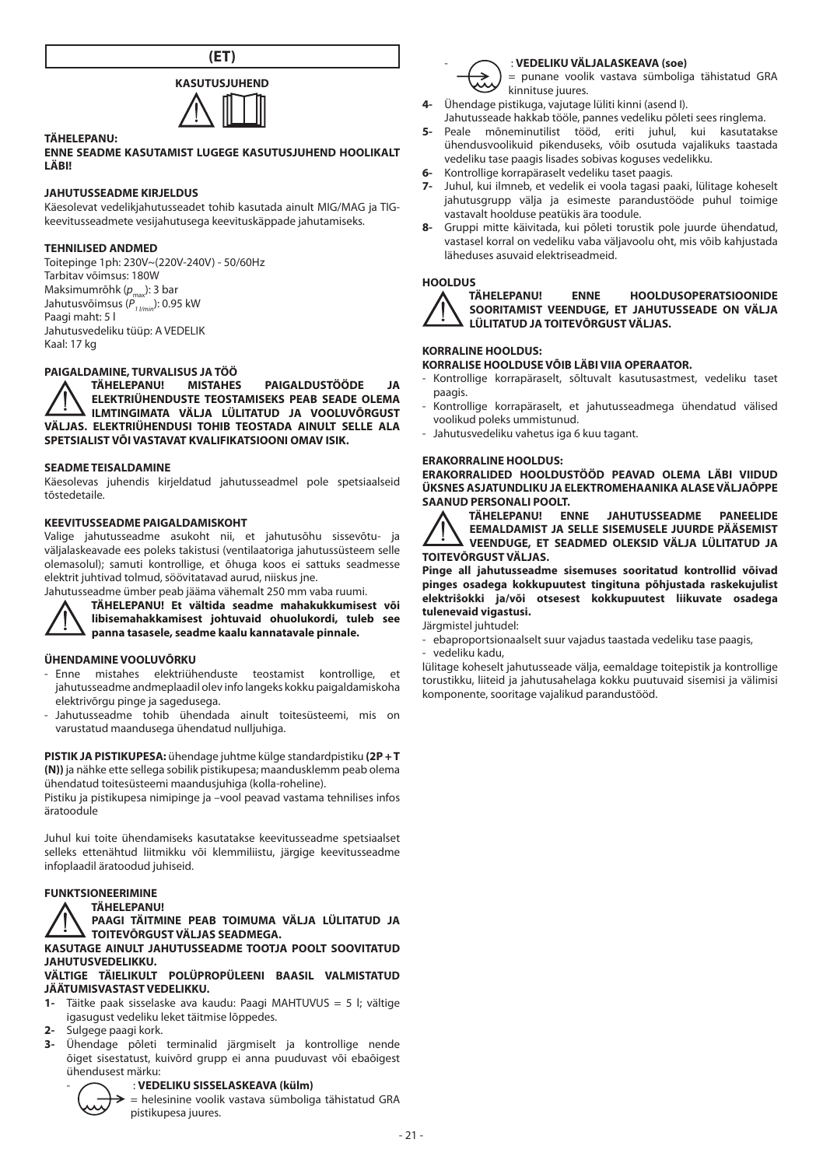



#### **TÄHELEPANU:**

#### **ENNE SEADME KASUTAMIST LUGEGE KASUTUSJUHEND HOOLIKALT LÄBI!**

#### **JAHUTUSSEADME KIRJELDUS**

Käesolevat vedelikjahutusseadet tohib kasutada ainult MIG/MAG ja TIGkeevitusseadmete vesijahutusega keevituskäppade jahutamiseks.

#### **TEHNILISED ANDMED**

Toitepinge 1ph: 230V~(220V-240V) - 50/60Hz Tarbitav võimsus: 180W Maksimumrõhk (p<sub>max</sub>): 3 bar Jahutusvõimsus ( $P_{1 / min}^{max}$ ): 0.95 kW Paagi maht: 5 l Jahutusvedeliku tüüp: A VEDELIK Kaal: 17 kg

# **PAIGALDAMINE, TURVALISUS JA TÖÖ**

**TÄHELEPANU! MISTAHES PAIGALDUSTÖÖDE JA ELEKTRIÜHENDUSTE TEOSTAMISEKS PEAB SEADE OLEMA ILMTINGIMATA VÄLJA LÜLITATUD JA VOOLUVÕRGUST VÄLJAS. ELEKTRIÜHENDUSI TOHIB TEOSTADA AINULT SELLE ALA SPETSIALIST VÕI VASTAVAT KVALIFIKATSIOONI OMAV ISIK.**

#### **SEADME TEISALDAMINE**

Käesolevas juhendis kirjeldatud jahutusseadmel pole spetsiaalseid tõstedetaile.

#### **KEEVITUSSEADME PAIGALDAMISKOHT**

Valige jahutusseadme asukoht nii, et jahutusõhu sissevõtu- ja väljalaskeavade ees poleks takistusi (ventilaatoriga jahutussüsteem selle olemasolul); samuti kontrollige, et õhuga koos ei sattuks seadmesse elektrit juhtivad tolmud, söövitatavad aurud, niiskus jne.

Jahutusseadme ümber peab jääma vähemalt 250 mm vaba ruumi.



**TÄHELEPANU! Et vältida seadme mahakukkumisest või libisemahakkamisest johtuvaid ohuolukordi, tuleb see** 

**panna tasasele, seadme kaalu kannatavale pinnale.**

#### **ÜHENDAMINE VOOLUVÕRKU**

- Enne mistahes elektriühenduste teostamist kontrollige, et jahutusseadme andmeplaadil olev info langeks kokku paigaldamiskoha elektrivõrgu pinge ja sagedusega.
- Jahutusseadme tohib ühendada ainult toitesüsteemi, mis on varustatud maandusega ühendatud nulljuhiga.

**PISTIK JA PISTIKUPESA:** ühendage juhtme külge standardpistiku **(2P + T (N))** ja nähke ette sellega sobilik pistikupesa; maandusklemm peab olema ühendatud toitesüsteemi maandusjuhiga (kolla-roheline).

Pistiku ja pistikupesa nimipinge ja –vool peavad vastama tehnilises infos äratoodule

Juhul kui toite ühendamiseks kasutatakse keevitusseadme spetsiaalset selleks ettenähtud liitmikku või klemmiliistu, järgige keevitusseadme infoplaadil äratoodud juhiseid.

#### **FUNKTSIONEERIMINE**



**PAAGI TÄITMINE PEAB TOIMUMA VÄLJA LÜLITATUD JA TOITEVŌRGUST VÄLJAS SEADMEGA.**

**KASUTAGE AINULT JAHUTUSSEADME TOOTJA POOLT SOOVITATUD JAHUTUSVEDELIKKU.**

# **VÄLTIGE TÄIELIKULT POLÜPROPÜLEENI BAASIL VALMISTATUD JÄÄTUMISVASTAST VEDELIKKU.**

- **1-** Täitke paak sisselaske ava kaudu: Paagi MAHTUVUS = 5 l; vältige igasugust vedeliku leket täitmise lõppedes.
- **2-** Sulgege paagi kork.
- **3-** Ühendage põleti terminalid järgmiselt ja kontrollige nende õiget sisestatust, kuivõrd grupp ei anna puuduvast või ebaõigest ühendusest märku:

#### - : **VEDELIKU SISSELASKEAVA (külm)**



= helesinine voolik vastava sümboliga tähistatud GRA pistikupesa juures.



#### - : **VEDELIKU VÄLJALASKEAVA (soe)**

= punane voolik vastava sümboliga tähistatud GRA kinnituse juures.

- **4-** Ühendage pistikuga, vajutage lüliti kinni (asend I).
- Jahutusseade hakkab tööle, pannes vedeliku põleti sees ringlema. **5-** Peale mõneminutilist tööd, eriti juhul, kui kasutatakse ühendusvoolikuid pikenduseks, võib osutuda vajalikuks taastada
- vedeliku tase paagis lisades sobivas koguses vedelikku.
- **6-** Kontrollige korrapäraselt vedeliku taset paagis.
- **7-** Juhul, kui ilmneb, et vedelik ei voola tagasi paaki, lülitage koheselt jahutusgrupp välja ja esimeste parandustööde puhul toimige vastavalt hoolduse peatükis ära toodule.
- **8-** Gruppi mitte käivitada, kui põleti torustik pole juurde ühendatud, vastasel korral on vedeliku vaba väljavoolu oht, mis võib kahjustada läheduses asuvaid elektriseadmeid.



**HOOLDUS FNNE HOOLDUSOPERATSIOONIDE SOORITAMIST VEENDUGE, ET JAHUTUSSEADE ON VÄLJA LÜLITATUD JA TOITEVŌRGUST VÄLJAS.**

# **KORRALINE HOOLDUS:**

# **KORRALISE HOOLDUSE VÕIB LÄBI VIIA OPERAATOR.**

- Kontrollige korrapäraselt, sõltuvalt kasutusastmest, vedeliku taset paagis.
- Kontrollige korrapäraselt, et jahutusseadmega ühendatud välised voolikud poleks ummistunud.
- Jahutusvedeliku vahetus iga 6 kuu tagant.

# **ERAKORRALINE HOOLDUS:**

**ERAKORRALIDED HOOLDUSTÖÖD PEAVAD OLEMA LÄBI VIIDUD ÜKSNES ASJATUNDLIKU JA ELEKTROMEHAANIKA ALASE VÄLJAŌPPE SAANUD PERSONALI POOLT.**<br>A TÄHELEPANU! ENNE

JAHUTUSSEADME PANEELIDE **EEMALDAMIST JA SELLE SISEMUSELE JUURDE PÄÄSEMIST VEENDUGE, ET SEADMED OLEKSID VÄLJA LÜLITATUD JA TOITEVŌRGUST VÄLJAS.**

**Pinge all jahutusseadme sisemuses sooritatud kontrollid võivad pinges osadega kokkupuutest tingituna põhjustada raskekujulist elektriŝokki ja/või otsesest kokkupuutest liikuvate osadega tulenevaid vigastusi.**

Järgmistel juhtudel:

- ebaproportsionaalselt suur vajadus taastada vedeliku tase paagis,

- vedeliku kadu,

lülitage koheselt jahutusseade välja, eemaldage toitepistik ja kontrollige torustikku, liiteid ja jahutusahelaga kokku puutuvaid sisemisi ja välimisi komponente, sooritage vajalikud parandustööd.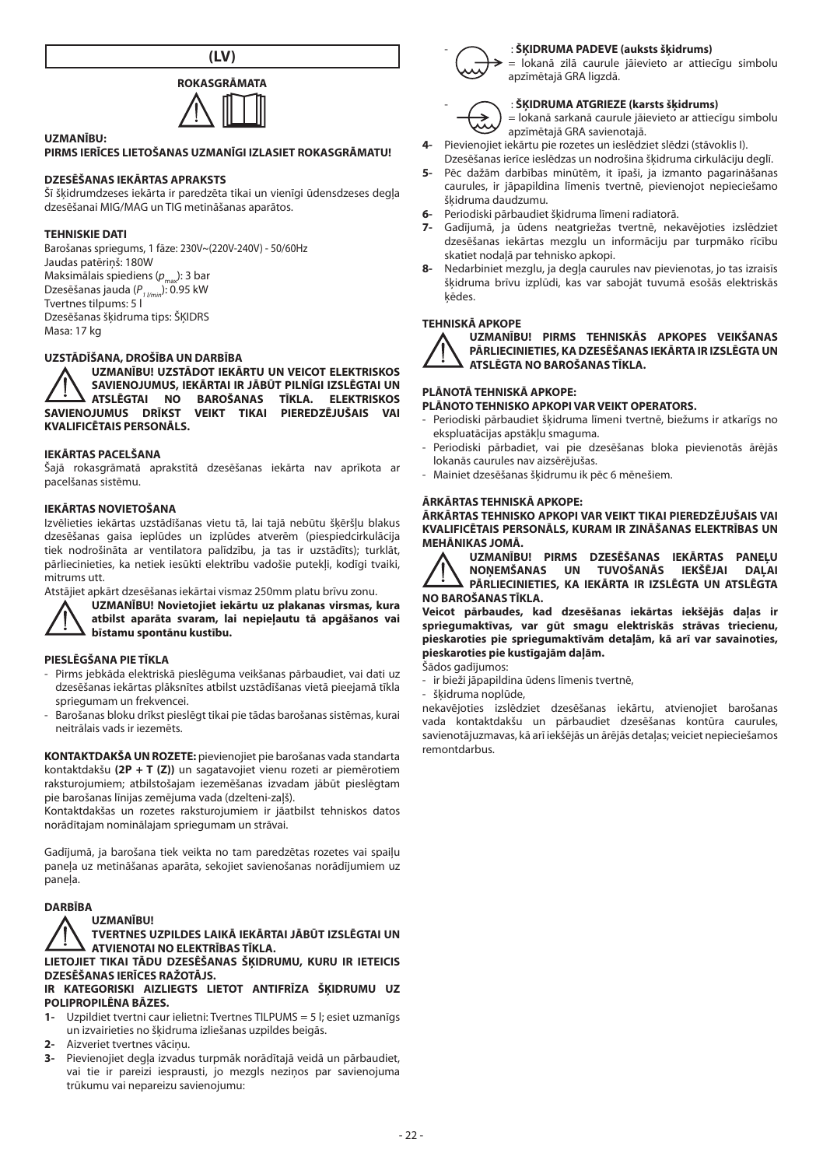**(LV)**



# **UZMANĪBU:**

#### **PIRMS IERĪCES LIETOŠANAS UZMANĪGI IZLASIET ROKASGRĀMATU!**

#### **DZESĒŠANAS IEKĀRTAS APRAKSTS**

Šī šķidrumdzeses iekārta ir paredzēta tikai un vienīgi ūdensdzeses degļa dzesēšanai MIG/MAG un TIG metināšanas aparātos.

#### **TEHNISKIE DATI**

Barošanas spriegums, 1 fāze: 230V~(220V-240V) - 50/60Hz Jaudas patēriņš: 180W Maksimālais spiediens (*p*): 3 bar Dzesēšanas jauda (*P1 l/min*): 0.95 kW Tvertnes tilpums: 5 l Dzesēšanas šķidruma tips: ŠĶIDRS Masa: 17 kg

#### **UZSTĀDĪŠANA, DROŠĪBA UN DARBĪBA**

**UZMANĪBU! UZSTĀDOT IEKĀRTU UN VEICOT ELEKTRISKOS SAVIENOJUMUS, IEKĀRTAI IR JĀBŪT PILNĪGI IZSLĒGTAI UN ATSLĒGTAI NO BAROŠANAS TĪKLA. ELEKTRISKOS SAVIENOJUMUS DRĪKST VEIKT TIKAI PIEREDZĒJUŠAIS VAI KVALIFICĒTAIS PERSONĀLS.**

#### **IEKĀRTAS PACELŠANA**

Šajā rokasgrāmatā aprakstītā dzesēšanas iekārta nav aprīkota ar pacelšanas sistēmu.

#### **IEKĀRTAS NOVIETOŠANA**

Izvēlieties iekārtas uzstādīšanas vietu tā, lai tajā nebūtu šķēršļu blakus dzesēšanas gaisa ieplūdes un izplūdes atverēm (piespiedcirkulācija tiek nodrošināta ar ventilatora palīdzību, ja tas ir uzstādīts); turklāt, pārliecinieties, ka netiek iesūkti elektrību vadošie putekļi, kodīgi tvaiki, mitrums utt.

Atstājiet apkārt dzesēšanas iekārtai vismaz 250mm platu brīvu zonu.



**UZMANĪBU! Novietojiet iekārtu uz plakanas virsmas, kura atbilst aparāta svaram, lai nepieļautu tā apgāšanos vai bīstamu spontānu kustību.**

#### **PIESLĒGŠANA PIE TĪKLA**

- Pirms jebkāda elektriskā pieslēguma veikšanas pārbaudiet, vai dati uz dzesēšanas iekārtas plāksnītes atbilst uzstādīšanas vietā pieejamā tīkla spriegumam un frekvencei.
- Barošanas bloku drīkst pieslēgt tikai pie tādas barošanas sistēmas, kurai neitrālais vads ir iezemēts.

**KONTAKTDAKŠA UN ROZETE:** pievienojiet pie barošanas vada standarta kontaktdakšu **(2P + T (Z))** un sagatavojiet vienu rozeti ar piemērotiem raksturojumiem; atbilstošajam iezemēšanas izvadam jābūt pieslēgtam pie barošanas līnijas zemējuma vada (dzelteni-zaļš).

Kontaktdakšas un rozetes raksturojumiem ir jāatbilst tehniskos datos norādītajam nominālajam spriegumam un strāvai.

Gadījumā, ja barošana tiek veikta no tam paredzētas rozetes vai spaiļu paneļa uz metināšanas aparāta, sekojiet savienošanas norādījumiem uz paneļa.

#### **DARBĪBA**



**TVERTNES UZPILDES LAIKĀ IEKĀRTAI JĀBŪT IZSLĒGTAI UN ATVIENOTAI NO ELEKTRĪBAS TĪKLA.**

**LIETOJIET TIKAI TĀDU DZESĒŠANAS ŠĶIDRUMU, KURU IR IETEICIS DZESĒŠANAS IERĪCES RAŽOTĀJS.**

**IR KATEGORISKI AIZLIEGTS LIETOT ANTIFRĪZA ŠĶIDRUMU UZ POLIPROPILĒNA BĀZES.**

- **1-** Uzpildiet tvertni caur ielietni: Tvertnes TILPUMS = 5 l; esiet uzmanīgs un izvairieties no šķidruma izliešanas uzpildes beigās.
- **2-** Aizveriet tvertnes vāciņu.
- **3-** Pievienojiet degļa izvadus turpmāk norādītajā veidā un pārbaudiet, vai tie ir pareizi iesprausti, jo mezgls neziņos par savienojuma trūkumu vai nepareizu savienojumu:



#### - : **ŠĶIDRUMA PADEVE (auksts šķidrums)**

= lokanā zilā caurule jāievieto ar attiecīgu simbolu apzīmētajā GRA ligzdā.

$$
\widehat{\mathcal{L}}
$$

- : **ŠĶIDRUMA ATGRIEZE (karsts šķidrums)**

= lokanā sarkanā caurule jāievieto ar attiecīgu simbolu apzīmētajā GRA savienotajā.

- **4-** Pievienojiet iekārtu pie rozetes un ieslēdziet slēdzi (stāvoklis I).
- Dzesēšanas ierīce ieslēdzas un nodrošina šķidruma cirkulāciju deglī. **5-** Pēc dažām darbības minūtēm, it īpaši, ja izmanto pagarināšanas caurules, ir jāpapildina līmenis tvertnē, pievienojot nepieciešamo šķidruma daudzumu.
- **6-** Periodiski pārbaudiet šķidruma līmeni radiatorā.
- **7-** Gadījumā, ja ūdens neatgriežas tvertnē, nekavējoties izslēdziet dzesēšanas iekārtas mezglu un informāciju par turpmāko rīcību skatiet nodaļā par tehnisko apkopi.
- **8-** Nedarbiniet mezglu, ja degļa caurules nav pievienotas, jo tas izraisīs šķidruma brīvu izplūdi, kas var sabojāt tuvumā esošās elektriskās ķēdes.

## **TEHNISKĀ APKOPE**



**UZMANĪBU! PIRMS TEHNISKĀS APKOPES VEIKŠANAS PĀRLIECINIETIES, KA DZESĒŠANAS IEKĀRTA IR IZSLĒGTA UN ATSLĒGTA NO BAROŠANAS TĪKLA.**

### **PLĀNOTĀ TEHNISKĀ APKOPE:**

**PLĀNOTO TEHNISKO APKOPI VAR VEIKT OPERATORS.**

- Periodiski pārbaudiet šķidruma līmeni tvertnē, biežums ir atkarīgs no ekspluatācijas apstākļu smaguma.
- Periodiski pārbadiet, vai pie dzesēšanas bloka pievienotās ārējās lokanās caurules nav aizsērējušas.
- Mainiet dzesēšanas šķidrumu ik pēc 6 mēnešiem.

#### **ĀRKĀRTAS TEHNISKĀ APKOPE:**

**ĀRKĀRTAS TEHNISKO APKOPI VAR VEIKT TIKAI PIEREDZĒJUŠAIS VAI KVALIFICĒTAIS PERSONĀLS, KURAM IR ZINĀŠANAS ELEKTRĪBAS UN MEHĀNIKAS JOMĀ.**

**UZMANĪBU! PIRMS DZESĒŠANAS IEKĀRTAS PANEĻU NOŅEMŠANAS UN TUVOŠANĀS IEKŠĒJAI DAĻAI PĀRLIECINIETIES, KA IEKĀRTA IR IZSLĒGTA UN ATSLĒGTA NO BAROŠANAS TĪKLA.**

**Veicot pārbaudes, kad dzesēšanas iekārtas iekšējās daļas ir spriegumaktīvas, var gūt smagu elektriskās strāvas triecienu, pieskaroties pie spriegumaktīvām detaļām, kā arī var savainoties, pieskaroties pie kustīgajām daļām.** Šādos gadījumos:

ir bieži jāpapildina ūdens līmenis tvertnē,

šķidruma noplūde,

nekavējoties izslēdziet dzesēšanas iekārtu, atvienojiet barošanas vada kontaktdakšu un pārbaudiet dzesēšanas kontūra caurules, savienotājuzmavas, kā arī iekšējās un ārējās detaļas; veiciet nepieciešamos remontdarbus.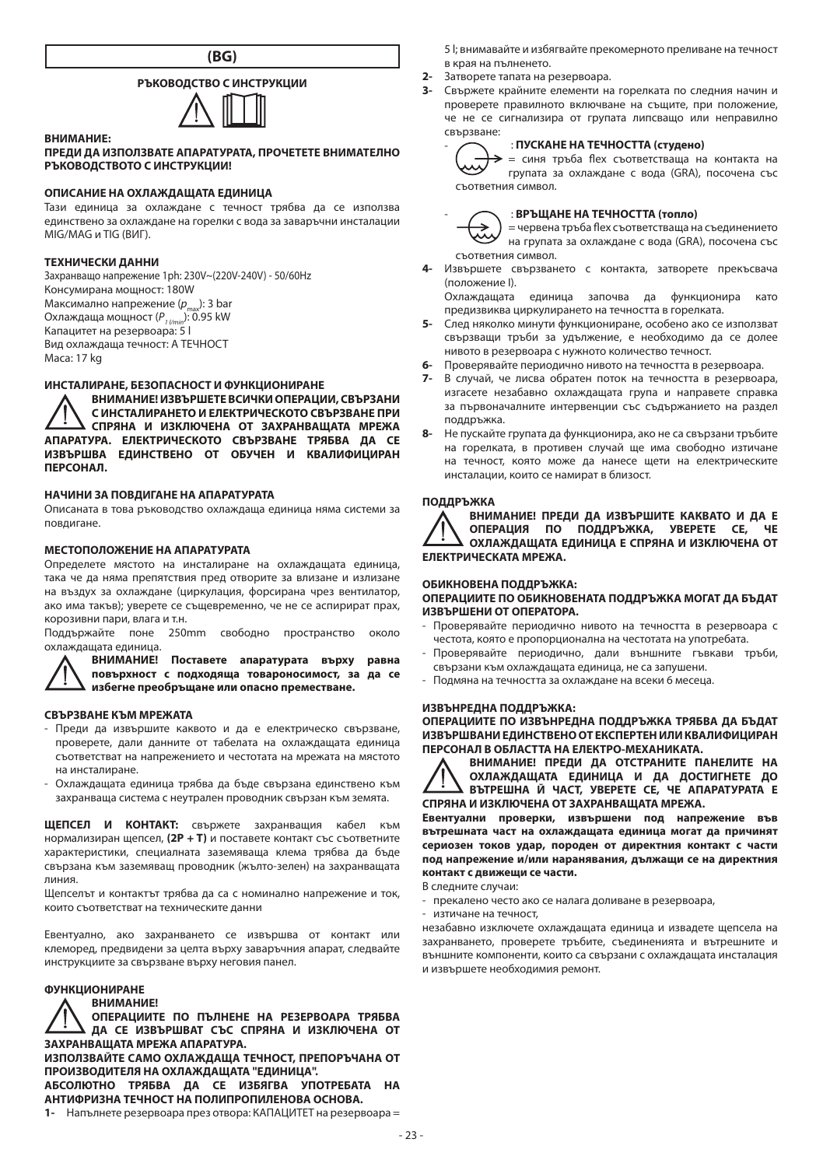

# **РЪКОВОДСТВО С ИНСТРУКЦИИ**



#### **ПРЕДИ ДА ИЗПОЛЗВАТЕ АПАРАТУРАТА, ПРОЧЕТЕТЕ ВНИМАТЕЛНО РЪКОВОДСТВОТО С ИНСТРУКЦИИ!**

### **ОПИСАНИЕ НА ОХЛАЖДАЩАТА ЕДИНИЦА**

Тази единица за охлаждане с течност трябва да се използва единствено за охлаждане на горелки с вода за заваръчни инсталации MIG/MAG и TIG (ВИГ).

#### **ТЕХНИЧЕСКИ ДАННИ**

**ВНИМАНИЕ:**

Захранващо напрежение 1ph: 230V~(220V-240V) - 50/60Hz Консумирана мощност: 180W Максимално напрежение (p<sub>max</sub>): 3 bar<br>Охлаждаща мощност (P<sub>1 //min</sub>): 0.95 kW Капацитет на резервоара: 5 l Вид охлаждаща течност: A ТЕЧНОСТ маса: 17 kg

## **ИНСТАЛИРАНЕ, БЕЗОПАСНОСТ И ФУНКЦИОНИРАНЕ**

**ВНИМАНИЕ! ИЗВЪРШЕТЕ ВСИЧКИ ОПЕРАЦИИ, СВЪРЗАНИ С ИНСТАЛИРАНЕТО И ЕЛЕКТРИЧЕСКОТО СВЪРЗВАНЕ ПРИ СПРЯНА И ИЗКЛЮЧЕНА ОТ ЗАХРАНВАЩАТА МРЕЖА АПАРАТУРА. ЕЛЕКТРИЧЕСКОТО СВЪРЗВАНЕ ТРЯБВА ДА СЕ ИЗВЪРШВА ЕДИНСТВЕНО ОТ ОБУЧЕН И КВАЛИФИЦИРАН ПЕРСОНАЛ.**

# **НАЧИНИ ЗА ПОВДИГАНЕ НА АПАРАТУРАТА**

Описаната в това ръководство охлаждаща единица няма системи за повдигане.

# **МЕСТОПОЛОЖЕНИЕ НА АПАРАТУРАТА**

Определете мястото на инсталиране на охлаждащата единица, така че да няма препятствия пред отворите за влизане и излизане на въздух за охлаждане (циркулация, форсирана чрез вентилатор, ако има такъв); уверете се същевременно, че не се аспирират прах, корозивни пари, влага и т.н.

Поддържайте поне 250mm свободно пространство около охлаждащата единица.

**ВНИМАНИЕ! Поставете апаратурата върху равна повърхност с подходяща товароносимост, за да се избегне преобръщане или опасно преместване.**

**СВЪРЗВАНЕ КЪМ МРЕЖАТА**

- Преди да извършите каквото и да е електрическо свързване, проверете, дали данните от табелата на охлаждащата единица съответстват на напрежението и честотата на мрежата на мястото на инсталиране.
- Охлаждащата единица трябва да бъде свързана единствено към захранваща система с неутрален проводник свързан към земята.

**ЩЕПСЕЛ И КОНТАКТ:** свържете захранващия кабел към нормализиран щепсел, **(2P + T)** и поставете контакт със съответните характеристики, специалната заземяваща клема трябва да бъде свързана към заземяващ проводник (жълто-зелен) на захранващата линия.

Щепселът и контактът трябва да са с номинално напрежение и ток, които съответстват на техническите данни

Евентуално, ако захранването се извършва от контакт или клеморед, предвидени за целта върху заваръчния апарат, следвайте инструкциите за свързване върху неговия панел.

# **ФУНКЦИОНИРАНЕ**

**ВНИМАНИЕ!**

**ОПЕРАЦИИТЕ ПО ПЪЛНЕНЕ НА РЕЗЕРВОАРА ТРЯБВА ДА СЕ ИЗВЪРШВАТ СЪС СПРЯНА И ИЗКЛЮЧЕНА ОТ ЗАХРАНВАЩАТА МРЕЖА АПАРАТУРА.**

**ИЗПОЛЗВАЙТЕ САМО ОХЛАЖДАЩА ТЕЧНОСТ, ПРЕПОРЪЧАНА ОТ ПРОИЗВОДИТЕЛЯ НА ОХЛАЖДАЩАТА "ЕДИНИЦА".**

**АБСОЛЮТНО ТРЯБВА ДА СЕ ИЗБЯГВА УПОТРЕБАТА НА АНТИФРИЗНА ТЕЧНОСТ НА ПОЛИПРОПИЛЕНОВА ОСНОВА.**

**1-** Напълнете резервоара през отвора: КАПАЦИТЕТ на резервоара =

5 l; внимавайте и избягвайте прекомерното преливане на течност в края на пълненето.

- 2- Затворете тапата на резервоара.<br>3- Сенржате крайните елементи на
- **3-** Свържете крайните елементи на горелката по следния начин и проверете правилното включване на същите, при положение, че не се сигнализира от групата липсващо или неправилно свързване:



## - : **ПУСКАНЕ НА ТЕЧНОСТТА (студено)**

 $\rightarrow$  = синя тръба flex съответстваща на контакта на групата за охлаждане с вода (GRA), посочена със съответния символ.



# - : **ВРЪЩАНЕ НА ТЕЧНОСТТА (топло)**

= червена тръба flex съответстваща на съединението на групата за охлаждане с вода (GRA), посочена със съответния символ.

**4-** Извършете свързването с контакта, затворете прекъсвача (положение I).

Охлаждащата единица започва да функционира като предизвиква циркулирането на течността в горелката.

- **5-** След няколко минути функциониране, особено ако се използват свързващи тръби за удължение, е необходимо да се долее нивото в резервоара с нужното количество течност.
- **6-** Проверявайте периодично нивото на течността в резервоара.
- **7-** В случай, че лисва обратен поток на течността в резервоара, изгасете незабавно охлаждащата група и направете справка за първоначалните интервенции със съдържанието на раздел поддръжка.
- **8-** Не пускайте групата да функционира, ако не са свързани тръбите на горелката, в противен случай ще има свободно изтичане на течност, която може да нанесе щети на електрическите инсталации, които се намират в близост.

#### **ПОДДРЪЖКА**

**ВНИМАНИЕ! ПРЕДИ ДА ИЗВЪРШИТЕ КАКВАТО И ДА Е ОПЕРАЦИЯ ПО ПОДДРЪЖКА, УВЕРЕТЕ СЕ, ЧЕ ОХЛАЖДАЩАТА ЕДИНИЦА Е СПРЯНА И ИЗКЛЮЧЕНА ОТ ЕЛЕКТРИЧЕСКАТА МРЕЖА.**

#### **ОБИКНОВЕНА ПОДДРЪЖКА:**

**ОПЕРАЦИИТЕ ПО ОБИКНОВЕНАТА ПОДДРЪЖКА МОГАТ ДА БЪДАТ ИЗВЪРШЕНИ ОТ ОПЕРАТОРА.**

- Проверявайте периодично нивото на течността в резервоара с честота, която е пропорционална на честотата на употребата.
- Проверявайте периодично, дали външните гъвкави тръби, свързани към охлаждащата единица, не са запушени.
- Подмяна на течността за охлаждане на всеки 6 месеца.

#### **ИЗВЪНРЕДНА ПОДДРЪЖКА:**

**ОПЕРАЦИИТЕ ПО ИЗВЪНРЕДНА ПОДДРЪЖКА ТРЯБВА ДА БЪДАТ ИЗВЪРШВАНИ ЕДИНСТВЕНО ОТ ЕКСПЕРТЕН ИЛИ КВАЛИФИЦИРАН ПЕРСОНАЛ В ОБЛАСТТА НА ЕЛЕКТРО-МЕХАНИКАТА.**



**ВНИМАНИЕ! ПРЕДИ ДА ОТСТРАНИТЕ ПАНЕЛИТЕ НА ОХЛАЖДАЩАТА ЕДИНИЦА И ДА ДОСТИГНЕТЕ ДО ВЪТРЕШНА Й ЧАСТ, УВЕРЕТЕ СЕ, ЧЕ АПАРАТУРАТА Е СПРЯНА И ИЗКЛЮЧЕНА ОТ ЗАХРАНВАЩАТА МРЕЖА.**

**Евентуални проверки, извършени под напрежение във вътрешната част на охлаждащата единица могат да причинят сериозен токов удар, породен от директния контакт с части под напрежение и/или наранявания, дължащи се на директния контакт с движещи се части.**

В следните случаи:

- прекалено често ако се налага доливане в резервоара,
- изтичане на течност,

незабавно изключете охлаждащата единица и извадете щепсела на захранването, проверете тръбите, съединенията и вътрешните и външните компоненти, които са свързани с охлаждащата инсталация и извършете необходимия ремонт.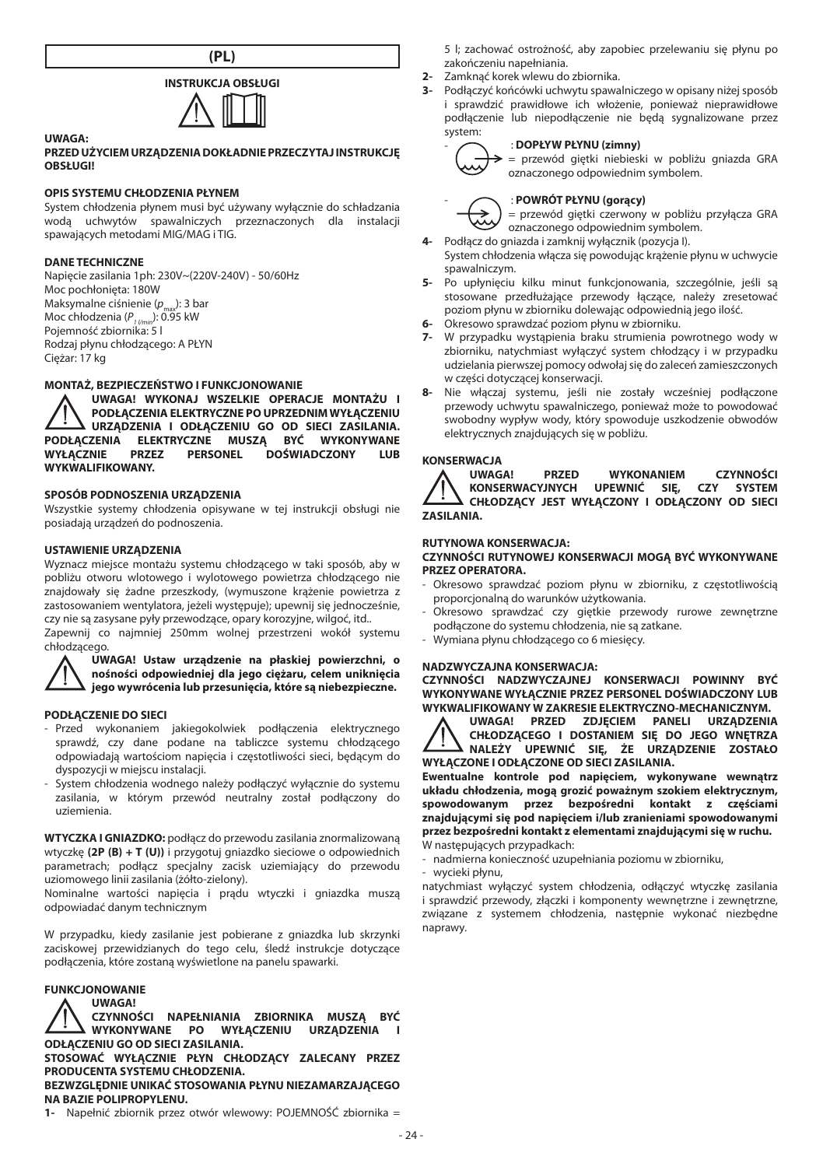



#### **PRZED UŻYCIEM URZĄDZENIA DOKŁADNIE PRZECZYTAJ INSTRUKCJĘ OBSŁUGI!**

#### **OPIS SYSTEMU CHŁODZENIA PŁYNEM**

System chłodzenia płynem musi być używany wyłącznie do schładzania wodą uchwytów spawalniczych przeznaczonych dla instalacji spawających metodami MIG/MAG i TIG.

#### **DANE TECHNICZNE**

**UWAGA:**

Napięcie zasilania 1ph: 230V~(220V-240V) - 50/60Hz Moc pochłonięta: 180W<br>Maksymalne ciśnienie (p Maksymalne ciśnienie (*p<sub>max</sub>*): 3 bar<br>Moc chłodzenia (*P<sub>1 l/min</sub>*): 0.95 kW Pojemność zbiornika: 5 l Rodzaj płynu chłodzącego: A PŁYN Ciężar: 17 kg

# **MONTAŻ, BEZPIECZEŃSTWO I FUNKCJONOWANIE**

**UWAGA! WYKONAJ WSZELKIE OPERACJE MONTAŻU I PODŁĄCZENIA ELEKTRYCZNE PO UPRZEDNIM WYŁĄCZENIU URZĄDZENIA I ODŁĄCZENIU GO OD SIECI ZASILANIA. PODŁĄCZENIA ELEKTRYCZNE MUSZĄ BYĆ WYKONYWANE WIADCZONY WYKWALIFIKOWANY.**

# **SPOSÓB PODNOSZENIA URZĄDZENIA**

Wszystkie systemy chłodzenia opisywane w tej instrukcji obsługi nie posiadają urządzeń do podnoszenia.

# **USTAWIENIE URZĄDZENIA**

Wyznacz miejsce montażu systemu chłodzącego w taki sposób, aby w pobliżu otworu wlotowego i wylotowego powietrza chłodzącego nie znajdowały się żadne przeszkody, (wymuszone krążenie powietrza z zastosowaniem wentylatora, jeżeli występuje); upewnij się jednocześnie, czy nie są zasysane pyły przewodzące, opary korozyjne, wilgoć, itd..

Zapewnij co najmniej 250mm wolnej przestrzeni wokół systemu chłodzącego.

**UWAGA! Ustaw urządzenie na płaskiej powierzchni, o nośności odpowiedniej dla jego ciężaru, celem uniknięcia jego wywrócenia lub przesunięcia, które są niebezpieczne.**

# **PODŁĄCZENIE DO SIECI**

- Przed wykonaniem jakiegokolwiek podłączenia elektrycznego sprawdź, czy dane podane na tabliczce systemu chłodzącego odpowiadają wartościom napięcia i częstotliwości sieci, będącym do dyspozycji w miejscu instalacji.
- System chłodzenia wodnego należy podłączyć wyłącznie do systemu zasilania, w którym przewód neutralny został podłączony do uziemienia.

**WTYCZKA I GNIAZDKO:** podłącz do przewodu zasilania znormalizowaną wtyczkę **(2P (B) + T (U))** i przygotuj gniazdko sieciowe o odpowiednich parametrach; podłącz specjalny zacisk uziemiający do przewodu uziomowego linii zasilania (żółto-zielony).

Nominalne wartości napięcia i prądu wtyczki i gniazdka muszą odpowiadać danym technicznym

W przypadku, kiedy zasilanie jest pobierane z gniazdka lub skrzynki zaciskowej przewidzianych do tego celu, śledź instrukcje dotyczące podłączenia, które zostaną wyświetlone na panelu spawarki.

# **FUNKCJONOWANIE**

**UWAGA! CZYNNOŚCI NAPEŁNIANIA ZBIORNIKA MUSZĄ BYĆ** WYKONYWANE PO WYŁĄCZENIU URZĄDZENIA **ODŁĄCZENIU GO OD SIECI ZASILANIA. STOSOWAĆ WYŁĄCZNIE PŁYN CHŁODZĄCY ZALECANY PRZEZ PRODUCENTA SYSTEMU CHŁODZENIA. BEZWZGLĘDNIE UNIKAĆ STOSOWANIA PŁYNU NIEZAMARZAJĄCEGO NA BAZIE POLIPROPYLENU.**

**1-** Napełnić zbiornik przez otwór wlewowy: POJEMNOŚĆ zbiornika =

- **2-** Zamknąć korek wlewu do zbiornika.
- **3-** Podłączyć końcówki uchwytu spawalniczego w opisany niżej sposób i sprawdzić prawidłowe ich włożenie, ponieważ nieprawidłowe podłączenie lub niepodłączenie nie będą sygnalizowane przez system:



# oznaczonego odpowiednim symbolem.

- : **DOPŁYW PŁYNU (zimny)**



# - : **POWRÓT PŁYNU (gorący)**

= przewód giętki czerwony w pobliżu przyłącza GRA oznaczonego odpowiednim symbolem.

= przewód giętki niebieski w pobliżu gniazda GRA

- **4-** Podłącz do gniazda i zamknij wyłącznik (pozycja I).
- System chłodzenia włącza się powodując krążenie płynu w uchwycie spawalniczym.
- **5-** Po upłynięciu kilku minut funkcjonowania, szczególnie, jeśli są stosowane przedłużające przewody łączące, należy zresetować poziom płynu w zbiorniku dolewając odpowiednią jego ilość.
- **6-** Okresowo sprawdzać poziom płynu w zbiorniku.
- **7-** W przypadku wystąpienia braku strumienia powrotnego wody w zbiorniku, natychmiast wyłączyć system chłodzący i w przypadku udzielania pierwszej pomocy odwołaj się do zaleceń zamieszczonych w części dotyczącej konserwacji.
- **8-** Nie włączaj systemu, jeśli nie zostały wcześniej podłączone przewody uchwytu spawalniczego, ponieważ może to powodować swobodny wypływ wody, który spowoduje uszkodzenie obwodów elektrycznych znajdujących się w pobliżu.

**KONSERWACJA**<br>A UWAGA! **UWAGA! PRZED WYKONANIEM CZYNNOŚCI KONSERWACYJNYCH UPEWNIĆ SIĘ, CZY SYSTEM CHŁODZĄCY JEST WYŁĄCZONY I ODŁĄCZONY OD SIECI ZASILANIA.**

# **RUTYNOWA KONSERWACJA:**

#### **CZYNNOŚCI RUTYNOWEJ KONSERWACJI MOGĄ BYĆ WYKONYWANE PRZEZ OPERATORA.**

- Okresowo sprawdzać poziom płynu w zbiorniku, z częstotliwością proporcjonalną do warunków użytkowania.
- Okresowo sprawdzać czy giętkie przewody rurowe zewnętrzne podłączone do systemu chłodzenia, nie są zatkane.
- Wymiana płynu chłodzącego co 6 miesięcy.

# **NADZWYCZAJNA KONSERWACJA:**

**CZYNNOŚCI NADZWYCZAJNEJ KONSERWACJI POWINNY BYĆ WYKONYWANE WYŁĄCZNIE PRZEZ PERSONEL DOŚWIADCZONY LUB WYKWALIFIKOWANY W ZAKRESIE ELEKTRYCZNO-MECHANICZNYM.**

**UWAGA! PRZED ZDJĘCIEM PANELI URZĄDZENIA CHŁODZĄCEGO I DOSTANIEM SIĘ DO JEGO WNĘTRZA NALEŻY UPEWNIĆ SIĘ, ŻE URZĄDZENIE ZOSTAŁO WYŁĄCZONE I ODŁĄCZONE OD SIECI ZASILANIA.**

**Ewentualne kontrole pod napięciem, wykonywane wewnątrz układu chłodzenia, mogą grozić poważnym szokiem elektrycznym, spowodowanym przez bezpośredni kontakt z częściami znajdującymi się pod napięciem i/lub zranieniami spowodowanymi przez bezpośredni kontakt z elementami znajdującymi się w ruchu.** W następujących przypadkach:

- nadmierna konieczność uzupełniania poziomu w zbiorniku,
- wycieki płynu,

natychmiast wyłączyć system chłodzenia, odłączyć wtyczkę zasilania i sprawdzić przewody, złączki i komponenty wewnętrzne i zewnętrzne, związane z systemem chłodzenia, następnie wykonać niezbędne naprawy.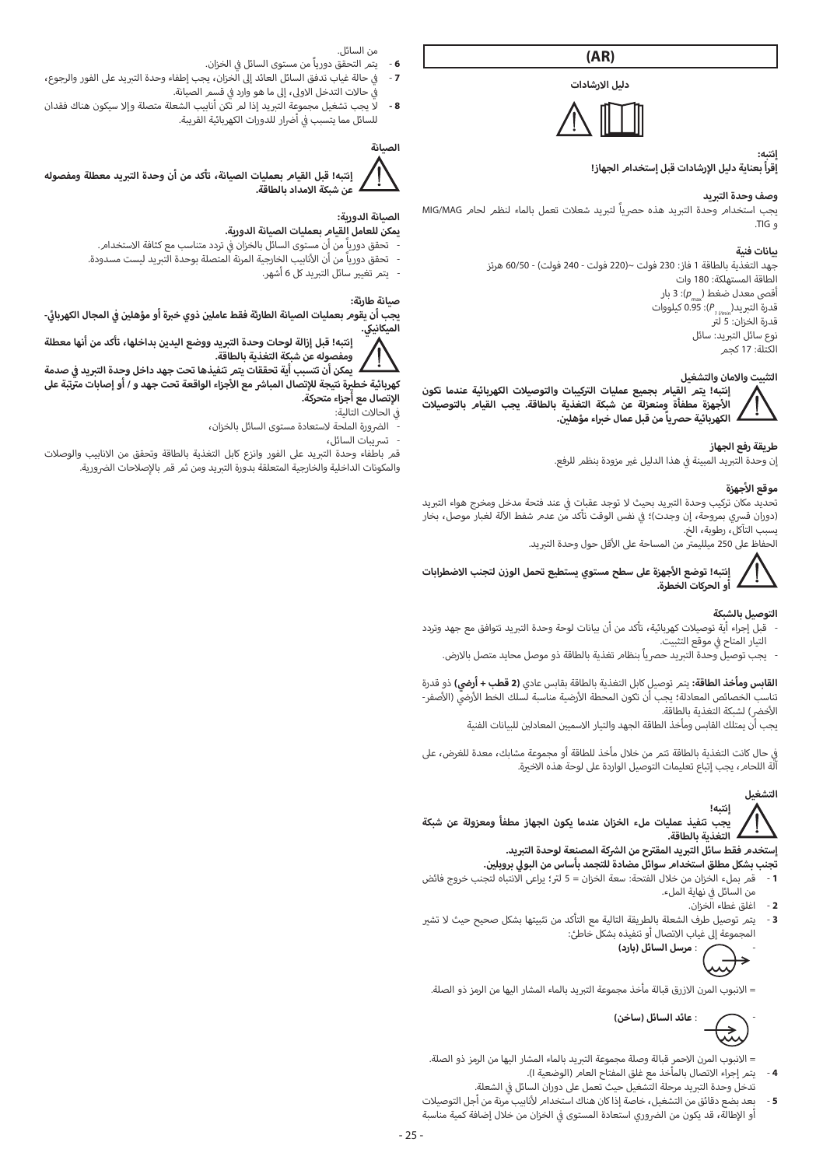**(AR)**

**دليل االرشادات**



#### **إنتبه:** .<br>إقرأ بعناية دليل الإرشادات قبل إستخدا*م* الجهاز!

**وصف وحدة التبريد**<br>يجب استخدام وحدة التبريد هذه حصرياً لتبريد شعلات تعمل بالماء لنظم لحام MIG/MAG<br>و TIG.

#### **بيانات فنية**

...<br>جهد التغذية بالطاقة 1 فاز: 230 فولت ~(220 فولت - 240 فولت) - 60/50 هرتز الطاقة المستهلكة: 180 وات ء<br>أقصى معدل ضغط ( \_ p): 3 بار قدرة التبريد(1,<sub>1/1/10</sub>): 0.95 كيلووات<br>قدرة الخزان: 5 لتر ۔<br>نوع سائل التبريد: سائل الكتلة: 17 كجم

#### **التثبيت واالمان والتشغيل**



#### **طريقة رفع الجهاز**

إن وحدة التبريد المبينة في هذا الدليل غير مزودة بنظم للرفع.<br>. ف

# **أجهزة موقع ال**

تحديد مكان تركيب وحدة التبريد بحيث لا توجد عقبات فى عند فتحة مدخل ومخرج هواء التبريد ف تحديد مكان تركيب وحدة التبريد بحيث لا توجد عقبات في عند فتحة مدخل ومخرج هواء التبريد<br>(دوران قسري بمروحة، إن وجدت)؛ في نفس الوقت تأكد من عدم شفط الآلة لغبار موصل، بخار ف .<br>ب التآكل، رطوبة، الخ.

أ.<br>الحفاظ على 250 ميلليمتر من المساحة على الأقل حول وحدة التبريد.

**أجهزة عىل سطح مستوي يستطيع تحمل الوزن لتجنب االضطرابات إنتبه! توضع ال** Ţ **أو الحركات الخطرة.**

# **التوصيل بالشبكة**

- -<br>- قبل إجراء أية توصيلات كهربائية، تأكد من أن بيانات لوحة وحدة التبريد تتوافق مع جهد وتردد التيار المتاح في موقع التثبيت. ف
	- ب يجب توصيل وحدة الت�يد حرصياً بنظام تغذية بالطاقة ذو موصل محايد متصل باالرض.

**ي (** ذو قدرة **القابس ومأخذ الطاقة:** يتم توصيل كابل التغذية بالطاقة بقابس عادي **)2 قطب + أ ضر�** . تعابس ويد عد العاصد: يسر لوصين من المعنية بالمناسبة بمناسبة لسلك الخطب المرضي، دو صارة<br>تناسب الخصائص المعادلة؛ يجب أن تكون المحطة الأرضية مناسبة لسلك الخط الأرضي (الأصفر-<br>الأسماء الخصائص المناسبة لل الأخض الشبكة التغذية بالطاقة. أ

بجب أن يمتلك القابس ومأخذ الطاقة الجهد والتيار الاسميين المعادلين للبيانات الفنية

ي حال كانت التغذية بالطاقة تتم من خالل مأخذ للطاقة أو مجموعة مشابك، معدة للغرض، عىل � ف آلة اللحام، يجب إتباع تعليمات التوصيل الواردة على لوحة هذه الاخيرة.

# **التشغيل**

**إنتبه! يجب تنفيذ عمليات ملء الخزان عندما يكون الجهاز مطفأ ومعزولة عن شبكة** 

**التغذية بالطاقة.**

- **نُجنب بشُكل مطلق استخدام سوائل مضادة للتجمد بأساس من البولي بروبلين.<br>1- هو من بما عبالجزان من خلال الفتحة: سعة الجزان = 5 لة ؛ براعي الانتباه لتجز <sup>1</sup>**- قم بملء الخزان من خالل الفتحة: سعة الخزان = 5 ل� <sup>ت</sup> ؛ يراعى االنتباه لتجنب خروج فائض **<sup>ي</sup> تجنب بشكل مطلق استخدام سوائل مضادة للتجمد بأساس من البول ي بروبل�** من السائل في نهاية الملء.<br>... ف
	- **2**  اغلق غطاء الخزان.
- **3**  يتم توصيل طرف الشعلة بالطريقة التالية مع التأكد من تثبيتها بشكل صحيح حيث ال ي تش� المجموعة إىل غياب االتصال أو تنفيذه بشكل خاطئ:



ب = االنبوب المرن االزرق قبالة مأخذ مجموعة الت�يد بالماء المشار اليها من الرمز ذو الصلة.

- : **عائد السائل )ساخن(**

- = الانبوب المرن الاحمر قبالة وصلة مجموعة التبريد بالماء المشار اليها من الرمز ذو الصلة.<br>4 يتم إجراء الاتصال بالمأخذ مع غلق المفتاح العا*م* (الوضعية I).
- تدخل وحدة التبريد مرحلة التشغيل حيث تعمل على دوران السائل في الشعلة.<br>بعد بضع دقائق من التشغيل، خاصة إذا كان هناك استخدامر لأنابيب مرنة من أجل التوصيلات ف **5** - بعد بضع دقائق من التشغيل، خاصة إذا كان هناك استخدام ل أو الإطالة، قد يكون من الضروري استعادة المستوى في الخزان من خلال إضافة كمية مناسبة ف
- من السائل.
- ي الخزان. **6**  يتم التحقق دورياً من مستوى السائل � في حالة غياب تدفق السائل العائد إلى الخزان، يجب إطفاء وحدة التبريد على الفور والرجوع، ֖֖֖֖֖֖֪ׅ֧֧֧֧֧֧֧֪ׅ֧֪ׅ֧֧֪ׅ֧֚֚֚֚֚֚֚֚֚֘֝֬֝֝֝֓֝֬֓֬֓֬֝֓֬֝֬֓֝֬֓֓֬֓֓֬֓֬֓֝֬֓֝֓֝֬֓֬֬֬֓֬֬֬֓֝֬֓֬֬ � - **7** ف ֧֪ׅ֧֪ׅ֧֛֪֪֦֧֪ׅ֧ׅ֧֪ׅ֖ׅ֪ׅ֧֪ׅ֖֧֪ׅ֧ׅ֛֚֚֚֚֚֚֡֝֟֟֓֕֬֝֬֝֬֝֬֓֕֓֕֓֕֓֬֝֬֝֬֝֓֬֝֬֝֓֬֝֓֬֝֬֓֝֬֓֬֝֬֓֓

ف

في حالات التدخل الاولى، إلى ما هو وارد في قسم الصيانة.<br>لما يسمى المساحمة **8 -** ب ال يجب تشغيل مجموعة الت�يد إذا لم تكن أنابيب الشعلة متصلة وإال سيكون هناك فقدان .<br>للسائل مما يتسبب في أضرار للدورات الكهربائية القريبة.<br>-ف



إنتبه! قبل القيام بعمليات الصيانة، تأكد من أن وحدة التبريد معطلة ومفصوله<br>عن شبكة الإمداد بالطاقة.

# **الصيانة الدورية:**

# **يمكن للعامل القيام بعمليات الصيانة الدورية.**

- ي تردد متناسب مع كثافة االستخدام. تحقق دورياً من أن مستوى السائل بالخزان � ف
- أ· تحقق دورياً من أن الأنابيب الخارجية المرنة المتصلة بوحدة التبريد ليست مسدودة.
	- ي يتم تغي� سائل ا ب لت�يد كل 6 أشهر.

#### **صيانة طارئة:**

**ن**

**ي - ئ ي المجال الكهربا� ف ن � ب ذوي خ�ة أو مؤ يهل� ومفصوله عن شبكة التغذية بالطاقة. <sup>ب</sup> إنتبه! قبل إزالة لوحات وحدة الت�يد ووضع اليدين بداخلها، تأكد من أنها معطلة <sup>ي</sup> الميكانيك. <sup>ي</sup> يجب أن يقوم بعمليات الصيانة الطارئة فقط عامل�**

سمت صدر التصب أية تحققات يتم تنفيذها تحت جهد داخل وحدة التبريد في صدمة<br>يمكن أن تتسبب أية تحققات يتم **أجزاء الواقعة تحت جهد و / أو إصابات م� <sup>ت</sup> تبة عىل <sup>ا</sup> إلتصال مع أجزاء متحركة. <sup>ي</sup> كهربائية خط�ة نتيجة ل إل <sup>ش</sup> تصال المبا� مع ال**

#### في الحالات التالية:<br>... ف

- -<br>الضرورة الملحة لاستعادة مستوى السائل بالخزان،
	-

- تسريبات السائل،<br>- تسريبات السائل،<br>قمر باطفاء وحدة التبريد على الفور وانزع كابل التغذية بالطاقة وتحقق من الانابيب والوصلات والمكونات الداخلية والخارجية المتعلقة بدورة التبريد ومن ثمر قمر بالإصلاحات الضرورية.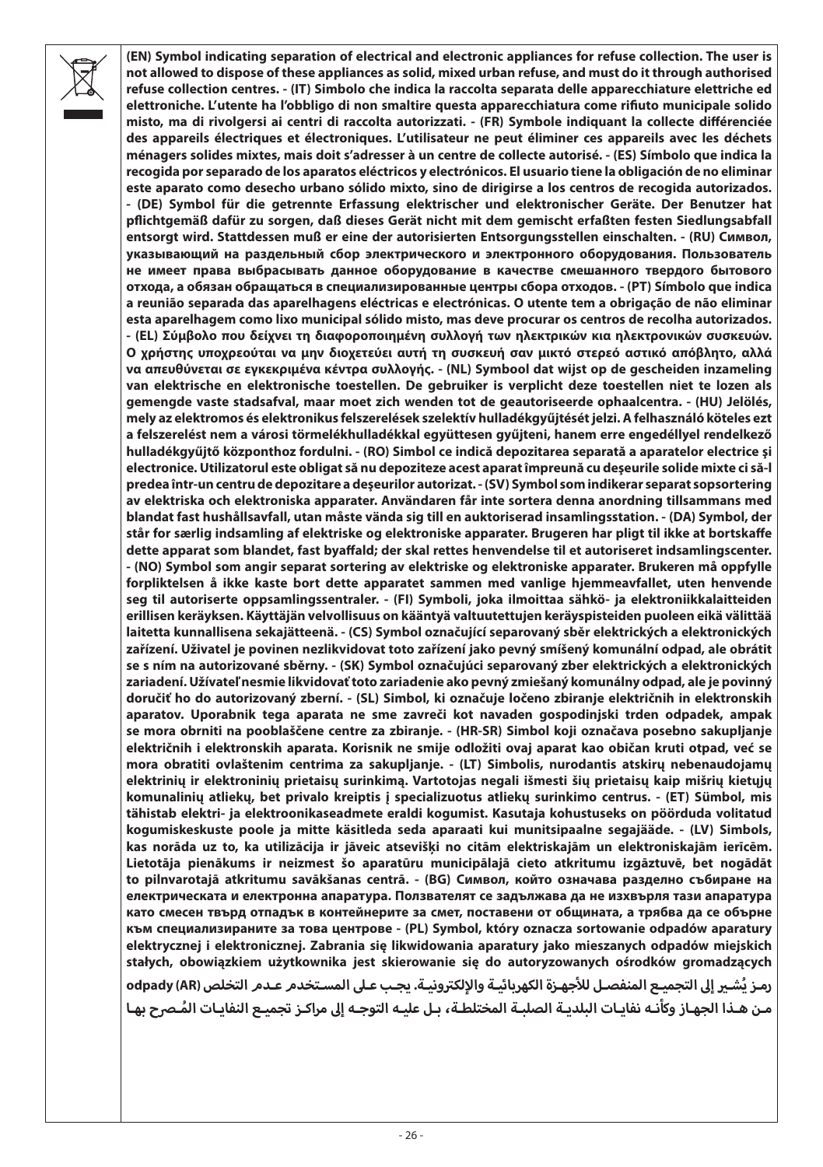**(EN) Symbol indicating separation of electrical and electronic appliances for refuse collection. The user is not allowed to dispose of these appliances as solid, mixed urban refuse, and must do it through authorised refuse collection centres. - (IT) Simbolo che indica la raccolta separata delle apparecchiature elettriche ed elettroniche. L'utente ha l'obbligo di non smaltire questa apparecchiatura come rifiuto municipale solido misto, ma di rivolgersi ai centri di raccolta autorizzati. - (FR) Symbole indiquant la collecte différenciée des appareils électriques et électroniques. L'utilisateur ne peut éliminer ces appareils avec les déchets ménagers solides mixtes, mais doit s'adresser à un centre de collecte autorisé. - (ES) Símbolo que indica la recogida por separado de los aparatos eléctricos y electrónicos. El usuario tiene la obligación de no eliminar este aparato como desecho urbano sólido mixto, sino de dirigirse a los centros de recogida autorizados. - (DE) Symbol für die getrennte Erfassung elektrischer und elektronischer Geräte. Der Benutzer hat pflichtgemäß dafür zu sorgen, daß dieses Gerät nicht mit dem gemischt erfaßten festen Siedlungsabfall entsorgt wird. Stattdessen muß er eine der autorisierten Entsorgungsstellen einschalten. - (RU) Символ, указывающий на раздельный сбор электрического и электронного оборудования. Пользователь не имеет права выбрасывать данное оборудование в качестве смешанного твердого бытового отхода, а обязан обращаться в специализированные центры сбора отходов. - (PT) Símbolo que indica a reunião separada das aparelhagens eléctricas e electrónicas. O utente tem a obrigação de não eliminar esta aparelhagem como lixo municipal sólido misto, mas deve procurar os centros de recolha autorizados. - (EL) Σύμβολο που δείχνει τη διαφοροποιημένη συλλογή των ηλεκτρικών κια ηλεκτρονικών συσκευών. Ο χρήστης υποχρεούται να μην διοχετεύει αυτή τη συσκευή σαν μικτό στερεό αστικό απόβλητο, αλλά να απευθύνεται σε εγκεκριμένα κέντρα συλλογής. - (NL) Symbool dat wijst op de gescheiden inzameling van elektrische en elektronische toestellen. De gebruiker is verplicht deze toestellen niet te lozen als gemengde vaste stadsafval, maar moet zich wenden tot de geautoriseerde ophaalcentra. - (HU) Jelölés, mely az elektromos és elektronikus felszerelések szelektív hulladékgyűjtését jelzi. A felhasználó köteles ezt a felszerelést nem a városi törmelékhulladékkal együttesen gyűjteni, hanem erre engedéllyel rendelkező hulladékgyűjtő központhoz fordulni. - (RO) Simbol ce indică depozitarea separată a aparatelor electrice şi electronice. Utilizatorul este obligat să nu depoziteze acest aparat împreună cu deşeurile solide mixte ci să-l predea într-un centru de depozitare a deşeurilor autorizat. - (SV) Symbol som indikerar separat sopsortering av elektriska och elektroniska apparater. Användaren får inte sortera denna anordning tillsammans med blandat fast hushållsavfall, utan måste vända sig till en auktoriserad insamlingsstation. - (DA) Symbol, der står for særlig indsamling af elektriske og elektroniske apparater. Brugeren har pligt til ikke at bortskaffe dette apparat som blandet, fast byaffald; der skal rettes henvendelse til et autoriseret indsamlingscenter. - (NO) Symbol som angir separat sortering av elektriske og elektroniske apparater. Brukeren må oppfylle forpliktelsen å ikke kaste bort dette apparatet sammen med vanlige hjemmeavfallet, uten henvende seg til autoriserte oppsamlingssentraler. - (FI) Symboli, joka ilmoittaa sähkö- ja elektroniikkalaitteiden erillisen keräyksen. Käyttäjän velvollisuus on kääntyä valtuutettujen keräyspisteiden puoleen eikä välittää laitetta kunnallisena sekajätteenä. - (CS) Symbol označující separovaný sběr elektrických a elektronických zařízení. Uživatel je povinen nezlikvidovat toto zařízení jako pevný smíšený komunální odpad, ale obrátit se s ním na autorizované sběrny. - (SK) Symbol označujúci separovaný zber elektrických a elektronických zariadení. Užívateľ nesmie likvidovať toto zariadenie ako pevný zmiešaný komunálny odpad, ale je povinný doručiť ho do autorizovaný zberní. - (SL) Simbol, ki označuje ločeno zbiranje električnih in elektronskih aparatov. Uporabnik tega aparata ne sme zavreči kot navaden gospodinjski trden odpadek, ampak se mora obrniti na pooblaščene centre za zbiranje. - (HR-SR) Simbol koji označava posebno sakupljanje električnih i elektronskih aparata. Korisnik ne smije odložiti ovaj aparat kao običan kruti otpad, već se mora obratiti ovlaštenim centrima za sakupljanje. - (LT) Simbolis, nurodantis atskirų nebenaudojamų elektrinių ir elektroninių prietaisų surinkimą. Vartotojas negali išmesti šių prietaisų kaip mišrių kietųjų komunalinių atliekų, bet privalo kreiptis į specializuotus atliekų surinkimo centrus. - (ET) Sümbol, mis tähistab elektri- ja elektroonikaseadmete eraldi kogumist. Kasutaja kohustuseks on pöörduda volitatud kogumiskeskuste poole ja mitte käsitleda seda aparaati kui munitsipaalne segajääde. - (LV) Simbols, kas norāda uz to, ka utilizācija ir jāveic atsevišķi no citām elektriskajām un elektroniskajām ierīcēm. Lietotāja pienākums ir neizmest šo aparatūru municipālajā cieto atkritumu izgāztuvē, bet nogādāt to pilnvarotajā atkritumu savākšanas centrā. - (BG) Символ, който означава разделно събиране на електрическата и електронна апаратура. Ползвателят се задължава да не изхвърля тази апаратура като смесен твърд отпадък в контейнерите за смет, поставени от общината, а трябва да се обърне към специализираните за това центрове - (PL) Symbol, który oznacza sortowanie odpadów aparatury elektrycznej i elektronicznej. Zabrania się likwidowania aparatury jako mieszanych odpadów miejskich stałych, obowiązkiem użytkownika jest skierowanie się do autoryzowanych ośrodków gromadzących**  .<br>رمـز يُشـير إلى التجميـع المنفصـل للأجهـزة الكهربائيـة والإلكترونيـة. يجـب عـلى المسـتخدم عـدم التخلص (odpady (AR **مـن هـذا الجهـاز وكأنـه نفايـات البلديـة الصلبـة المختلطـة، بـل عليـه التوجـه إىل ُ مراكـز تجميـع النفايـات المـرح بهـا**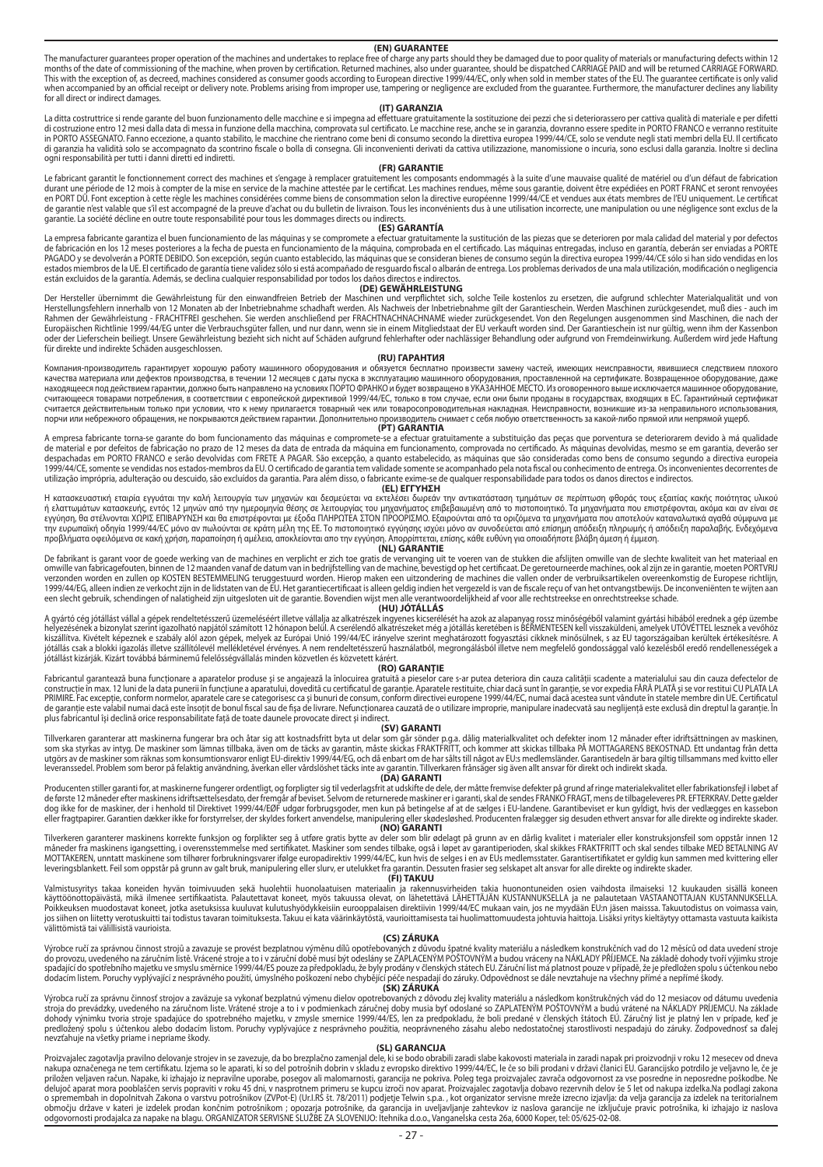#### **(EN) GUARANTEE**

The manufacturer quarantees proper operation of the machines and undertakes to replace free of charge any parts should they be damaged due to poor quality of materials or manufacturing defects within 12 months of the date of commissioning of the machine, when proven by certification. Returned machines, also under guarantee, should be dispatched CARNAGE PAID and will be returned CARNAGE FORWARD.<br>This with the exception of, when accompanied by an onicial

La ditta costruttrice si rende garante del buon funzionamento delle macchine e si impegna ad **effettuare gratuitam**ente la sostituzione dei pezzi che si deteriorassero per cattiva qualità di materiale e per difetti<br>di cost ogni responsabilità per tutti i danni diretti ed indiretti.

#### **(FR) GARANTIE**

Le fabricant garanti le fonctionnement corect des machines et s'engage à rempérantement les composants encompagnent paramentement of the machine margin en margin en margin en margin de la margin de la margin de la margin d en PORT DÛ. Font exception à cette règle les machines considérées comme biens de consommation selon la directive européenne 1999/44/CE et vendues aux états membres de l'EU uniquement. Le certificat de garantie n'est valable que s'il est accompagné de la preuve d'achat ou du bulletin de livraison. Tous les inconvénients dus à une utilisation incorrecte, une manipulation ou une négligence sont exclus de la garantie. La société décline en outre toute responsabilité pour tous les dommages directs ou indirects.

garante, la societe desine en oute tous consumer pour tous resolutional respective to the **(ES) GARANTÍA**<br>La empresa fabricante garantiza el buen funcionamiento de las máquinas y se compromete a efectuar gratuitamente la s La empresa tabrucante garantza e buen tuncionamento de la magnita en el estudio de la estudio de la pieza de la<br>de fabricación en los 12 meses poteriores al fecha de puesta en en la estudio de la magnita de la magnita de l están excluidos de la garantía. Además, se declina cualquier responsabilidad por todos los daños directos e indirectos.

#### **(DE) GEWÄHRLEISTUNG**

Der Hersteller übemimmt die Gewährleistung für den einer einer der eine der eine der eine der eine der eine de<br>Herstellungsfehlem innerhalb von 12 Monaten ab der Inbetriehnahme schachten werden der einer der den einer der<br> Rahmen der Gewährleistung - FRACHTFREI geschehen. Sie werden anschließend per FRACHTNACHNAME wieder zurückgesendet. Von den Regelungen ausgenommen sind Maschinen, die nach der Europaischen Richtlinie 1999/44/EG unter die Verbrauchsguter fallen, und nur dann, wenn sie in einem Mitgliedstaat der EU verkauft worden sind. Der Garantieschein ist nur gültig, wenn ihm der Kassenbon<br>oder der Lieferschei

#### **(RU) ГАРАНТИЯ**

Компания-производитель гарантирует хорошую работу машинного оборудования и обязуется бесплатно произвести замену частей, имеющих неисправности, явившиеся следствием плохого качества материала или дефектов производства, в течении 12 месяцев с даты пуска в эксплуатацию машинного оборудования, проставленной на сертификате. Возвращенное оборудование, даже находящееся под деяствием гарми, должно быть направлено на должно и примерованно в усможность и с примеровании<br>считающееся товарами потребления, в соответствии с вропейской други и примеровании примеровали примеровали и п считающееся повравит погресления в соответствительности прирагается действительно при своим сопроводительного при<br>Считается действительным только при условии, что к нему прилагается товаросопроводительная накладная. Неисп порчи или небрежного обращения, не покрываются действием гарантии. Дополнительно производитель снимает с себя любую ответственность за какой-либо прямой или непрямой ущерб.

#### **(PT) GARANTIA**

A empresa tabricante toma-se garante do bom uncionamento da mandamente a substituracional en accepcional en su<br>de material e por defeitos de fabricação no prazo de 12 meses da data da mandamento compromadamentos de mandame despachadas em PORTO FRANCO e serão devolvidas com FRETE A PAGAR. São excepção, a quanto estabelecido, as máquinas que são consideradas como bens de consumo segundo a directiva europeia 1999/44/CE, somente se vendidas nos estados membros da EU.O certificado de garantia tem validados membros en en<br>utilização imprópria, adulteração ou descuido, são excludados anda exeme-se de que de a exposedente a para par

#### **(EL) ΕΓΓΥΗΣΗ**

Η κατασκευαστική εταιρία εγγυάται την καλή λειτουργία των μηχανών και δεσμεύεται να εκτελέσει δωρεάν την αντικατάσταση τμημάτων σε περίπτωση φθοράς τους εξαιτίας κακής ποιότητας υλικού η ελατωμάτων κατακευής εντός 12 μηνων από την ημερομηνη αποκραστους επιβρασμένη από το πιστοποιητικό, Ια μηχονηματικού που το πολύ τους εντολύσεις τους εντολύσεις ανακολύσεις τους κατανολύσεις τους εντολύσεις τους τους το την ευρωπαϊκή οδηγία 1999/44/EC μόνο αν πωλούνται σε κράτη μέλη της ΕΕ. Το πιστοποιητικό εγγύησης ισχύει μόνο αν συνοδεύεται από επίσημη απόδειξη πληρωμής ή απόδειξη παραλαβής. Ενδεχόμενα προβλήματα οφειλόμενα σε κακή χρήση, παραποίηση ή αμέλεια, αποκλείονται απο την εγγύηση. Απορρίπτεται, επίσης, κάθε ευθύνη για οποιαδήποτε βλάβη άμεση ή έμμεση. **(NL) GARANTIE**

De fabrikant is garant voor de goede werking van de machines en verplicht er zich toe gratis de vervanging uit te voeren van de stukken die afslijten omwille van de slechte kwaliteit van het materiaal en omwille van fabricagefouten, binnen de 12 maanden vanaf de datum van in bedrijfstelling van de machine, bevestigd op het certificaat. De geretourneerde machines, ook al zijn ze in garantie, moeten PORTVRIJ verzonden worden en zullen op KOSTEN BESTEMMELING teruggestuurd worden. Hierop maken een uitzondering de machines die vallen onder de verbruiksartikelen overeenkomstig de Europese richtlijn,<br>1999/44/Es, alleen indien ze ve

#### **(HU) JÓTÁLLÁS**

A gyártó cég jótállást vállal a gépek rendeltetésszerű üzemeléséért illetve vállalja az alkatrészek ingyenes kicserélését ha azok az alapanyag rossz minőségéből valamint gyártási hibából erednek a gép üzembe helyezésének a bizonylat szerint jazokható napjátó számot a határtoma a magyar a magyar a magyar a magyar a magyar a magyar a magyar a magyar a magyar a magyar a magyar a magyar a magyar a magyar a magyar a magyar a magyar

#### **(RO) GARANŢIE**

Fabricantul garantează buna funcționare a aparatelor produse și se angajează la înlocuirea gratuită a pieselor care s-ar putea deteriora din cauza calității scadente a materialului sau din cauza defectelor de construcție în max. 12 luni de la data puneriin funcțiune a aparatului, dovedul en un cuperature estinica proma<br>PRIMIRE.Fac excepție, conform normelor, aparatele care se acategorisce ca și bunuri de consum conforme dispond de garanţie este valabil numai dacă este însoţit de bonul fiscal sau de fişa de livrare. Nefuncţionarea cauzată de o utilizare improprie, manipulare inadecvată sau neglijenţă este exclusă din dreptul la garanţie. În plus fabricantul îşi declină orice responsabilitate faţă de toate daunele provocate direct şi indirect.

#### **(SV) GARANTI**

Tillverkaren garanterar att maskinerna fungerar bra och ätar sig att kostnadsfritt byta ut dar som går sönder posa. dälg materialrvalitet och defekter inom 12 mänader efter idriftsättningen av maskinen,<br>som ska styrkas av leveranssedel. Problem som beror på felaktig användning, åverkan eller vårdslöshet täcks inte av garantin. Tillverkaren frånsäger sig även allt ansvar för direkt och indirekt skada.

#### **(DA) GARANTI**

Producenten stiller garantiomen Eumerer ordentligt, og forpligter sjuther ander ander an either ein state and the ender of the form of the form of the masked include the form of the form of the form of the form of the form

#### **(NO) GARANTI**

Tilverkeren garantere maskinens konekte funksion og forplikter seg å utføre gratis byggen af granner om den gra<br>måneder fra maskinen igangsetting, i overenstemmelse med sertifikatet. Maskiner som sedes tilsage i spanner om

#### **(FI) TAKUU**

Valmistuyritys takaa koneiden hyvän toimivuuden sekä huolehtii huonolaatuiseen maan maan myös myös myös maan m<br>Käyttöönottopäivästä, mikä ilmene sertifikaatista. Palautettavat koneet, myös takaa maan myös myös myös myös m<br> välittömistä tai välillisistä vaurioista.

#### **(CS) ZÁRUKA**

Výrobce ruči za správnou činnost stopu obce sprovést bezplatnou výměnu dlu opotřebovaných vlastní komistovaní province v obce vysobe province v obce vysobe vysobe vysobe vysobe vysobe vysobe vysobe vysobe vysobe vysobe vys spadající do spotřebního majetku ve smyslu směrnice 1999/44/ES pouze za předpokladu, že byly prodány v členských státech EU. Záruční list má platnost pouze v případě, že je předložen spolu s účtenkou nebo dodacím listem. Poruchy vyplývající z nesprávného použití, úmyslného poškození nebo chybějící péče nespadají do záruky. Odpovědnost se dále nevztahuje na všechny přímé a nepřímé škody.

SK) ZARUKA (SV) (SK) ZARUKA mální znásledkom konštrukny mální zakonovaná (SK) ZARUKA (SV) (SK) ZARUKA zakonová<br>Kroja do prevádzky, uvedeného na záručnom liste. Vrátené stroje a to i v podmienkach záručné podby musia byť od dohody výnimku tvoria stroje spadajúce do spotrebného obrazu po postavilne obrazu po podredne v postavých sú po<br>predložený spolu s účtenkou alebo dodacím listom. Poruhy vyslú postaveného záslu alebo nedostatočnej starostil nevzťahuje na všetky priame i nepriame škody.

Proizvajalec zagotavlja pravilno delovanje strojev in se zavezuje, da bo brezplačno zamenjal dele, ki se bodo obrabili zaradi slabe kakovosti materiala in zaradi napak pri proizvodnji v roku 12 mesecev od dneva nakupa označenega ne tem certifikatu. Izjema so le aparati, ki so del potrošnih obrava od postavu od postavu o<br>priložen veljaven račun. Napake, ki izhajajo iz nepravne posebno stanovanosti, ga projek za postava iz od posta delujoč aparat mora pooblaščen servis popraviti v roku 45 dni, v nasprotnem primeru se kupcu izroči nov aparat. Proizvajalec zagotavlja dobavo rezervnih delov še 5 let od nakupa izdelka.Na podlagi zakona o spremembah in dopolnitvah Zakona o varstvu potrošnikov (ZVPot-E) (Ur.J.RS š. 78/2011) podjetje Telvin s.p.a., kot organizator servisne mreže izrecno izjavlja: da velja garancija za izdelek na teritorialnem<br>obnovomosti pr